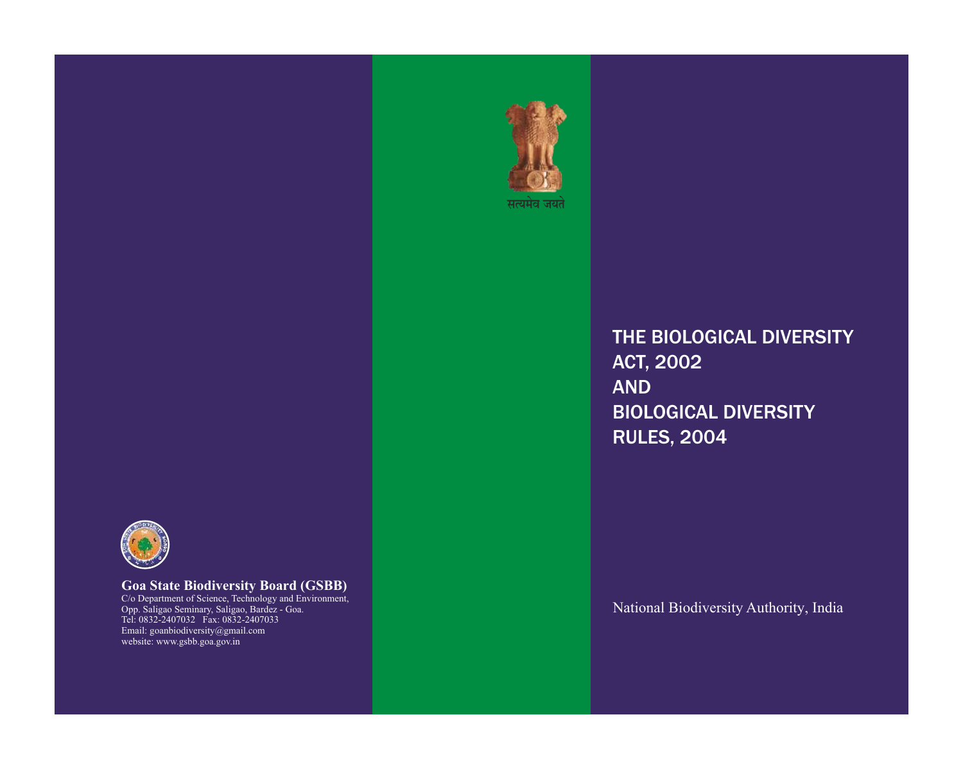

**Goa State Biodiversity Board (GSBB)** C/o Department of Science, Technology and Environment, Opp. Saligao Seminary, Saligao, Bardez - Goa. Tel: 0832-2407032 Fax: 0832-2407033 Email: goanbiodiversity@gmail.com website: www.gsbb.goa.gov.in

THE BIOLOGICAL DIVERSITY ACT, 2002 AND BIOLOGICAL DIVERSITY RULES, 2004

सत्यमेव जयते

National Biodiversity Authority, India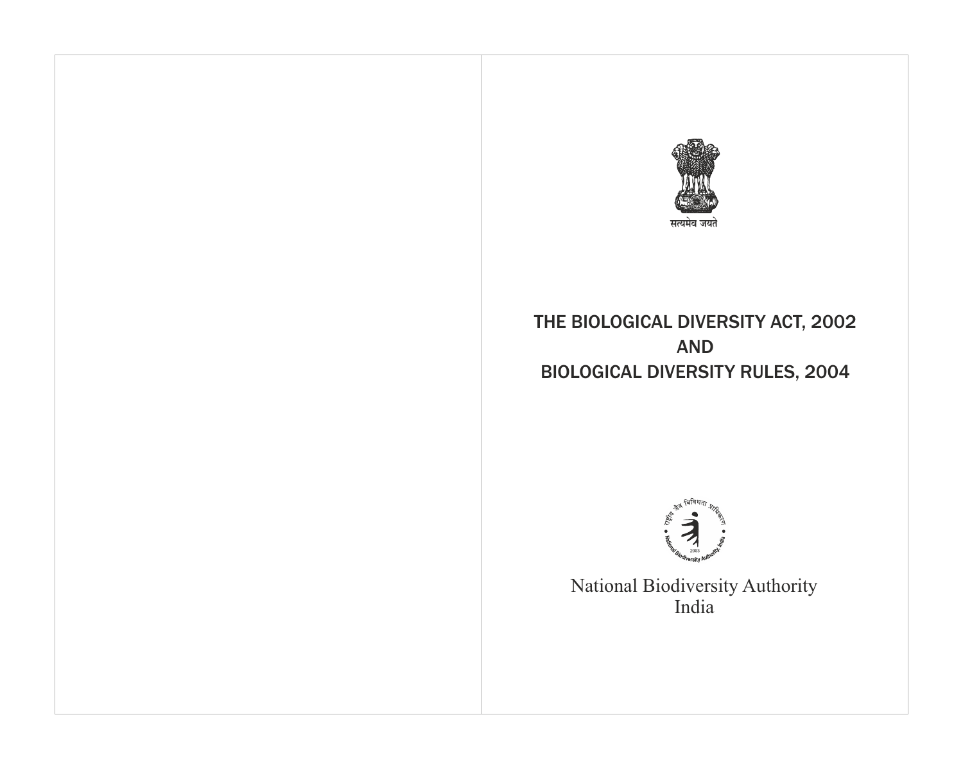

# THE BIOLOGICAL DIVERSITY ACT, 2002 AND BIOLOGICAL DIVERSITY RULES, 2004



National Biodiversity Authority India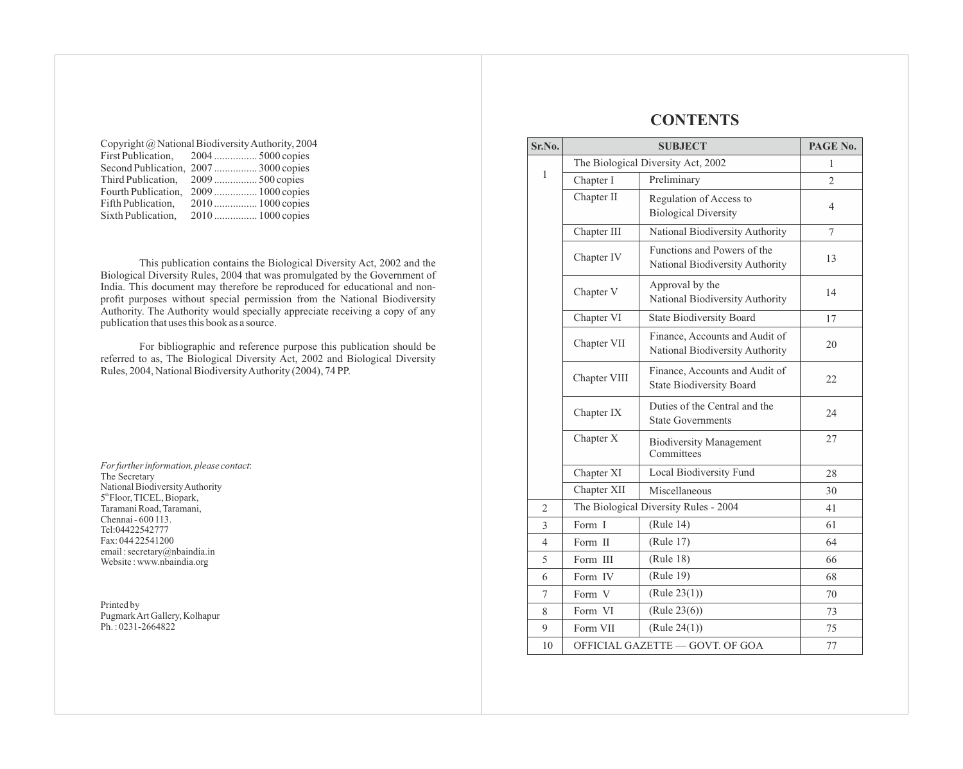| Copyright @ National Biodiversity Authority, 2004 |                                      |  |
|---------------------------------------------------|--------------------------------------|--|
|                                                   | First Publication, 2004  5000 copies |  |
|                                                   | Second Publication, 2007 3000 copies |  |
|                                                   | Third Publication, 2009  500 copies  |  |
|                                                   | Fourth Publication, 2009 1000 copies |  |
|                                                   |                                      |  |
|                                                   | 2010  1000 copies                    |  |
|                                                   |                                      |  |

This publication contains the Biological Diversity Act, 2002 and the Biological Diversity Rules, 2004 that was promulgated by the Government of India. This document may therefore be reproduced for educational and nonprofit purposes without special permission from the National Biodiversity Authority. The Authority would specially appreciate receiving a copy of any publication that uses this book as a source.

For bibliographic and reference purpose this publication should be referred to as, The Biological Diversity Act, 2002 and Biological Diversity Rules, 2004, National Biodiversity Authority (2004), 74 PP.

*For further information, please contact*: The Secretary National Biodiversity Authority 5<sup>th</sup> Floor, TICEL, Biopark, Taramani Road, Taramani, Chennai - 600 113. Tel:04422542777 Fax: 044 22541200 email : secretary@nbaindia.in Website : www.nbaindia.org

Printed by Pugmark Art Gallery, Kolhapur Ph.: 0231-2664822

# **CONTENTS**

| Sr.No.         | <b>SUBJECT</b>                                                        |                                                                   | PAGE No.       |
|----------------|-----------------------------------------------------------------------|-------------------------------------------------------------------|----------------|
|                | The Biological Diversity Act, 2002                                    |                                                                   | 1              |
| $\mathbf{1}$   | Chapter I                                                             | Preliminary                                                       | $\overline{2}$ |
|                | Chapter II                                                            | Regulation of Access to<br><b>Biological Diversity</b>            | 4              |
|                | Chapter III                                                           | National Biodiversity Authority                                   | 7              |
|                | Chapter IV                                                            | Functions and Powers of the<br>National Biodiversity Authority    | 13             |
|                | Chapter V                                                             | Approval by the<br>National Biodiversity Authority                | 14             |
|                | Chapter VI                                                            | <b>State Biodiversity Board</b>                                   | 17             |
|                | Chapter VII                                                           | Finance, Accounts and Audit of<br>National Biodiversity Authority | 20             |
|                | Chapter VIII                                                          | Finance, Accounts and Audit of<br><b>State Biodiversity Board</b> | 22             |
|                | Chapter IX                                                            | Duties of the Central and the<br><b>State Governments</b>         | 24             |
| Chapter X      |                                                                       | <b>Biodiversity Management</b><br>Committees                      | 27             |
|                | Chapter XI<br>Local Biodiversity Fund<br>Chapter XII<br>Miscellaneous |                                                                   | 28             |
|                |                                                                       |                                                                   | 30             |
| $\overline{2}$ |                                                                       | The Biological Diversity Rules - 2004                             |                |
| 3              | Form I                                                                | (Rule 14)                                                         | 61             |
| 4              | Form II                                                               | (Rule 17)                                                         | 64             |
| 5              | Form III                                                              | (Rule 18)                                                         | 66             |
| 6              | Form IV                                                               | (Rule 19)                                                         | 68             |
| $\tau$         | Form V                                                                | (Rule 23(1))                                                      | 70             |
| 8              | Form VI                                                               | (Rule 23(6))                                                      | 73             |
| 9              | Form VII                                                              | (Rule 24(1))                                                      | 75             |
| 10             | OFFICIAL GAZETTE - GOVT. OF GOA                                       |                                                                   | 77             |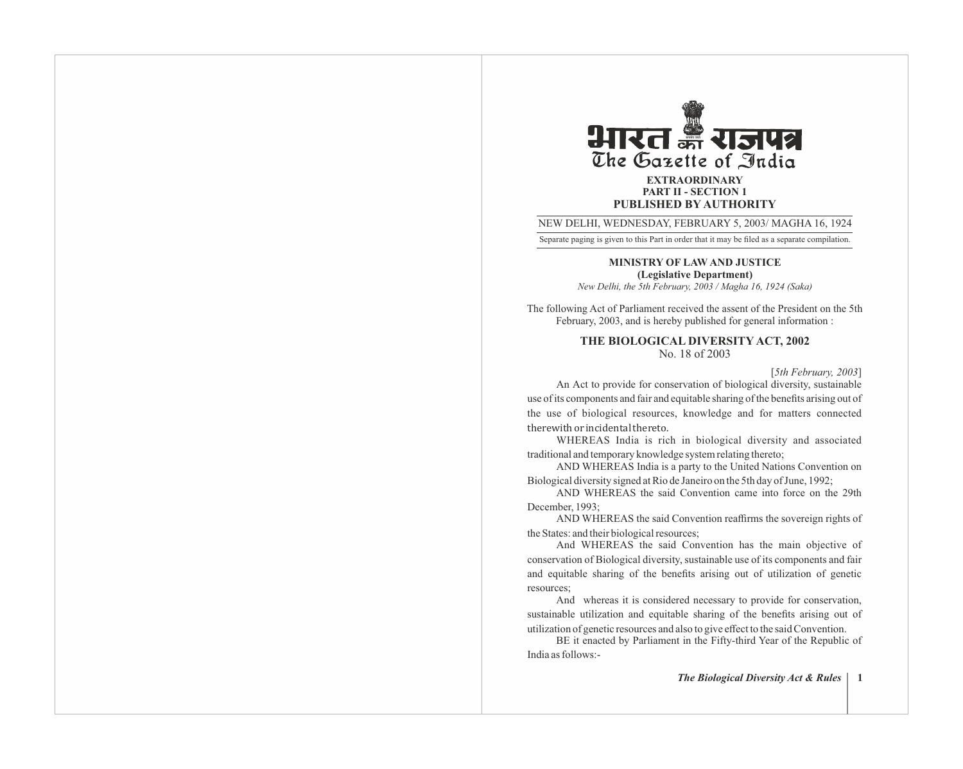

**PART II - SECTION 1 PUBLISHED BY AUTHORITY**

NEW DELHI, WEDNESDAY, FEBRUARY 5, 2003/ MAGHA 16, 1924

Separate paging is given to this Part in order that it may be filed as a separate compilation.

**MINISTRY OF LAW AND JUSTICE (Legislative Department)**

*New Delhi, the 5th February, 2003 / Magha 16, 1924 (Saka)*

The following Act of Parliament received the assent of the President on the 5th February, 2003, and is hereby published for general information :

> **THE BIOLOGICAL DIVERSITY ACT, 2002** No. 18 of 2003

> > [*5th February, 2003*]

An Act to provide for conservation of biological diversity, sustainable use of its components and fair and equitable sharing of the benefits arising out of the use of biological resources, knowledge and for matters connected therewith or incidental thereto.

WHEREAS India is rich in biological diversity and associated traditional and temporary knowledge system relating thereto;

AND WHEREAS India is a party to the United Nations Convention on Biological diversity signed at Rio de Janeiro on the 5th day of June, 1992;

AND WHEREAS the said Convention came into force on the 29th December, 1993;

AND WHEREAS the said Convention reaffirms the sovereign rights of the States: and their biological resources;

And WHEREAS the said Convention has the main objective of conservation of Biological diversity, sustainable use of its components and fair and equitable sharing of the benefits arising out of utilization of genetic resources;

And whereas it is considered necessary to provide for conservation, sustainable utilization and equitable sharing of the benefits arising out of utilization of genetic resources and also to give effect to the said Convention.

BE it enacted by Parliament in the Fifty-third Year of the Republic of India as follows:-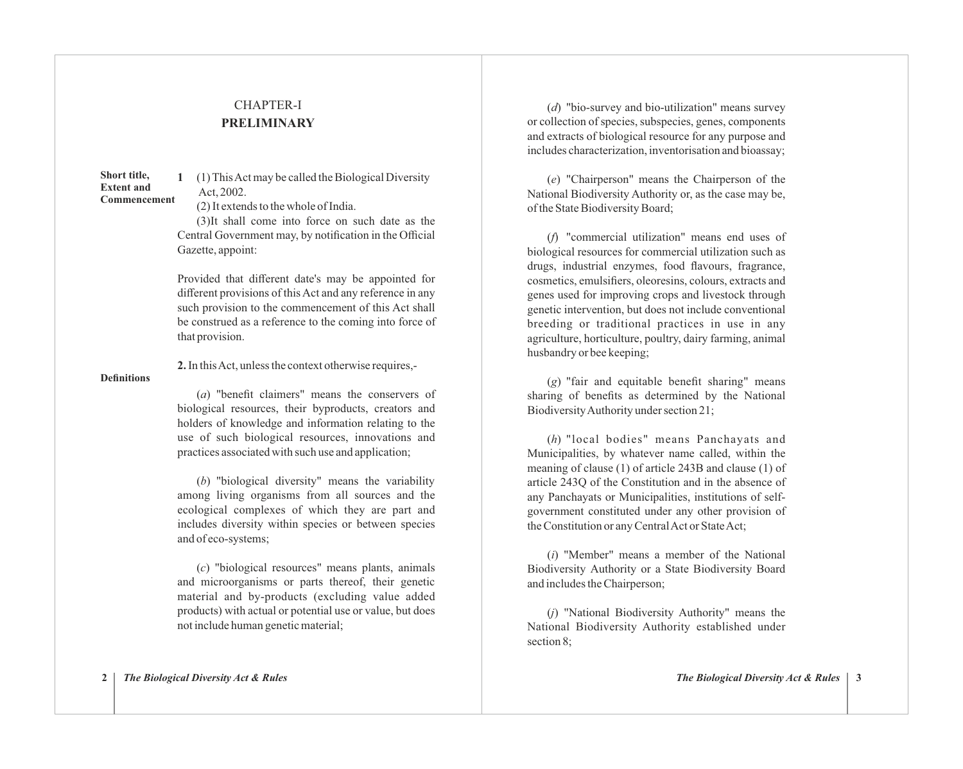# CHAPTER-I **PRELIMINARY**

**1** (1) This Act may be called the Biological Diversity Act, 2002. **Short title, Extent and Commencement** 

(2) It extends to the whole of India.

(3)It shall come into force on such date as the Central Government may, by notification in the Official Gazette, appoint:

Provided that different date's may be appointed for different provisions of this Act and any reference in any such provision to the commencement of this Act shall be construed as a reference to the coming into force of that provision.

**2.** In this Act, unless the context otherwise requires,-

#### **Definitions**

(*a*) "benefit claimers" means the conservers of biological resources, their byproducts, creators and holders of knowledge and information relating to the use of such biological resources, innovations and practices associated with such use and application;

(*b*) "biological diversity" means the variability among living organisms from all sources and the ecological complexes of which they are part and includes diversity within species or between species and of eco-systems;

(*c*) "biological resources" means plants, animals and microorganisms or parts thereof, their genetic material and by-products (excluding value added products) with actual or potential use or value, but does not include human genetic material;

(*d*) "bio-survey and bio-utilization" means survey or collection of species, subspecies, genes, components and extracts of biological resource for any purpose and includes characterization, inventorisation and bioassay;

(*e*) "Chairperson" means the Chairperson of the National Biodiversity Authority or, as the case may be, of the State Biodiversity Board;

(*f*) "commercial utilization" means end uses of biological resources for commercial utilization such as drugs, industrial enzymes, food flavours, fragrance, cosmetics, emulsifiers, oleoresins, colours, extracts and genes used for improving crops and livestock through genetic intervention, but does not include conventional breeding or traditional practices in use in any agriculture, horticulture, poultry, dairy farming, animal husbandry or bee keeping;

(*g*) "fair and equitable benefit sharing" means sharing of benefits as determined by the National Biodiversity Authority under section 21;

(*h*) "local bodies" means Panchayats and Municipalities, by whatever name called, within the meaning of clause (1) of article 243B and clause (1) of article 243Q of the Constitution and in the absence of any Panchayats or Municipalities, institutions of selfgovernment constituted under any other provision of the Constitution or any Central Act or State Act;

(*i*) "Member" means a member of the National Biodiversity Authority or a State Biodiversity Board and includes the Chairperson;

(*j*) "National Biodiversity Authority" means the National Biodiversity Authority established under section 8;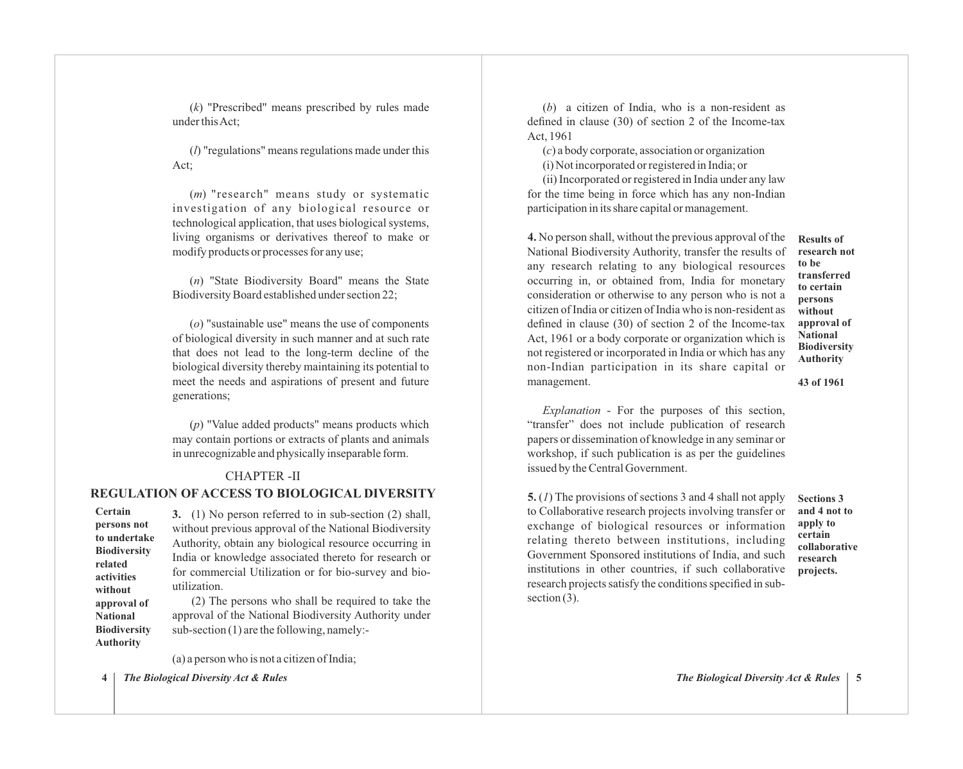(*k*) "Prescribed" means prescribed by rules made under this Act;

(*l*) "regulations" means regulations made under this Act;

(*m*) "research" means study or systematic investigation of any biological resource or technological application, that uses biological systems, living organisms or derivatives thereof to make or modify products or processes for any use;

(*n*) "State Biodiversity Board" means the State Biodiversity Board established under section 22;

(*o*) "sustainable use" means the use of components of biological diversity in such manner and at such rate that does not lead to the long-term decline of the biological diversity thereby maintaining its potential to meet the needs and aspirations of present and future generations;

(*p*) "Value added products" means products which may contain portions or extracts of plants and animals in unrecognizable and physically inseparable form.

#### CHAPTER -II

# **REGULATION OF ACCESS TO BIOLOGICAL DIVERSITY**

**Certain persons not to undertake Biodiversity related activities without approval of National Biodiversity Authority**

**3.** (1) No person referred to in sub-section (2) shall, without previous approval of the National Biodiversity Authority, obtain any biological resource occurring in India or knowledge associated thereto for research or for commercial Utilization or for bio-survey and bioutilization.

(2) The persons who shall be required to take the approval of the National Biodiversity Authority under sub-section (1) are the following, namely:-

(a) a person who is not a citizen of India;

**4** *The Biological Diversity Act & Rules The Biological Diversity Act & Rules* **5**

(*b*) a citizen of India, who is a non-resident as defined in clause (30) of section 2 of the Income-tax Act, 1961

(*c*) a body corporate, association or organization (i) Not incorporated or registered in India; or

(ii) Incorporated or registered in India under any law for the time being in force which has any non-Indian participation in its share capital or management.

**4.** No person shall, without the previous approval of the National Biodiversity Authority, transfer the results of any research relating to any biological resources occurring in, or obtained from, India for monetary consideration or otherwise to any person who is not a citizen of India or citizen of India who is non-resident as defined in clause (30) of section 2 of the Income-tax Act, 1961 or a body corporate or organization which is not registered or incorporated in India or which has any non-Indian participation in its share capital or management.

**Results of research not to be transferred to certain persons without approval of National Biodiversity Authority** 

**43 of 1961** 

*Explanation* - For the purposes of this section, "transfer" does not include publication of research papers or dissemination of knowledge in any seminar or workshop, if such publication is as per the guidelines issued by the Central Government.

**5.** (*1*) The provisions of sections 3 and 4 shall not apply to Collaborative research projects involving transfer or exchange of biological resources or information relating thereto between institutions, including Government Sponsored institutions of India, and such institutions in other countries, if such collaborative research projects satisfy the conditions specified in subsection  $(3)$ .

**Sections 3 and 4 not to apply to certain collaborative research projects.**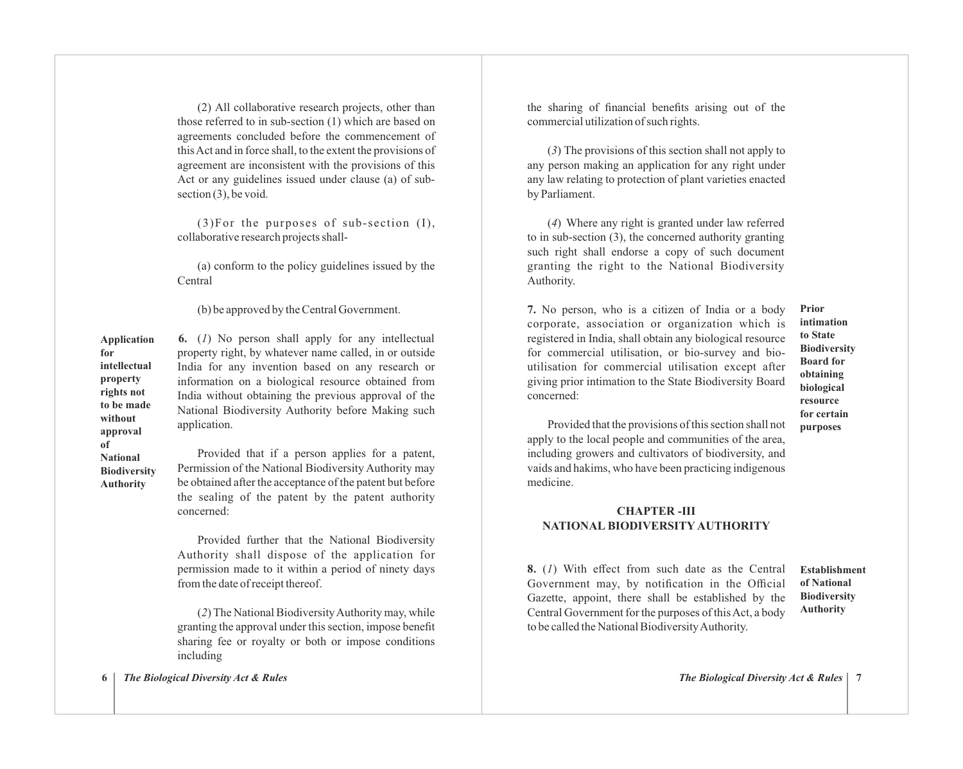(2) All collaborative research projects, other than those referred to in sub-section (1) which are based on agreements concluded before the commencement of this Act and in force shall, to the extent the provisions of agreement are inconsistent with the provisions of this Act or any guidelines issued under clause (a) of subsection (3), be void.

(3)For the purposes of sub-section (I), collaborative research projects shall-

(a) conform to the policy guidelines issued by the Central

(b) be approved by the Central Government.

**6.** (*1*) No person shall apply for any intellectual property right, by whatever name called, in or outside India for any invention based on any research or information on a biological resource obtained from India without obtaining the previous approval of the National Biodiversity Authority before Making such application. **Application intellectual property rights not to be made** 

**without approval of National Biodiversity Authority**

**for**

Provided that if a person applies for a patent, Permission of the National Biodiversity Authority may be obtained after the acceptance of the patent but before the sealing of the patent by the patent authority concerned:

Provided further that the National Biodiversity Authority shall dispose of the application for permission made to it within a period of ninety days from the date of receipt thereof.

(*2*) The National Biodiversity Authority may, while granting the approval under this section, impose benefit sharing fee or royalty or both or impose conditions including

the sharing of financial benefits arising out of the commercial utilization of such rights.

(*3*) The provisions of this section shall not apply to any person making an application for any right under any law relating to protection of plant varieties enacted by Parliament.

(*4*) Where any right is granted under law referred to in sub-section (3), the concerned authority granting such right shall endorse a copy of such document granting the right to the National Biodiversity Authority.

**7.** No person, who is a citizen of India or a body corporate, association or organization which is registered in India, shall obtain any biological resource for commercial utilisation, or bio-survey and bioutilisation for commercial utilisation except after giving prior intimation to the State Biodiversity Board concerned:

**Prior intimation to State Biodiversity Board for obtaining biological resource for certain purposes**

Provided that the provisions of this section shall not apply to the local people and communities of the area, including growers and cultivators of biodiversity, and vaids and hakims, who have been practicing indigenous medicine.

# **CHAPTER -III NATIONAL BIODIVERSITY AUTHORITY**

**8.** (*1*) With effect from such date as the Central Government may, by notification in the Official Gazette, appoint, there shall be established by the Central Government for the purposes of this Act, a body to be called the National Biodiversity Authority.

**Establishment of National Biodiversity Authority**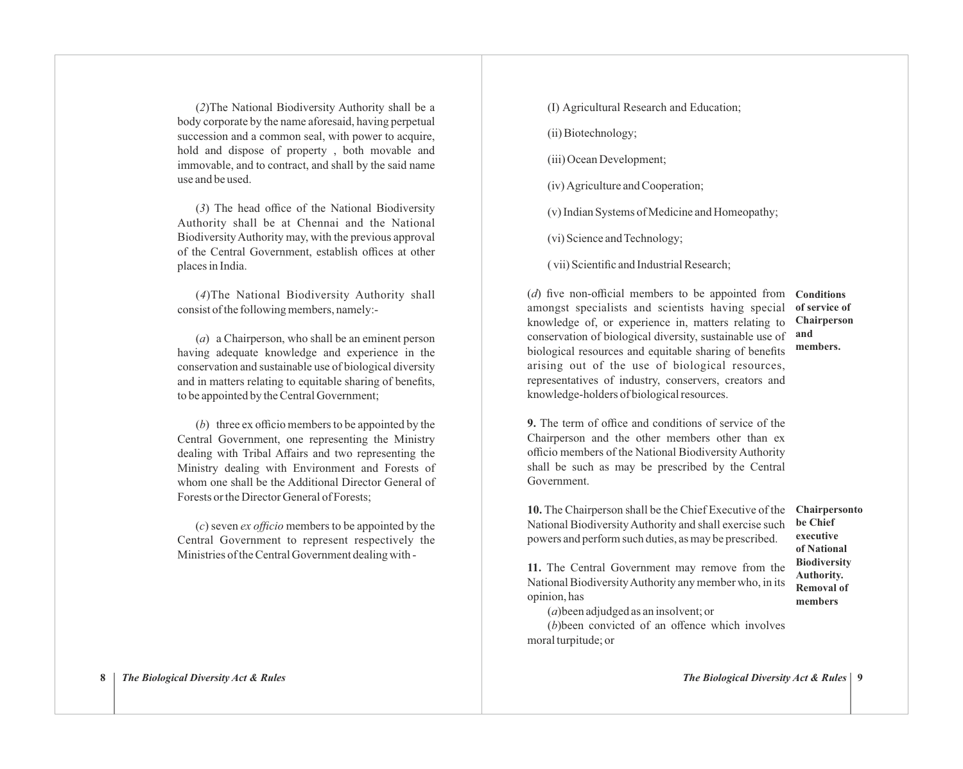(*2*)The National Biodiversity Authority shall be a body corporate by the name aforesaid, having perpetual succession and a common seal, with power to acquire, hold and dispose of property , both movable and immovable, and to contract, and shall by the said name use and be used.

(*3*) The head office of the National Biodiversity Authority shall be at Chennai and the National Biodiversity Authority may, with the previous approval of the Central Government, establish offices at other places in India.

(*4*)The National Biodiversity Authority shall consist of the following members, namely:-

(*a*) a Chairperson, who shall be an eminent person having adequate knowledge and experience in the conservation and sustainable use of biological diversity and in matters relating to equitable sharing of benefits, to be appointed by the Central Government;

(*b*) three ex officio members to be appointed by the Central Government, one representing the Ministry dealing with Tribal Affairs and two representing the Ministry dealing with Environment and Forests of whom one shall be the Additional Director General of Forests or the Director General of Forests;

(*c*) seven *ex officio* members to be appointed by the Central Government to represent respectively the Ministries of the Central Government dealing with -

(I) Agricultural Research and Education;

(ii) Biotechnology;

(iii) Ocean Development;

(iv) Agriculture and Cooperation;

(v) Indian Systems of Medicine and Homeopathy;

(vi) Science and Technology;

( vii) Scientific and Industrial Research;

(*d*) five non-official members to be appointed from **Conditions** amongst specialists and scientists having special knowledge of, or experience in, matters relating to conservation of biological diversity, sustainable use of biological resources and equitable sharing of benefits arising out of the use of biological resources, representatives of industry, conservers, creators and knowledge-holders of biological resources. **members.**

# **of service of Chairperson and**

**9.** The term of office and conditions of service of the Chairperson and the other members other than ex officio members of the National Biodiversity Authority shall be such as may be prescribed by the Central Government.

**10.** The Chairperson shall be the Chief Executive of the National Biodiversity Authority and shall exercise such powers and perform such duties, as may be prescribed.

**Chairpersonto be Chief executive of National Biodiversity Authority. Removal of members**

**11.** The Central Government may remove from the National Biodiversity Authority any member who, in its opinion, has

(*a*)been adjudged as an insolvent; or

(*b*)been convicted of an offence which involves moral turpitude; or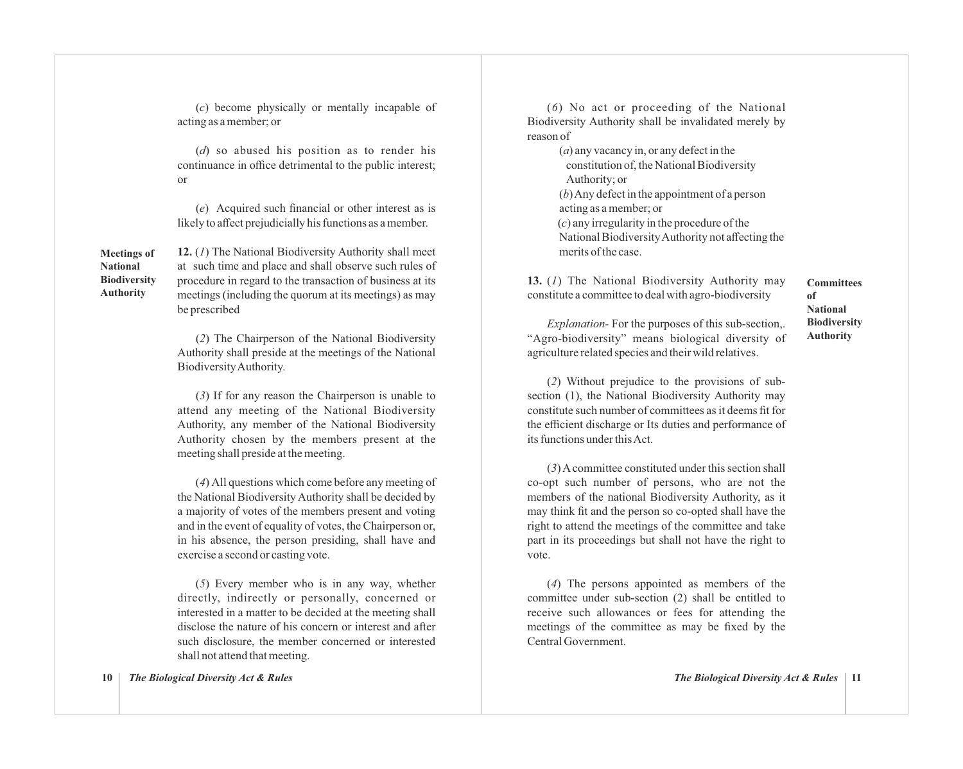(*c*) become physically or mentally incapable of acting as a member; or

(*d*) so abused his position as to render his continuance in office detrimental to the public interest; or

(*e*) Acquired such financial or other interest as is likely to affect prejudicially his functions as a member.

**Meetings of National Biodiversity Authority** 

**12.** (*1*) The National Biodiversity Authority shall meet at such time and place and shall observe such rules of procedure in regard to the transaction of business at its meetings (including the quorum at its meetings) as may be prescribed

(*2*) The Chairperson of the National Biodiversity Authority shall preside at the meetings of the National Biodiversity Authority.

(*3*) If for any reason the Chairperson is unable to attend any meeting of the National Biodiversity Authority, any member of the National Biodiversity Authority chosen by the members present at the meeting shall preside at the meeting.

(*4*) All questions which come before any meeting of the National Biodiversity Authority shall be decided by a majority of votes of the members present and voting and in the event of equality of votes, the Chairperson or, in his absence, the person presiding, shall have and exercise a second or casting vote.

(*5*) Every member who is in any way, whether directly, indirectly or personally, concerned or interested in a matter to be decided at the meeting shall disclose the nature of his concern or interest and after such disclosure, the member concerned or interested shall not attend that meeting.

(*6*) No act or proceeding of the National Biodiversity Authority shall be invalidated merely by reason of

> (*a*) any vacancy in, or any defect in the constitution of, the National Biodiversity Authority; or (*b*) Any defect in the appointment of a person acting as a member; or (*c*) any irregularity in the procedure of the National Biodiversity Authority not affecting the merits of the case.

**13.** (*1*) The National Biodiversity Authority may constitute a committee to deal with agro-biodiversity

**Committees of National Biodiversity Authority**

*Explanation-* For the purposes of this sub-section,. "Agro-biodiversity" means biological diversity of agriculture related species and their wild relatives.

(*2*) Without prejudice to the provisions of subsection (1), the National Biodiversity Authority may constitute such number of committees as it deems fit for the efficient discharge or Its duties and performance of its functions under this Act.

(*3*) Acommittee constituted under this section shall co-opt such number of persons, who are not the members of the national Biodiversity Authority, as it may think fit and the person so co-opted shall have the right to attend the meetings of the committee and take part in its proceedings but shall not have the right to vote.

(*4*) The persons appointed as members of the committee under sub-section (2) shall be entitled to receive such allowances or fees for attending the meetings of the committee as may be fixed by the Central Government.

**10** *The Biological Diversity Act & Rules*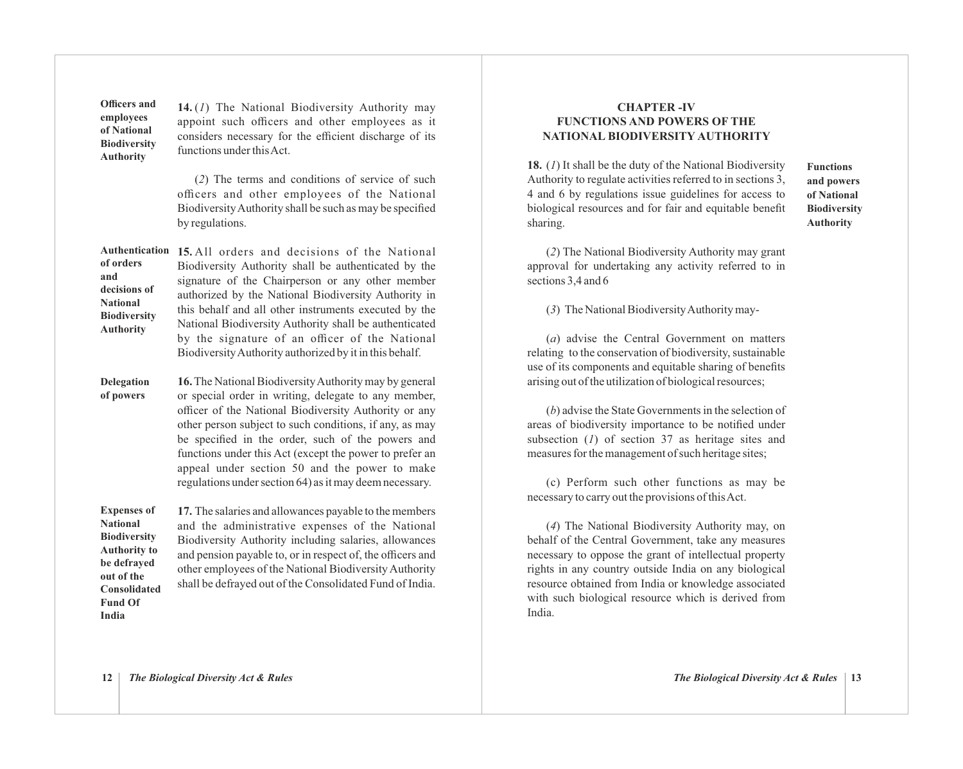**Officers and employees of National Biodiversity Authority**

**14.** (*1*) The National Biodiversity Authority may appoint such officers and other employees as it considers necessary for the efficient discharge of its functions under this Act.

(*2*) The terms and conditions of service of such officers and other employees of the National Biodiversity Authority shall be such as may be specified by regulations.

**15.** All orders and decisions of the National **Authentication**  Biodiversity Authority shall be authenticated by the signature of the Chairperson or any other member authorized by the National Biodiversity Authority in this behalf and all other instruments executed by the National Biodiversity Authority shall be authenticated by the signature of an officer of the National Biodiversity Authority authorized by it in this behalf. **of orders and decisions of National Biodiversity Authority**

**16.**The National Biodiversity Authority may by general or special order in writing, delegate to any member, officer of the National Biodiversity Authority or any other person subject to such conditions, if any, as may be specified in the order, such of the powers and functions under this Act (except the power to prefer an appeal under section 50 and the power to make regulations under section 64) as it may deem necessary. **Delegation of powers**

**17.** The salaries and allowances payable to the members and the administrative expenses of the National Biodiversity Authority including salaries, allowances and pension payable to, or in respect of, the officers and other employees of the National Biodiversity Authority shall be defrayed out of the Consolidated Fund of India. **Expenses of National Biodiversity Authority to be defrayed out of the Consolidated Fund Of**

# **CHAPTER -IV FUNCTIONS AND POWERS OF THE NATIONAL BIODIVERSITY AUTHORITY**

**18.** (*1*) It shall be the duty of the National Biodiversity Authority to regulate activities referred to in sections 3, 4 and 6 by regulations issue guidelines for access to biological resources and for fair and equitable benefit sharing.

**Functions and powers of National Biodiversity Authority**

(*2*) The National Biodiversity Authority may grant approval for undertaking any activity referred to in sections 3,4 and 6

(*3*) The National Biodiversity Authority may-

(*a*) advise the Central Government on matters relating to the conservation of biodiversity, sustainable use of its components and equitable sharing of benefits arising out of the utilization of biological resources;

(*b*) advise the State Governments in the selection of areas of biodiversity importance to be notified under subsection (*1*) of section 37 as heritage sites and measures for the management of such heritage sites;

(c) Perform such other functions as may be necessary to carry out the provisions of this Act.

(*4*) The National Biodiversity Authority may, on behalf of the Central Government, take any measures necessary to oppose the grant of intellectual property rights in any country outside India on any biological resource obtained from India or knowledge associated with such biological resource which is derived from India.

**India**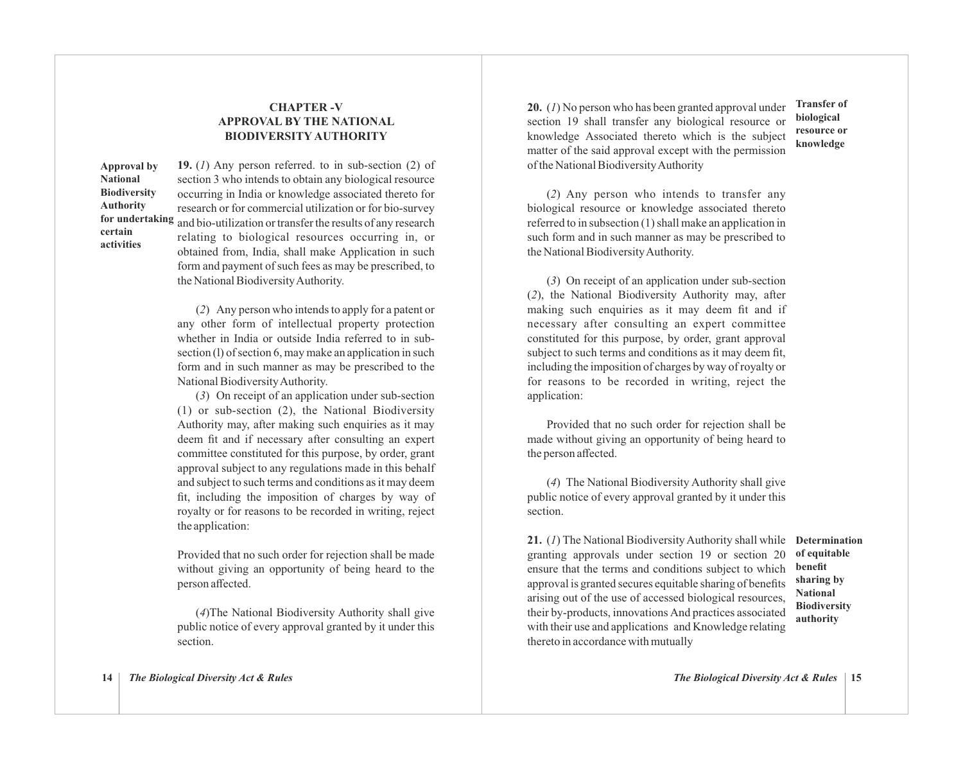# **CHAPTER -V APPROVAL BY THE NATIONAL BIODIVERSITY AUTHORITY**

**Approval by National Biodiversity Authority certain activities**

**19.** (*1*) Any person referred. to in sub-section (2) of section 3 who intends to obtain any biological resource occurring in India or knowledge associated thereto for research or for commercial utilization or for bio-survey for undertaking and bio-utilization or transfer the results of any research relating to biological resources occurring in, or obtained from, India, shall make Application in such form and payment of such fees as may be prescribed, to the National Biodiversity Authority.

> (*2*) Any person who intends to apply for a patent or any other form of intellectual property protection whether in India or outside India referred to in subsection (l) of section 6, may make an application in such form and in such manner as may be prescribed to the National Biodiversity Authority.

> (*3*) On receipt of an application under sub-section (1) or sub-section (2), the National Biodiversity Authority may, after making such enquiries as it may deem fit and if necessary after consulting an expert committee constituted for this purpose, by order, grant approval subject to any regulations made in this behalf and subject to such terms and conditions as it may deem fit, including the imposition of charges by way of royalty or for reasons to be recorded in writing, reject the application:

> Provided that no such order for rejection shall be made without giving an opportunity of being heard to the person affected.

> (*4*)The National Biodiversity Authority shall give public notice of every approval granted by it under this section.

**20.** (*1*) No person who has been granted approval under section 19 shall transfer any biological resource or knowledge Associated thereto which is the subject matter of the said approval except with the permission of the National Biodiversity Authority

**Transfer of biological resource or knowledge**

(*2*) Any person who intends to transfer any biological resource or knowledge associated thereto referred to in subsection (1) shall make an application in such form and in such manner as may be prescribed to the National Biodiversity Authority.

(*3*) On receipt of an application under sub-section (*2*), the National Biodiversity Authority may, after making such enquiries as it may deem fit and if necessary after consulting an expert committee constituted for this purpose, by order, grant approval subject to such terms and conditions as it may deem fit. including the imposition of charges by way of royalty or for reasons to be recorded in writing, reject the application:

Provided that no such order for rejection shall be made without giving an opportunity of being heard to the person affected.

(*4*) The National Biodiversity Authority shall give public notice of every approval granted by it under this section.

**21.** (*1*) The National Biodiversity Authority shall while **Determination** granting approvals under section 19 or section 20 ensure that the terms and conditions subject to which approval is granted secures equitable sharing of benefits arising out of the use of accessed biological resources, their by-products, innovations And practices associated with their use and applications and Knowledge relating thereto in accordance with mutually

**of equitable benefit sharing by National Biodiversity authority**

**14** *The Biological Diversity Act & Rules*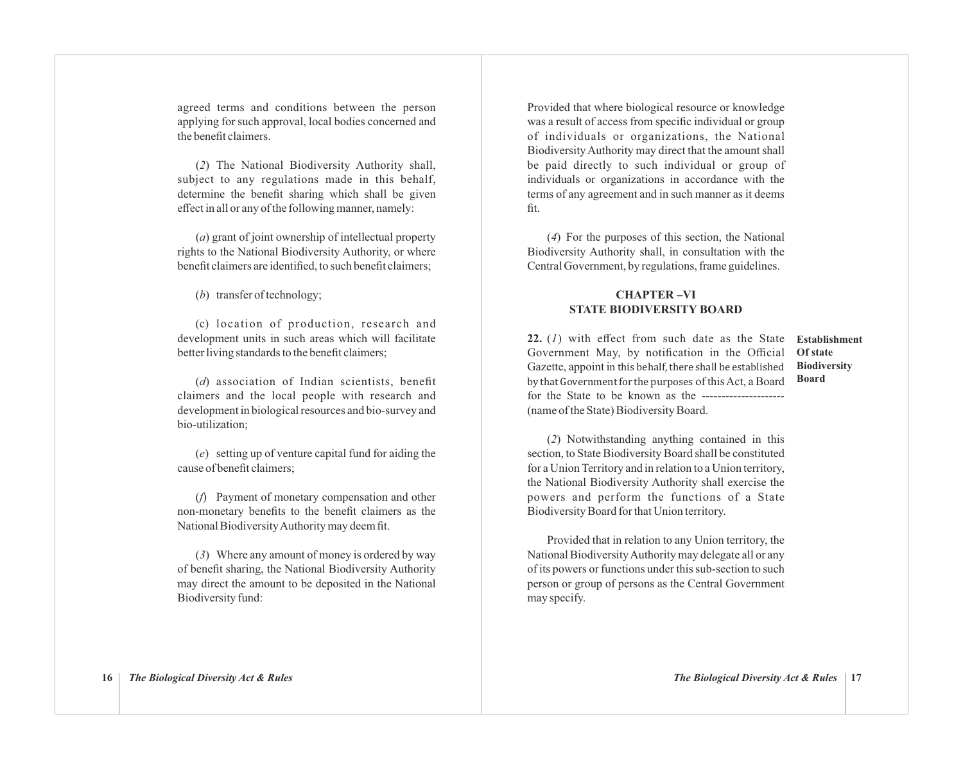agreed terms and conditions between the person applying for such approval, local bodies concerned and the benefit claimers.

(*2*) The National Biodiversity Authority shall, subject to any regulations made in this behalf, determine the benefit sharing which shall be given effect in all or any of the following manner, namely:

(*a*) grant of joint ownership of intellectual property rights to the National Biodiversity Authority, or where benefit claimers are identified, to such benefit claimers;

(*b*) transfer of technology;

(c) location of production, research and development units in such areas which will facilitate better living standards to the benefit claimers;

(*d*) association of Indian scientists, benefit claimers and the local people with research and development in biological resources and bio-survey and bio-utilization;

(*e*) setting up of venture capital fund for aiding the cause of benefit claimers;

(*f*) Payment of monetary compensation and other non-monetary benefits to the benefit claimers as the National Biodiversity Authority may deem fit.

(*3*) Where any amount of money is ordered by way of benefit sharing, the National Biodiversity Authority may direct the amount to be deposited in the National Biodiversity fund:

Provided that where biological resource or knowledge was a result of access from specific individual or group of individuals or organizations, the National Biodiversity Authority may direct that the amount shall be paid directly to such individual or group of individuals or organizations in accordance with the terms of any agreement and in such manner as it deems fit.

(*4*) For the purposes of this section, the National Biodiversity Authority shall, in consultation with the Central Government, by regulations, frame guidelines.

# **CHAPTER –VI STATE BIODIVERSITY BOARD**

**22.** (*1*) with effect from such date as the State Government May, by notification in the Official Gazette, appoint in this behalf, there shall be established by that Government for the purposes of this Act, a Board for the State to be known as the --------------------- (name of the State) Biodiversity Board.

**Establishment Of state Biodiversity Board**

(*2*) Notwithstanding anything contained in this section, to State Biodiversity Board shall be constituted for a Union Territory and in relation to a Union territory, the National Biodiversity Authority shall exercise the powers and perform the functions of a State Biodiversity Board for that Union territory.

Provided that in relation to any Union territory, the National Biodiversity Authority may delegate all or any of its powers or functions under this sub-section to such person or group of persons as the Central Government may specify.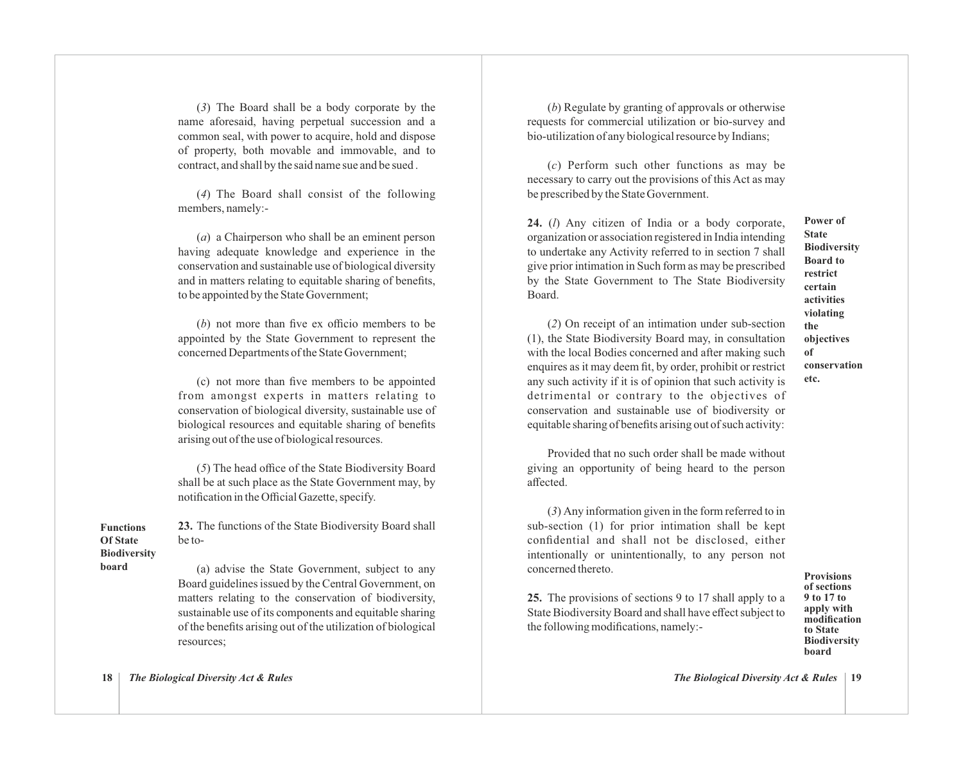(*3*) The Board shall be a body corporate by the name aforesaid, having perpetual succession and a common seal, with power to acquire, hold and dispose of property, both movable and immovable, and to contract, and shall by the said name sue and be sued .

(*4*) The Board shall consist of the following members, namely:-

(*a*) a Chairperson who shall be an eminent person having adequate knowledge and experience in the conservation and sustainable use of biological diversity and in matters relating to equitable sharing of benefits, to be appointed by the State Government;

(*b*) not more than five ex officio members to be appointed by the State Government to represent the concerned Departments of the State Government;

(c) not more than five members to be appointed from amongst experts in matters relating to conservation of biological diversity, sustainable use of biological resources and equitable sharing of benefits arising out of the use of biological resources.

(*5*) The head office of the State Biodiversity Board shall be at such place as the State Government may, by notification in the Official Gazette, specify.

**23.** The functions of the State Biodiversity Board shall be to- **Functions Of State**

**Biodiversity board** 

(a) advise the State Government, subject to any Board guidelines issued by the Central Government, on matters relating to the conservation of biodiversity, sustainable use of its components and equitable sharing of the benefits arising out of the utilization of biological resources;

(*b*) Regulate by granting of approvals or otherwise requests for commercial utilization or bio-survey and bio-utilization of any biological resource by Indians;

(*c*) Perform such other functions as may be necessary to carry out the provisions of this Act as may be prescribed by the State Government.

**24.** (*l*) Any citizen of India or a body corporate, organization or association registered in India intending to undertake any Activity referred to in section 7 shall give prior intimation in Such form as may be prescribed by the State Government to The State Biodiversity Board.

(*2*) On receipt of an intimation under sub-section (1), the State Biodiversity Board may, in consultation with the local Bodies concerned and after making such enquires as it may deem fit, by order, prohibit or restrict any such activity if it is of opinion that such activity is detrimental or contrary to the objectives of conservation and sustainable use of biodiversity or equitable sharing of benefits arising out of such activity:

Provided that no such order shall be made without giving an opportunity of being heard to the person affected.

(*3*) Any information given in the form referred to in sub-section (1) for prior intimation shall be kept confidential and shall not be disclosed, either intentionally or unintentionally, to any person not concerned thereto.

**25.** The provisions of sections 9 to 17 shall apply to a State Biodiversity Board and shall have effect subject to the following modifications, namely:-

**Provisions of sections 9 to 17 to apply with modification to State Biodiversity board**

**Power of State Biodiversity Board to restrict certain activities violating the objectives** 

**of**

**etc.**

**conservation** 

**18** *The Biological Diversity Act & Rules*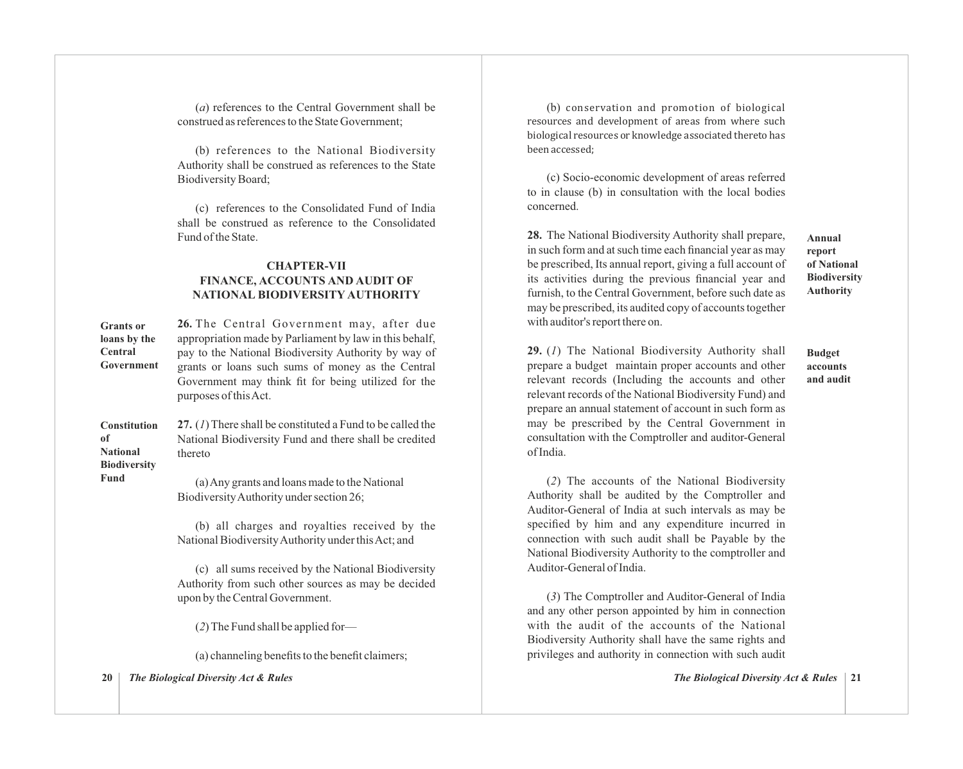(*a*) references to the Central Government shall be construed as references to the State Government;

(b) references to the National Biodiversity Authority shall be construed as references to the State Biodiversity Board;

(c) references to the Consolidated Fund of India shall be construed as reference to the Consolidated Fund of the State.

# **CHAPTER-VII FINANCE, ACCOUNTS AND AUDIT OF NATIONAL BIODIVERSITY AUTHORITY**

**26.** The Central Government may, after due appropriation made by Parliament by law in this behalf, pay to the National Biodiversity Authority by way of grants or loans such sums of money as the Central Government may think fit for being utilized for the purposes of this Act. **Grants or loans by the Central Government**

**27.** (*1*) There shall be constituted a Fund to be called the National Biodiversity Fund and there shall be credited thereto **Constitution of National Biodiversity**

> (a) Any grants and loans made to the National Biodiversity Authority under section 26;

(b) all charges and royalties received by the National Biodiversity Authority under this Act; and

(c) all sums received by the National Biodiversity Authority from such other sources as may be decided upon by the Central Government.

(*2*) The Fund shall be applied for—

(a) channeling benefits to the benefit claimers;

**20** *The Biological Diversity Act & Rules*

**Fund**

(b) conservation and promotion of biological resources and development of areas from where such biological resources or knowledge associated thereto has been accessed;

(c) Socio-economic development of areas referred to in clause (b) in consultation with the local bodies concerned.

**28.** The National Biodiversity Authority shall prepare, in such form and at such time each financial year as may be prescribed, Its annual report, giving a full account of its activities during the previous financial year and furnish, to the Central Government, before such date as may be prescribed, its audited copy of accounts together with auditor's report there on.

**Annual report of National Biodiversity Authority**

**Budget accounts and audit**

**29.** (*1*) The National Biodiversity Authority shall prepare a budget maintain proper accounts and other relevant records (Including the accounts and other relevant records of the National Biodiversity Fund) and prepare an annual statement of account in such form as may be prescribed by the Central Government in consultation with the Comptroller and auditor-General of India.

(*2*) The accounts of the National Biodiversity Authority shall be audited by the Comptroller and Auditor-General of India at such intervals as may be specified by him and any expenditure incurred in connection with such audit shall be Payable by the National Biodiversity Authority to the comptroller and Auditor-General of India.

(*3*) The Comptroller and Auditor-General of India and any other person appointed by him in connection with the audit of the accounts of the National Biodiversity Authority shall have the same rights and privileges and authority in connection with such audit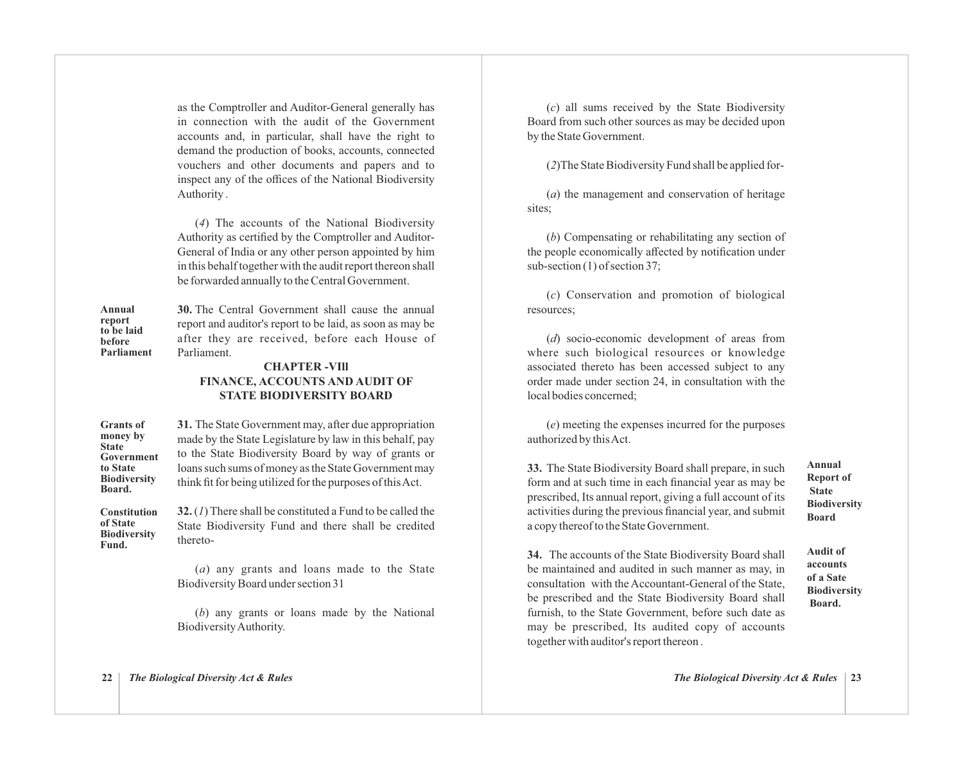as the Comptroller and Auditor-General generally has in connection with the audit of the Government accounts and, in particular, shall have the right to demand the production of books, accounts, connected vouchers and other documents and papers and to inspect any of the offices of the National Biodiversity Authority .

(*4*) The accounts of the National Biodiversity Authority as certified by the Comptroller and Auditor-General of India or any other person appointed by him in this behalf together with the audit report thereon shall be forwarded annually to the Central Government.

**Annual report to be laid before Parliament** **30.** The Central Government shall cause the annual report and auditor's report to be laid, as soon as may be after they are received, before each House of Parliament.

# **CHAPTER -VIll FINANCE, ACCOUNTS AND AUDIT OF STATE BIODIVERSITY BOARD**

**31.** The State Government may, after due appropriation made by the State Legislature by law in this behalf, pay to the State Biodiversity Board by way of grants or loans such sums of money as the State Government may think fit for being utilized for the purposes of this Act. **Grants of money by State Government to State Biodiversity Board.**

**32.** (*1*) There shall be constituted a Fund to be called the State Biodiversity Fund and there shall be credited thereto- **Constitution of State Biodiversity Fund.**

> (*a*) any grants and loans made to the State Biodiversity Board under section 31

> (*b*) any grants or loans made by the National Biodiversity Authority.

(*c*) all sums received by the State Biodiversity Board from such other sources as may be decided upon by the State Government.

(*2*)The State Biodiversity Fund shall be applied for-

(*a*) the management and conservation of heritage sites;

(*b*) Compensating or rehabilitating any section of the people economically affected by notification under sub-section (1) of section 37;

(*c*) Conservation and promotion of biological resources;

(*d*) socio-economic development of areas from where such biological resources or knowledge associated thereto has been accessed subject to any order made under section 24, in consultation with the local bodies concerned;

(*e*) meeting the expenses incurred for the purposes authorized by this Act.

**33.** The State Biodiversity Board shall prepare, in such form and at such time in each financial year as may be prescribed, Its annual report, giving a full account of its activities during the previous financial year, and submit a copy thereof to the State Government.

**Annual Report of State Biodiversity Board**

**34.** The accounts of the State Biodiversity Board shall be maintained and audited in such manner as may, in consultation with the Accountant-General of the State, be prescribed and the State Biodiversity Board shall furnish, to the State Government, before such date as may be prescribed, Its audited copy of accounts together with auditor's report thereon .

**Audit of accounts of a Sate Biodiversity Board.**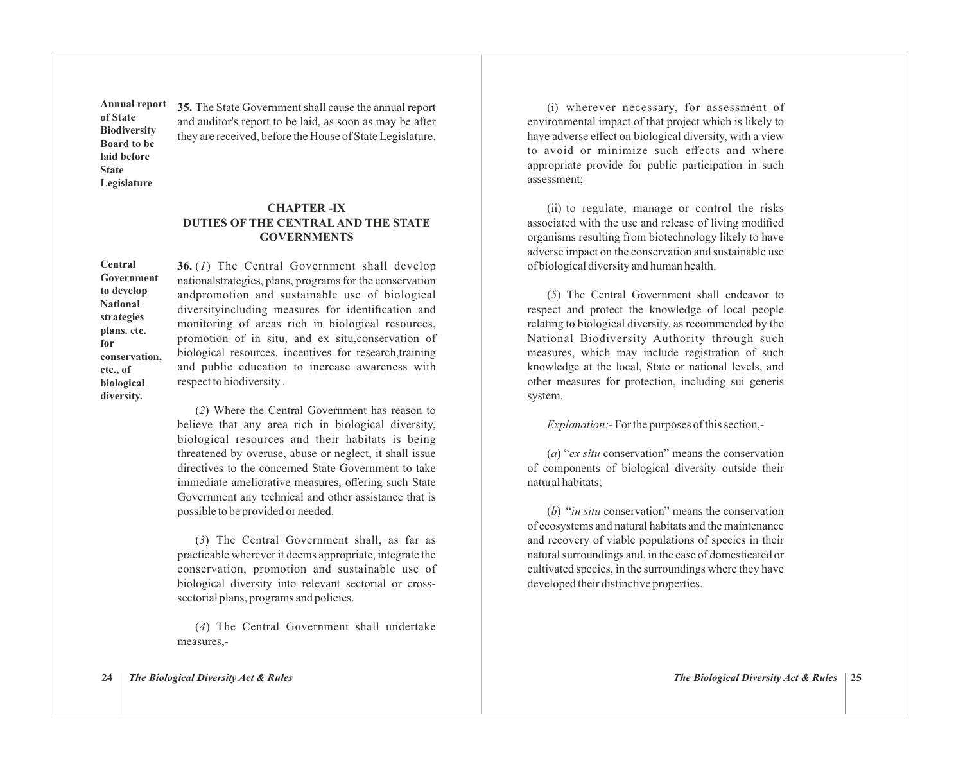**Annual report of State Biodiversity Board to be laid before State Legislature**

**35.** The State Government shall cause the annual report and auditor's report to be laid, as soon as may be after they are received, before the House of State Legislature.

# **CHAPTER -IX DUTIES OF THE CENTRALAND THE STATE GOVERNMENTS**

**Central Government to develop National strategies plans. etc. for conservation, etc., of biological diversity.**

**36.** (*1*) The Central Government shall develop nationalstrategies, plans, programs for the conservation andpromotion and sustainable use of biological diversityincluding measures for identification and monitoring of areas rich in biological resources, promotion of in situ, and ex situ,conservation of biological resources, incentives for research,training and public education to increase awareness with respect to biodiversity .

(*2*) Where the Central Government has reason to believe that any area rich in biological diversity, biological resources and their habitats is being threatened by overuse, abuse or neglect, it shall issue directives to the concerned State Government to take immediate ameliorative measures, offering such State Government any technical and other assistance that is possible to be provided or needed.

(*3*) The Central Government shall, as far as practicable wherever it deems appropriate, integrate the conservation, promotion and sustainable use of biological diversity into relevant sectorial or crosssectorial plans, programs and policies.

(*4*) The Central Government shall undertake measures,-

(i) wherever necessary, for assessment of environmental impact of that project which is likely to have adverse effect on biological diversity, with a view to avoid or minimize such effects and where appropriate provide for public participation in such assessment;

(ii) to regulate, manage or control the risks associated with the use and release of living modified organisms resulting from biotechnology likely to have adverse impact on the conservation and sustainable use of biological diversity and human health.

(*5*) The Central Government shall endeavor to respect and protect the knowledge of local people relating to biological diversity, as recommended by the National Biodiversity Authority through such measures, which may include registration of such knowledge at the local, State or national levels, and other measures for protection, including sui generis system.

*Explanation:-* For the purposes of this section,-

(*a*) "*ex situ* conservation" means the conservation of components of biological diversity outside their natural habitats;

(*b*) "*in situ* conservation" means the conservation of ecosystems and natural habitats and the maintenance and recovery of viable populations of species in their natural surroundings and, in the case of domesticated or cultivated species, in the surroundings where they have developed their distinctive properties.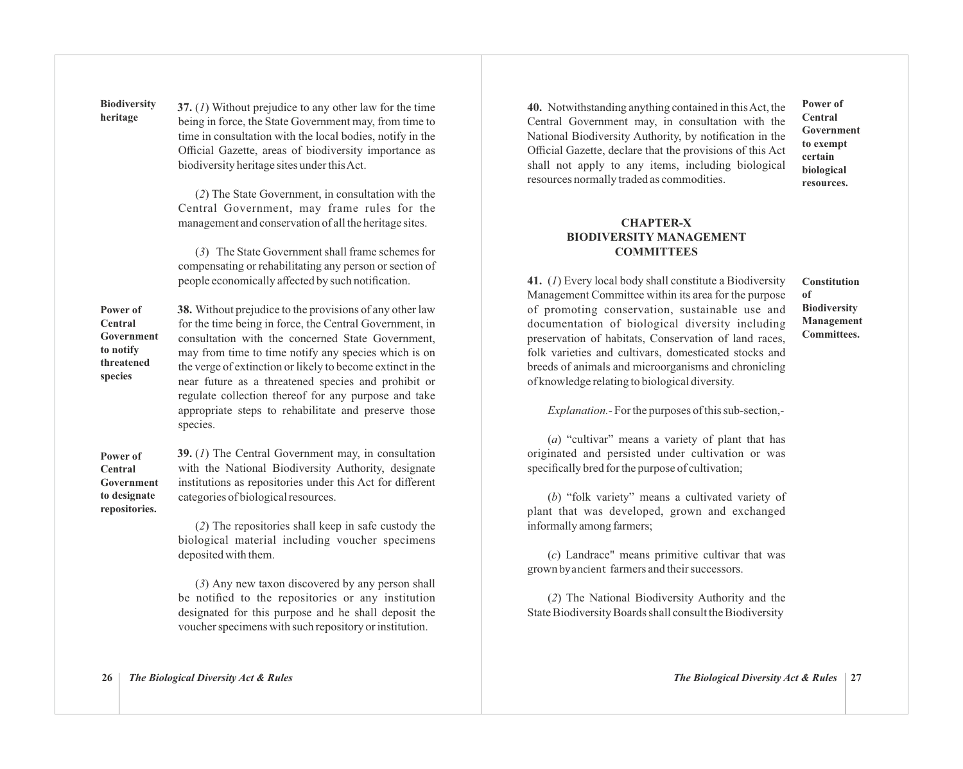**37.** (*1*) Without prejudice to any other law for the time being in force, the State Government may, from time to time in consultation with the local bodies, notify in the Official Gazette, areas of biodiversity importance as biodiversity heritage sites under this Act. **Biodiversity heritage**

> (*2*) The State Government, in consultation with the Central Government, may frame rules for the management and conservation of all the heritage sites.

> (*3*) The State Government shall frame schemes for compensating or rehabilitating any person or section of people economically affected by such notification.

**38.** Without prejudice to the provisions of any other law for the time being in force, the Central Government, in consultation with the concerned State Government, may from time to time notify any species which is on the verge of extinction or likely to become extinct in the near future as a threatened species and prohibit or regulate collection thereof for any purpose and take appropriate steps to rehabilitate and preserve those species. **Power of Central Government to notify threatened species**

**39.** (*1*) The Central Government may, in consultation with the National Biodiversity Authority, designate institutions as repositories under this Act for different categories of biologicalresources. **Power of Central Government to designate repositories.**

> (*2*) The repositories shall keep in safe custody the biological material including voucher specimens deposited with them.

> (*3*) Any new taxon discovered by any person shall be notified to the repositories or any institution designated for this purpose and he shall deposit the voucher specimens with such repository or institution.

**40.** Notwithstanding anything contained in this Act, the Central Government may, in consultation with the National Biodiversity Authority, by notification in the Official Gazette, declare that the provisions of this Act shall not apply to any items, including biological resources normally traded as commodities.

**Power of Central Government to exempt certain biological resources.**

# **CHAPTER-X BIODIVERSITY MANAGEMENT COMMITTEES**

**41.** (*1*) Every local body shall constitute a Biodiversity Management Committee within its area for the purpose of promoting conservation, sustainable use and documentation of biological diversity including preservation of habitats, Conservation of land races, folk varieties and cultivars, domesticated stocks and breeds of animals and microorganisms and chronicling of knowledge relating to biological diversity.

#### **Constitution of Biodiversity Management Committees.**

*Explanation.*- For the purposes of this sub-section,-

(*a*) "cultivar" means a variety of plant that has originated and persisted under cultivation or was specifically bred for the purpose of cultivation;

(*b*) "folk variety" means a cultivated variety of plant that was developed, grown and exchanged informally among farmers;

(*c*) Landrace" means primitive cultivar that was grown by ancient farmers and their successors.

(*2*) The National Biodiversity Authority and the State Biodiversity Boards shall consult the Biodiversity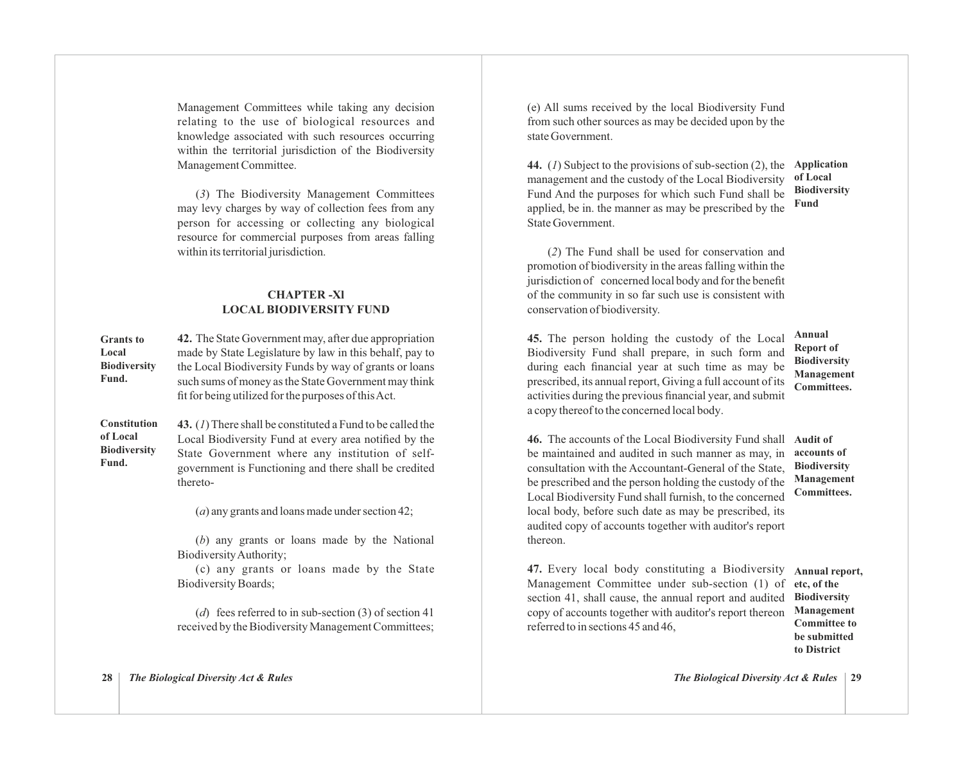Management Committees while taking any decision relating to the use of biological resources and knowledge associated with such resources occurring within the territorial jurisdiction of the Biodiversity Management Committee.

(*3*) The Biodiversity Management Committees may levy charges by way of collection fees from any person for accessing or collecting any biological resource for commercial purposes from areas falling within its territorial jurisdiction.

# **CHAPTER -Xl LOCAL BIODIVERSITY FUND**

**42.** The State Government may, after due appropriation made by State Legislature by law in this behalf, pay to the Local Biodiversity Funds by way of grants or loans such sums of money as the State Government may think fit for being utilized for the purposes of this Act. **Grants to Local Biodiversity Fund.**

**43.** (*1*) There shall be constituted a Fund to be called the Local Biodiversity Fund at every area notified by the State Government where any institution of selfgovernment is Functioning and there shall be credited thereto- **Constitution of Local Biodiversity Fund.**

(*a*) any grants and loans made under section 42;

(*b*) any grants or loans made by the National Biodiversity Authority;

(c) any grants or loans made by the State Biodiversity Boards;

(*d*) fees referred to in sub-section (3) of section 41 received by the Biodiversity Management Committees; (e) All sums received by the local Biodiversity Fund from such other sources as may be decided upon by the state Government.

**44.** (*1*) Subject to the provisions of sub-section (2), the **Application**  management and the custody of the Local Biodiversity Fund And the purposes for which such Fund shall be applied, be in. the manner as may be prescribed by the State Government.

**of Local Biodiversity Fund**

(*2*) The Fund shall be used for conservation and promotion of biodiversity in the areas falling within the jurisdiction of concerned local body and for the benefit of the community in so far such use is consistent with conservation of biodiversity.

**45.** The person holding the custody of the Local Biodiversity Fund shall prepare, in such form and during each financial year at such time as may be prescribed, its annual report, Giving a full account of its activities during the previous financial year, and submit a copy thereof to the concerned local body.

**Annual Report of Biodiversity Management Committees.**

**46.** The accounts of the Local Biodiversity Fund shall **Audit of** be maintained and audited in such manner as may, in consultation with the Accountant-General of the State, be prescribed and the person holding the custody of the Local Biodiversity Fund shall furnish, to the concerned local body, before such date as may be prescribed, its audited copy of accounts together with auditor's report thereon.

**accounts of Biodiversity Management Committees.**

**47.** Every local body constituting a Biodiversity **Annual report,**  Management Committee under sub-section (1) of section 41, shall cause, the annual report and audited copy of accounts together with auditor's report thereon referred to in sections 45 and 46,

**etc, of the Biodiversity Management Committee to be submitted to District**

**28** *The Biological Diversity Act & Rules*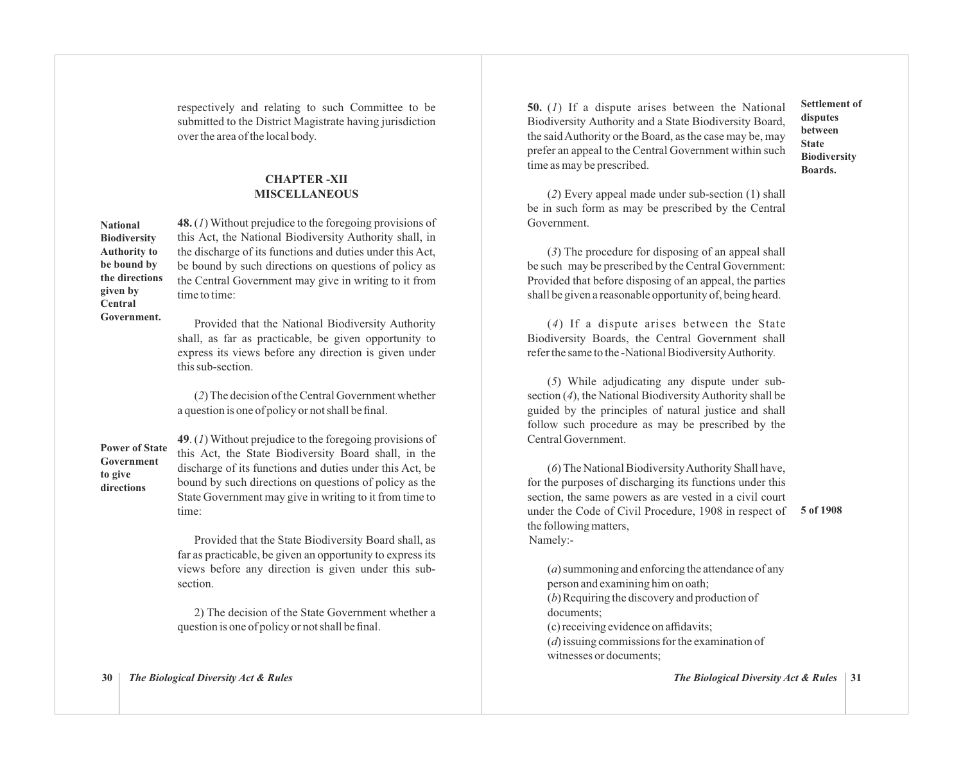respectively and relating to such Committee to be submitted to the District Magistrate having jurisdiction over the area of the local body.

# **CHAPTER -XII MISCELLANEOUS**

**National Biodiversity Authority to be bound by the directions given by Central Government.**

**48.** (*1*) Without prejudice to the foregoing provisions of this Act, the National Biodiversity Authority shall, in the discharge of its functions and duties under this Act, be bound by such directions on questions of policy as the Central Government may give in writing to it from time to time:

Provided that the National Biodiversity Authority shall, as far as practicable, be given opportunity to express its views before any direction is given under this sub-section.

(*2*) The decision of the Central Government whether a question is one of policy or not shall be final.

# **Power of State Government to give directions**

**49**. (*1*) Without prejudice to the foregoing provisions of this Act, the State Biodiversity Board shall, in the discharge of its functions and duties under this Act, be bound by such directions on questions of policy as the State Government may give in writing to it from time to time:

Provided that the State Biodiversity Board shall, as far as practicable, be given an opportunity to express its views before any direction is given under this subsection.

2) The decision of the State Government whether a question is one of policy or not shall be final.

**30** *The Biological Diversity Act & Rules*

**50.** (*1*) If a dispute arises between the National Biodiversity Authority and a State Biodiversity Board, the said Authority or the Board, as the case may be, may prefer an appeal to the Central Government within such time as may be prescribed.

**Settlement of disputes between State Biodiversity Boards.**

(*2*) Every appeal made under sub-section (1) shall be in such form as may be prescribed by the Central Government.

 (*3*) The procedure for disposing of an appeal shall be such may be prescribed by the Central Government: Provided that before disposing of an appeal, the parties shall be given a reasonable opportunity of, being heard.

 (*4*) If a dispute arises between the State Biodiversity Boards, the Central Government shall refer the same to the -National Biodiversity Authority.

(*5*) While adjudicating any dispute under subsection (*4*), the National Biodiversity Authority shall be guided by the principles of natural justice and shall follow such procedure as may be prescribed by the Central Government.

(*6*) The National Biodiversity Authority Shall have, for the purposes of discharging its functions under this section, the same powers as are vested in a civil court under the Code of Civil Procedure, 1908 in respect of the following matters, Namely:-

#### **5 of 1908**

(*a*) summoning and enforcing the attendance of any person and examining him on oath; (*b*)Requiring the discovery and production of documents; (c)receiving evidence on affidavits; (*d*) issuing commissions for the examination of witnesses or documents;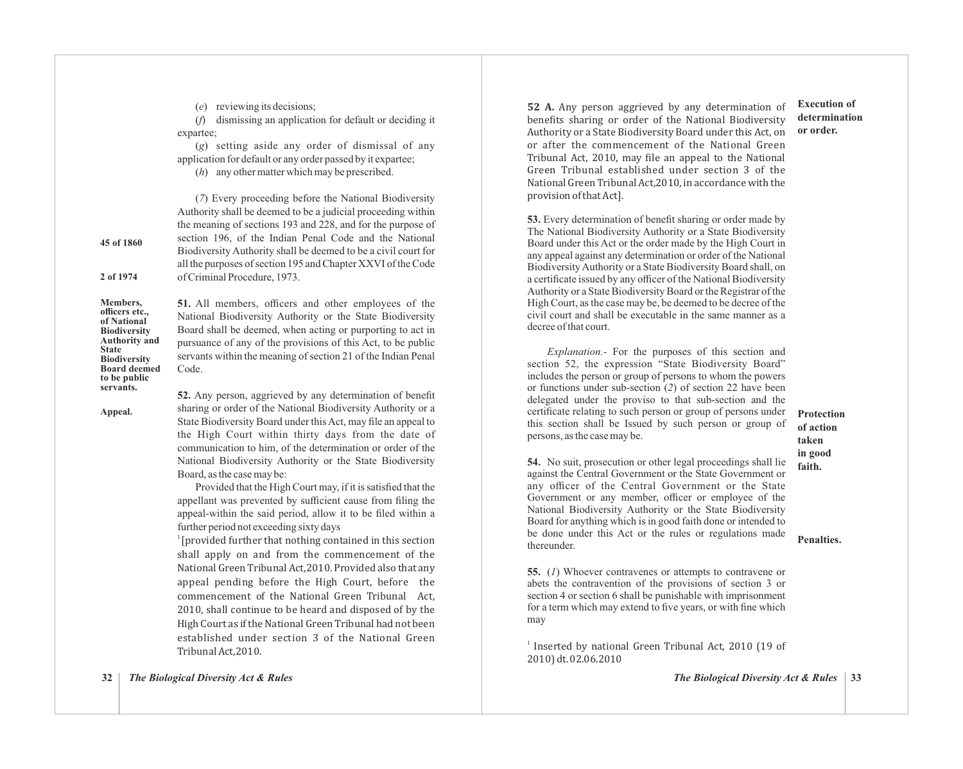(*e*) reviewing its decisions;

(*f*) dismissing an application for default or deciding it expartee;

(*g*) setting aside any order of dismissal of any application for default or any order passed by it expartee;

(*7*) Every proceeding before the National Biodiversity

(*h*) any other matter which may be prescribed.

**45 of 1860**

**2 of 1974**

Authority shall be deemed to be a judicial proceeding within the meaning of sections 193 and 228, and for the purpose of section 196, of the Indian Penal Code and the National Biodiversity Authority shall be deemed to be a civil court for all the purposes of section 195 and Chapter XXVI of the Code of Criminal Procedure, 1973.

**Members, officers etc., of National Biodiversity Authority and State Biodiversity Board deemed to be public servants.**

**51.** All members, officers and other employees of the National Biodiversity Authority or the State Biodiversity Board shall be deemed, when acting or purporting to act in pursuance of any of the provisions of this Act, to be public servants within the meaning of section 21 of the Indian Penal Code.

**Appeal.**

**52.** Any person, aggrieved by any determination of benefit sharing or order of the National Biodiversity Authority or a State Biodiversity Board under this Act, may file an appeal to the High Court within thirty days from the date of communication to him, of the determination or order of the National Biodiversity Authority or the State Biodiversity Board, as the case may be:

Provided that the High Court may, if it is satisfied that the appellant was prevented by sufficient cause from filing the appeal-within the said period, allow it to be filed within a further period not exceeding sixty days

 $1$ [provided further that nothing contained in this section shall apply on and from the commencement of the National Green Tribunal Act, 2010. Provided also that any appeal pending before the High Court, before the commencement of the National Green Tribunal Act, 2010, shall continue to be heard and disposed of by the High Court as if the National Green Tribunal had not been established under section 3 of the National Green Tribunal Act,2010.

**52 A.** Any person aggrieved by any determination of benefits sharing or order of the National Biodiversity Authority or a State Biodiversity Board under this Act, on or after the commencement of the National Green Tribunal Act, 2010, may file an appeal to the National Green Tribunal established under section 3 of the National Green Tribunal Act,2010, in accordance with the provision of that Act].

**53.** Every determination of benefit sharing or order made by The National Biodiversity Authority or a State Biodiversity Board under this Act or the order made by the High Court in any appeal against any determination or order of the National Biodiversity Authority or a State Biodiversity Board shall, on a certificate issued by any officer of the National Biodiversity Authority or a State Biodiversity Board or the Registrar of the High Court, as the case may be, be deemed to be decree of the civil court and shall be executable in the same manner as a decree of that court.

*Explanation.-* For the purposes of this section and section 52, the expression "State Biodiversity Board" includes the person or group of persons to whom the powers or functions under sub-section (*2*) of section 22 have been delegated under the proviso to that sub-section and the certificate relating to such person or group of persons under this section shall be Issued by such person or group of persons, as the case may be.

**54.** No suit, prosecution or other legal proceedings shall lie against the Central Government or the State Government or any officer of the Central Government or the State Government or any member, officer or employee of the National Biodiversity Authority or the State Biodiversity Board for anything which is in good faith done or intended to be done under this Act or the rules or regulations made thereunder.

**55.** (*1*) Whoever contravenes or attempts to contravene or abets the contravention of the provisions of section 3 or section 4 or section 6 shall be punishable with imprisonment for a term which may extend to five years, or with fine which may

<sup>1</sup> Inserted by national Green Tribunal Act, 2010 (19 of 2010) dt. 02.06.2010

*The Biological Diversity Act & Rules* | 33

**32** *The Biological Diversity Act & Rules*

**of action taken in good**

**Protection**

**Execution of determination or order.**

**faith.**

**Penalties.**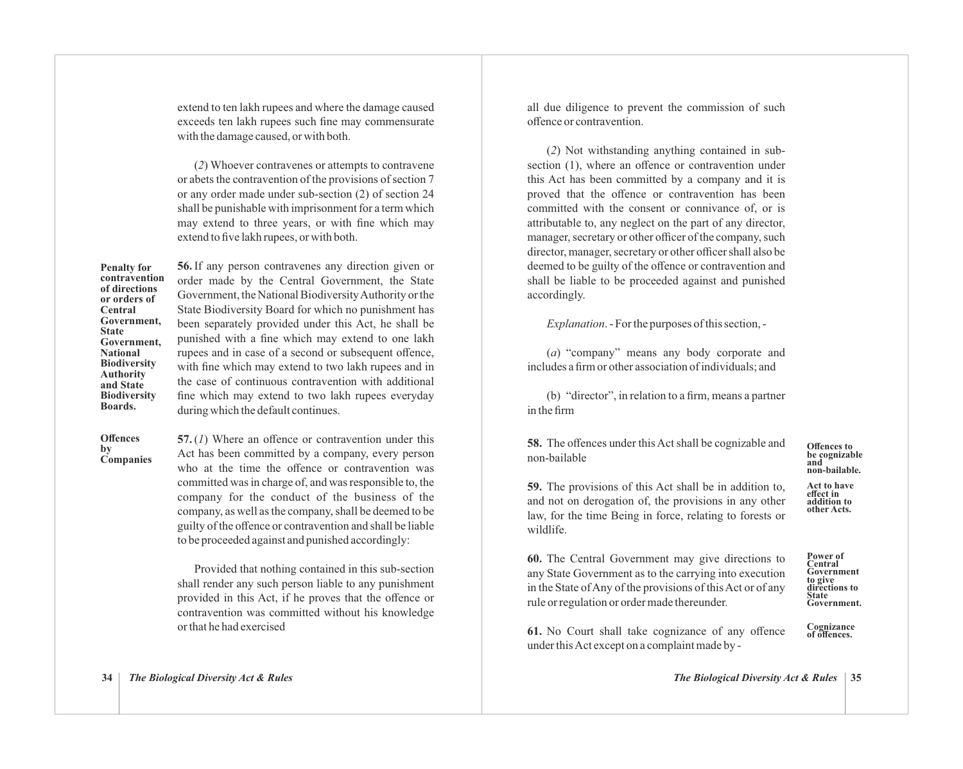extend to ten lakh rupees and where the damage caused exceeds ten lakh rupees such fine may commensurate with the damage caused, or with both.

(*2*) Whoever contravenes or attempts to contravene or abets the contravention of the provisions of section 7 or any order made under sub-section (2) of section 24 shall be punishable with imprisonment for a term which may extend to three years, or with fine which may extend to five lakh rupees, or with both.

**Penalty for contravention of directions or orders of Central Government, State Government, National Biodiversity Authority and State Biodiversity Boards.**

**56.** If any person contravenes any direction given or order made by the Central Government, the State Government, the National Biodiversity Authority or the State Biodiversity Board for which no punishment has been separately provided under this Act, he shall be punished with a fine which may extend to one lakh rupees and in case of a second or subsequent offence. with fine which may extend to two lakh rupees and in the case of continuous contravention with additional fine which may extend to two lakh rupees everyday during which the default continues.

**Offences by Companies** **57.**(*1*) Where an offence or contravention under this Act has been committed by a company, every person who at the time the offence or contravention was committed was in charge of, and was responsible to, the company for the conduct of the business of the company, as well as the company, shall be deemed to be guilty of the offence or contravention and shall be liable to be proceeded against and punished accordingly:

Provided that nothing contained in this sub-section shall render any such person liable to any punishment provided in this Act, if he proves that the offence or contravention was committed without his knowledge or that he had exercised

all due diligence to prevent the commission of such offence or contravention.

(*2*) Not withstanding anything contained in subsection (1), where an offence or contravention under this Act has been committed by a company and it is proved that the offence or contravention has been committed with the consent or connivance of, or is attributable to, any neglect on the part of any director, manager, secretary or other officer of the company, such director, manager, secretary or other officer shall also be deemed to be guilty of the offence or contravention and shall be liable to be proceeded against and punished accordingly.

*Explanation*. - For the purposes of this section, -

(*a*) "company" means any body corporate and includes a firm or other association of individuals; and

(b) "director", in relation to a firm, means a partner in the firm

**58.** The offences under this Act shall be cognizable and non-bailable

# **Offences to be cognizable and non-bailable.**

**Act to have effect in addition to other Acts.**

**59.** The provisions of this Act shall be in addition to, and not on derogation of, the provisions in any other law, for the time Being in force, relating to forests or wildlife.

**60.** The Central Government may give directions to any State Government as to the carrying into execution in the State of Any of the provisions of this Act or of any rule or regulation or order made thereunder.

**Power of Central Government to give directions to State Government.**

**61.** No Court shall take cognizance of any offence under this Act except on a complaint made by -**Cognizance of offences.**

**34** *The Biological Diversity Act & Rules*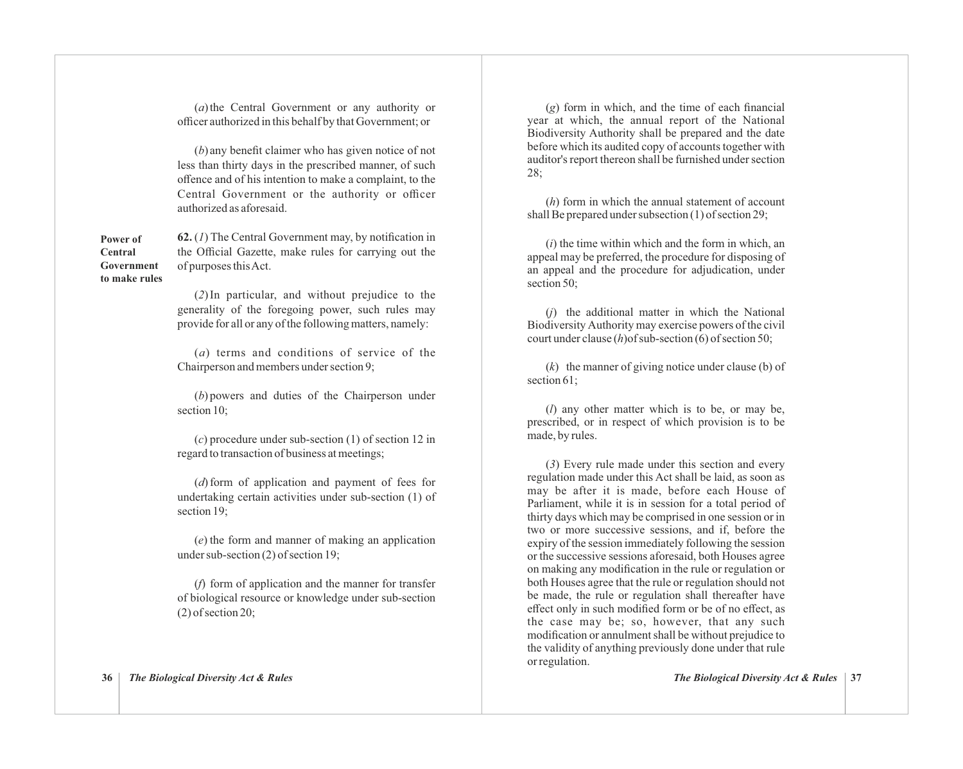(*a*) the Central Government or any authority or officer authorized in this behalf by that Government; or

(*b*) any benefit claimer who has given notice of not less than thirty days in the prescribed manner, of such offence and of his intention to make a complaint, to the Central Government or the authority or officer authorized as aforesaid.

**Power of Central Government to make rules** **62.** (*1*) The Central Government may, by notification in the Official Gazette, make rules for carrying out the of purposes this Act.

(*2*) In particular, and without prejudice to the generality of the foregoing power, such rules may provide for all or any of the following matters, namely:

(*a*) terms and conditions of service of the Chairperson and members under section 9;

(*b*) powers and duties of the Chairperson under section 10;

(*c*) procedure under sub-section (1) of section 12 in regard to transaction of business at meetings;

(*d*) form of application and payment of fees for undertaking certain activities under sub-section (1) of section 19;

(*e*) the form and manner of making an application under sub-section (2) of section 19;

(*f*) form of application and the manner for transfer of biological resource or knowledge under sub-section (2) of section 20;

**36** *The Biological Diversity Act & Rules*

(*g*) form in which, and the time of each financial year at which, the annual report of the National Biodiversity Authority shall be prepared and the date before which its audited copy of accounts together with auditor's report thereon shall be furnished under section 28;

(*h*) form in which the annual statement of account shall Be prepared under subsection (1) of section 29;

(*i*) the time within which and the form in which, an appeal may be preferred, the procedure for disposing of an appeal and the procedure for adjudication, under section 50;

(*j*) the additional matter in which the National Biodiversity Authority may exercise powers of the civil court under clause (*h*)of sub-section (6) of section 50;

(*k*) the manner of giving notice under clause (b) of section 61:

(*l*) any other matter which is to be, or may be, prescribed, or in respect of which provision is to be made, by rules.

(*3*) Every rule made under this section and every regulation made under this Act shall be laid, as soon as may be after it is made, before each House of Parliament, while it is in session for a total period of thirty days which may be comprised in one session or in two or more successive sessions, and if, before the expiry of the session immediately following the session or the successive sessions aforesaid, both Houses agree on making any modification in the rule or regulation or both Houses agree that the rule or regulation should not be made, the rule or regulation shall thereafter have effect only in such modified form or be of no effect, as the case may be; so, however, that any such modification or annulment shall be without prejudice to the validity of anything previously done under that rule or regulation.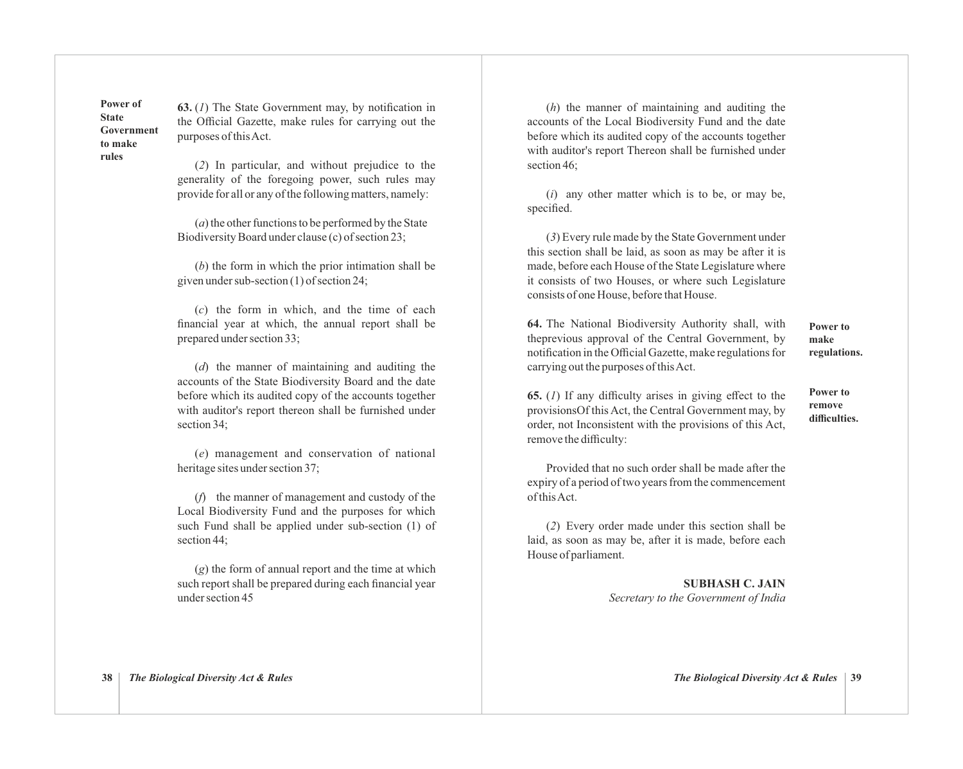**Power of State Government to make rules**

**63.** (*1*) The State Government may, by notification in the Official Gazette, make rules for carrying out the purposes of this Act.

(*2*) In particular, and without prejudice to the generality of the foregoing power, such rules may provide for all or any of the following matters, namely:

(*a*) the other functions to be performed by the State Biodiversity Board under clause (c) of section 23;

(*b*) the form in which the prior intimation shall be given under sub-section (1) of section 24;

(*c*) the form in which, and the time of each financial year at which, the annual report shall be prepared under section 33;

(*d*) the manner of maintaining and auditing the accounts of the State Biodiversity Board and the date before which its audited copy of the accounts together with auditor's report thereon shall be furnished under section 34;

(*e*) management and conservation of national heritage sites under section 37;

(*f*) the manner of management and custody of the Local Biodiversity Fund and the purposes for which such Fund shall be applied under sub-section (1) of section 44;

(*g*) the form of annual report and the time at which such report shall be prepared during each financial year under section 45

(*h*) the manner of maintaining and auditing the accounts of the Local Biodiversity Fund and the date before which its audited copy of the accounts together with auditor's report Thereon shall be furnished under section 46;

(*i*) any other matter which is to be, or may be, specified.

(*3*) Every rule made by the State Government under this section shall be laid, as soon as may be after it is made, before each House of the State Legislature where it consists of two Houses, or where such Legislature consists of one House, before that House.

**64.** The National Biodiversity Authority shall, with theprevious approval of the Central Government, by notification in the Official Gazette, make regulations for carrying out the purposes of this Act.

**Power to make regulations.**

**65.** (*1*) If any difficulty arises in giving effect to the provisionsOf this Act, the Central Government may, by order, not Inconsistent with the provisions of this Act, remove the difficulty:

**Power to remove difficulties.**

Provided that no such order shall be made after the expiry of a period of two years from the commencement of this Act.

(*2*) Every order made under this section shall be laid, as soon as may be, after it is made, before each House of parliament.

> **SUBHASH C. JAIN** *Secretary to the Government of India*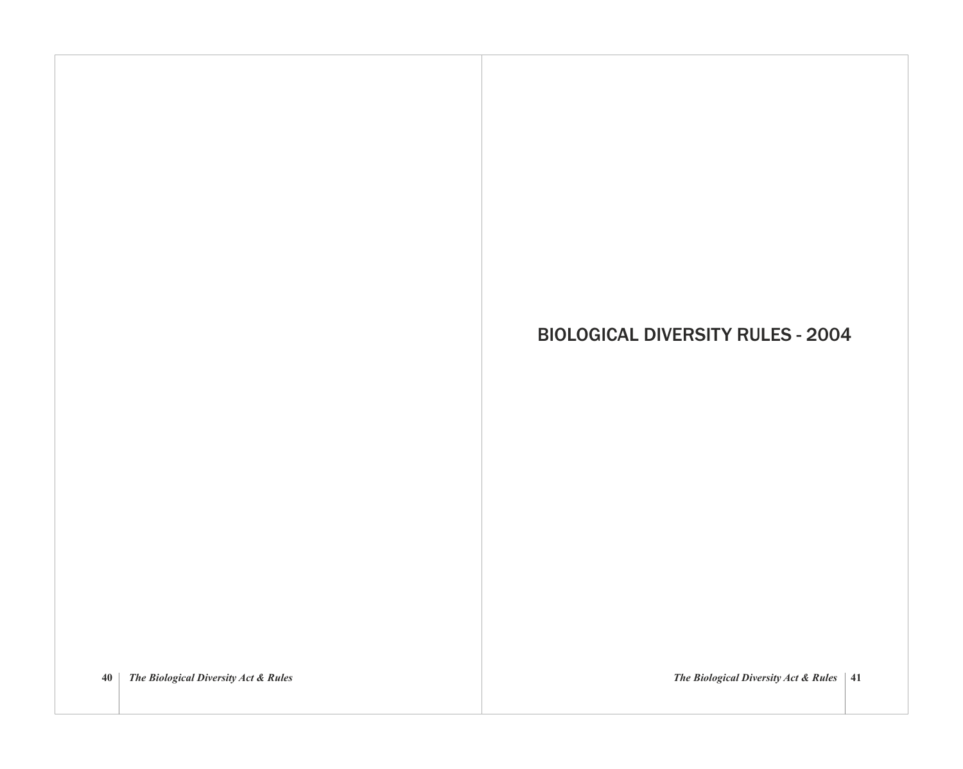# BIOLOGICAL DIVERSITY RULES - 2004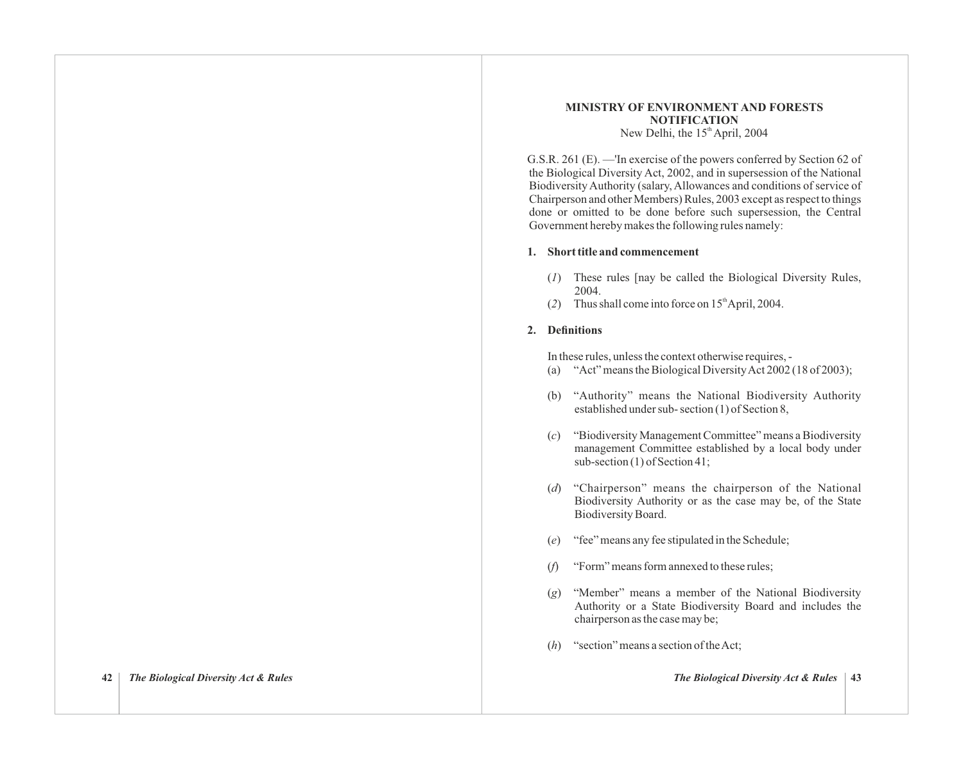### **MINISTRY OF ENVIRONMENT AND FORESTS NOTIFICATION** New Delhi, the  $15<sup>th</sup>$  April, 2004

G.S.R. 261 (E). —'In exercise of the powers conferred by Section 62 of the Biological Diversity Act, 2002, and in supersession of the National Biodiversity Authority (salary, Allowances and conditions of service of Chairperson and other Members) Rules, 2003 except as respect to things done or omitted to be done before such supersession, the Central Government hereby makes the following rules namely:

### **1. Short title and commencement**

- (*1*) These rules [nay be called the Biological Diversity Rules, 2004.
- (2) Thus shall come into force on  $15<sup>th</sup>$ April, 2004.

# **2. Definitions**

In these rules, unless the context otherwise requires, -

- (a) "Act" means the Biological Diversity Act 2002 (18 of 2003);
- (b) "Authority" means the National Biodiversity Authority established under sub- section (1) of Section 8,
- (*c*) "Biodiversity Management Committee" means a Biodiversity management Committee established by a local body under sub-section (1) of Section 41;
- (*d*) "Chairperson" means the chairperson of the National Biodiversity Authority or as the case may be, of the State Biodiversity Board.
- (*e*) "fee" means any fee stipulated in the Schedule;
- (*f*) "Form" means form annexed to these rules;
- (*g*) "Member" means a member of the National Biodiversity Authority or a State Biodiversity Board and includes the chairperson as the case may be;
- (*h*) "section" means a section of the Act;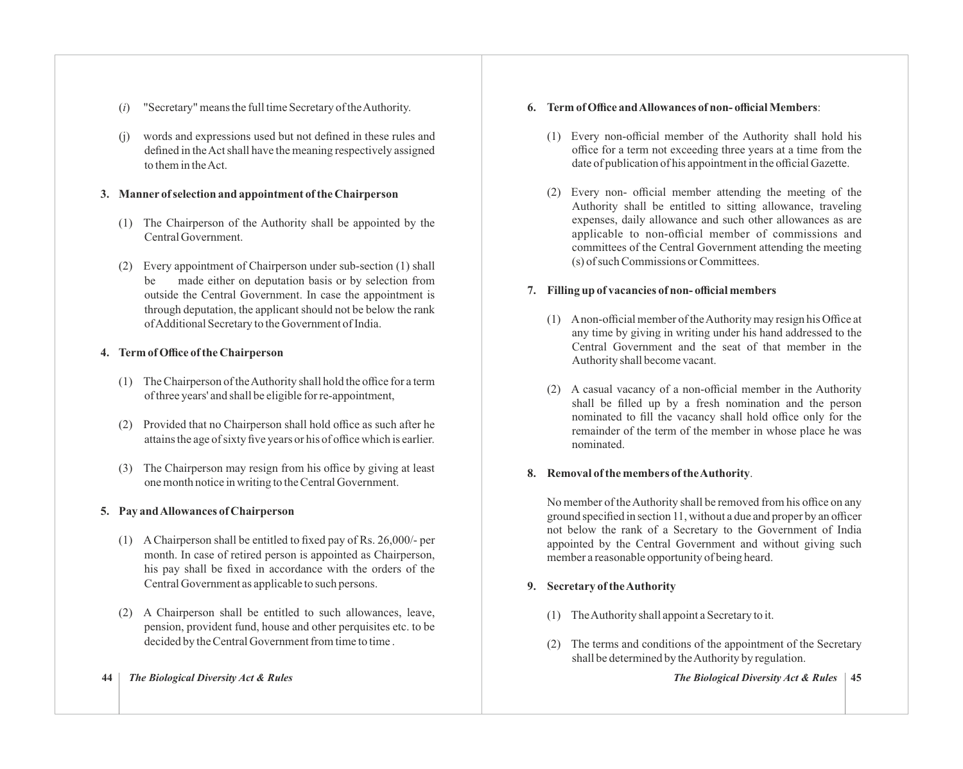- (*i*) "Secretary" means the full time Secretary of the Authority.
- (j) words and expressions used but not defined in these rules and defined in the Act shall have the meaning respectively assigned to them in the Act.

# **3. Manner of selection and appointment of the Chairperson**

- (1) The Chairperson of the Authority shall be appointed by the Central Government.
- (2) Every appointment of Chairperson under sub-section (1) shall be made either on deputation basis or by selection from outside the Central Government. In case the appointment is through deputation, the applicant should not be below the rank of Additional Secretary to the Government of India.

# **4. Term of Office of the Chairperson**

- (1) The Chairperson of the Authority shall hold the office for a term of three years' and shall be eligible for re-appointment,
- (2) Provided that no Chairperson shall hold office as such after he attains the age of sixty five years or his of office which is earlier.
- (3) The Chairperson may resign from his office by giving at least one month notice in writing to the Central Government.

# **5. Pay and Allowances of Chairperson**

- (1) A Chairperson shall be entitled to fixed pay of Rs. 26,000/- per month. In case of retired person is appointed as Chairperson, his pay shall be fixed in accordance with the orders of the Central Government as applicable to such persons.
- (2) A Chairperson shall be entitled to such allowances, leave, pension, provident fund, house and other perquisites etc. to be decided by the Central Government from time to time.

### **44** *The Biological Diversity Act & Rules The Biological Diversity Act & Rules* **45**

# **6. Term of Office and Allowances of non- official Members**:

- (1) Every non-official member of the Authority shall hold his office for a term not exceeding three years at a time from the date of publication of his appointment in the official Gazette.
- (2) Every non- official member attending the meeting of the Authority shall be entitled to sitting allowance, traveling expenses, daily allowance and such other allowances as are applicable to non-official member of commissions and committees of the Central Government attending the meeting (s) of such Commissions or Committees.

# **7. Filling up of vacancies of non- official members**

- (1) Anon-official member of the Authority may resign his Office at any time by giving in writing under his hand addressed to the Central Government and the seat of that member in the Authority shall become vacant.
- (2) A casual vacancy of a non-official member in the Authority shall be filled up by a fresh nomination and the person nominated to fill the vacancy shall hold office only for the remainder of the term of the member in whose place he was nominated.

# **8. Removal of the members of the Authority**.

No member of the Authority shall be removed from his office on any ground specified in section 11, without a due and proper by an officer not below the rank of a Secretary to the Government of India appointed by the Central Government and without giving such member a reasonable opportunity of being heard.

# **9. Secretary of the Authority**

- (1) The Authority shall appoint a Secretary to it.
- (2) The terms and conditions of the appointment of the Secretary shall be determined by the Authority by regulation.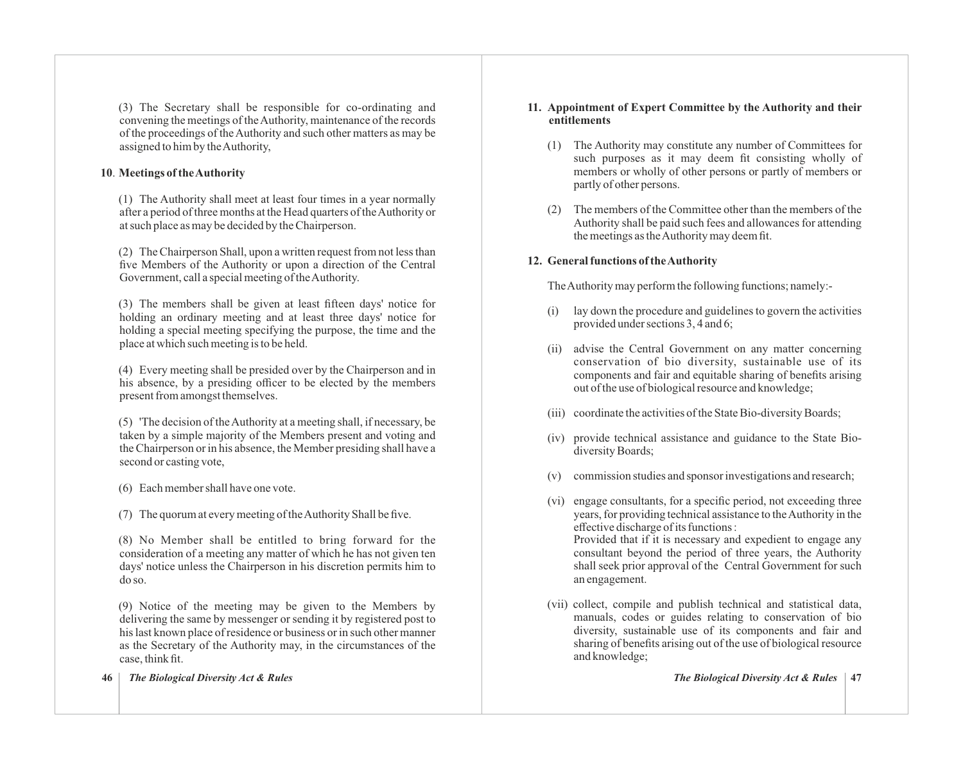(3) The Secretary shall be responsible for co-ordinating and convening the meetings of the Authority, maintenance of the records of the proceedings of the Authority and such other matters as may be assigned to him by the Authority,

# **10**. **Meetings of the Authority**

(1) The Authority shall meet at least four times in a year normally after a period of three months at the Head quarters of the Authority or at such place as may be decided by the Chairperson.

(2) The Chairperson Shall, upon a written request from not less than five Members of the Authority or upon a direction of the Central Government, call a special meeting of the Authority.

(3) The members shall be given at least fifteen days' notice for holding an ordinary meeting and at least three days' notice for holding a special meeting specifying the purpose, the time and the place at which such meeting is to be held.

(4) Every meeting shall be presided over by the Chairperson and in his absence, by a presiding officer to be elected by the members present from amongst themselves.

(5) 'The decision of the Authority at a meeting shall, if necessary, be taken by a simple majority of the Members present and voting and the Chairperson or in his absence, the Member presiding shall have a second or casting vote,

- (6) Each member shall have one vote.
- (7) The quorum at every meeting of the Authority Shall be five.

(8) No Member shall be entitled to bring forward for the consideration of a meeting any matter of which he has not given ten days' notice unless the Chairperson in his discretion permits him to do so.

(9) Notice of the meeting may be given to the Members by delivering the same by messenger or sending it by registered post to his last known place of residence or business or in such other manner as the Secretary of the Authority may, in the circumstances of the case, think fit.

### **46** *The Biological Diversity Act & Rules The Biological Diversity Act & Rules* **47**

## **11. Appointment of Expert Committee by the Authority and their entitlements**

- (1) The Authority may constitute any number of Committees for such purposes as it may deem fit consisting wholly of members or wholly of other persons or partly of members or partly of other persons.
- (2) The members of the Committee other than the members of the Authority shall be paid such fees and allowances for attending the meetings as the Authority may deem fit.

# **12. General functions of the Authority**

The Authority may perform the following functions; namely:-

- (i) lay down the procedure and guidelines to govern the activities provided under sections 3, 4 and 6;
- (ii) advise the Central Government on any matter concerning conservation of bio diversity, sustainable use of its components and fair and equitable sharing of benefits arising out of the use of biological resource and knowledge;
- (iii) coordinate the activities of the State Bio-diversity Boards;
- (iv) provide technical assistance and guidance to the State Biodiversity Boards;
- (v) commission studies and sponsor investigations and research;
- (vi) engage consultants, for a specific period, not exceeding three years, for providing technical assistance to the Authority in the effective discharge of its functions : Provided that if it is necessary and expedient to engage any consultant beyond the period of three years, the Authority shall seek prior approval of the Central Government for such an engagement.
- (vii) collect, compile and publish technical and statistical data, manuals, codes or guides relating to conservation of bio diversity, sustainable use of its components and fair and sharing of benefits arising out of the use of biological resource and knowledge;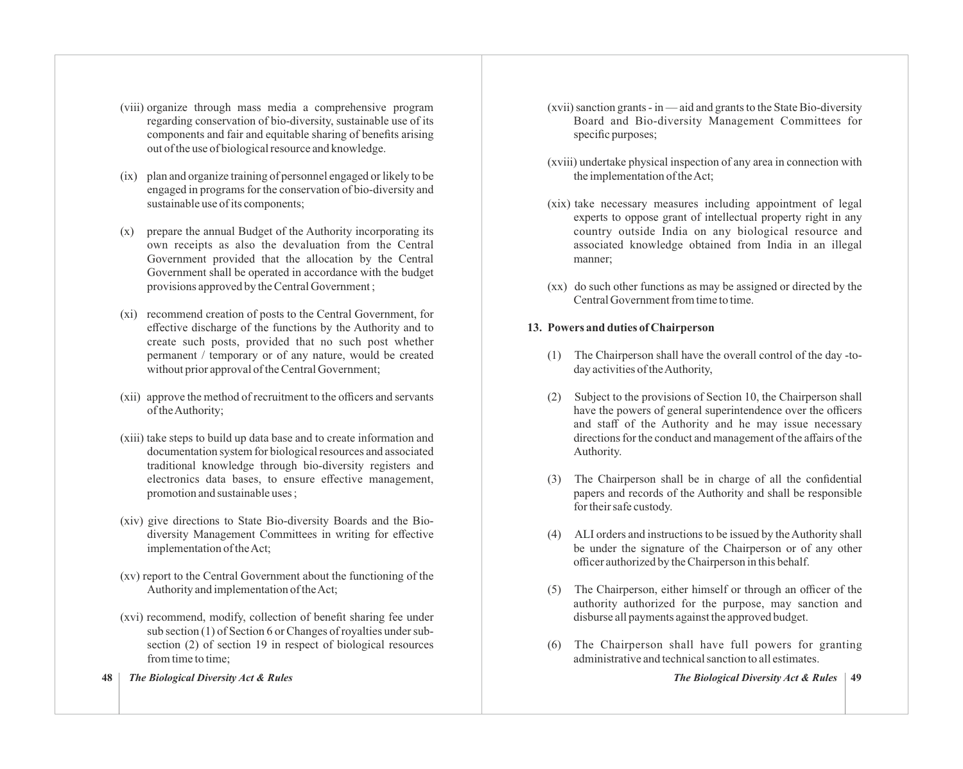- (viii) organize through mass media a comprehensive program regarding conservation of bio-diversity, sustainable use of its components and fair and equitable sharing of benefits arising out of the use of biological resource and knowledge.
- (ix) plan and organize training of personnel engaged or likely to be engaged in programs for the conservation of bio-diversity and sustainable use of its components;
- (x) prepare the annual Budget of the Authority incorporating its own receipts as also the devaluation from the Central Government provided that the allocation by the Central Government shall be operated in accordance with the budget provisions approved by the Central Government ;
- (xi) recommend creation of posts to the Central Government, for effective discharge of the functions by the Authority and to create such posts, provided that no such post whether permanent / temporary or of any nature, would be created without prior approval of the Central Government;
- (xii) approve the method of recruitment to the officers and servants of the Authority;
- (xiii) take steps to build up data base and to create information and documentation system for biological resources and associated traditional knowledge through bio-diversity registers and electronics data bases, to ensure effective management, promotion and sustainable uses ;
- (xiv) give directions to State Bio-diversity Boards and the Biodiversity Management Committees in writing for effective implementation of the Act;
- (xv) report to the Central Government about the functioning of the Authority and implementation of the Act;
- (xvi) recommend, modify, collection of benefit sharing fee under sub section (1) of Section 6 or Changes of royalties under subsection (2) of section 19 in respect of biological resources from time to time:
- **48** *The Biological Diversity Act & Rules The Biological Diversity Act & Rules* **49**
- (xvii) sanction grants in aid and grants to the State Bio-diversity Board and Bio-diversity Management Committees for specific purposes;
- (xviii) undertake physical inspection of any area in connection with the implementation of the Act;
- (xix) take necessary measures including appointment of legal experts to oppose grant of intellectual property right in any country outside India on any biological resource and associated knowledge obtained from India in an illegal manner;
- (xx) do such other functions as may be assigned or directed by the Central Government from time to time.

# **13. Powers and duties of Chairperson**

- (1) The Chairperson shall have the overall control of the day -today activities of the Authority,
- (2) Subject to the provisions of Section 10, the Chairperson shall have the powers of general superintendence over the officers and staff of the Authority and he may issue necessary directions for the conduct and management of the affairs of the Authority.
- (3) The Chairperson shall be in charge of all the confidential papers and records of the Authority and shall be responsible for their safe custody.
- (4) ALI orders and instructions to be issued by the Authority shall be under the signature of the Chairperson or of any other officer authorized by the Chairperson in this behalf.
- (5) The Chairperson, either himself or through an officer of the authority authorized for the purpose, may sanction and disburse all payments against the approved budget.
- (6) The Chairperson shall have full powers for granting administrative and technical sanction to all estimates.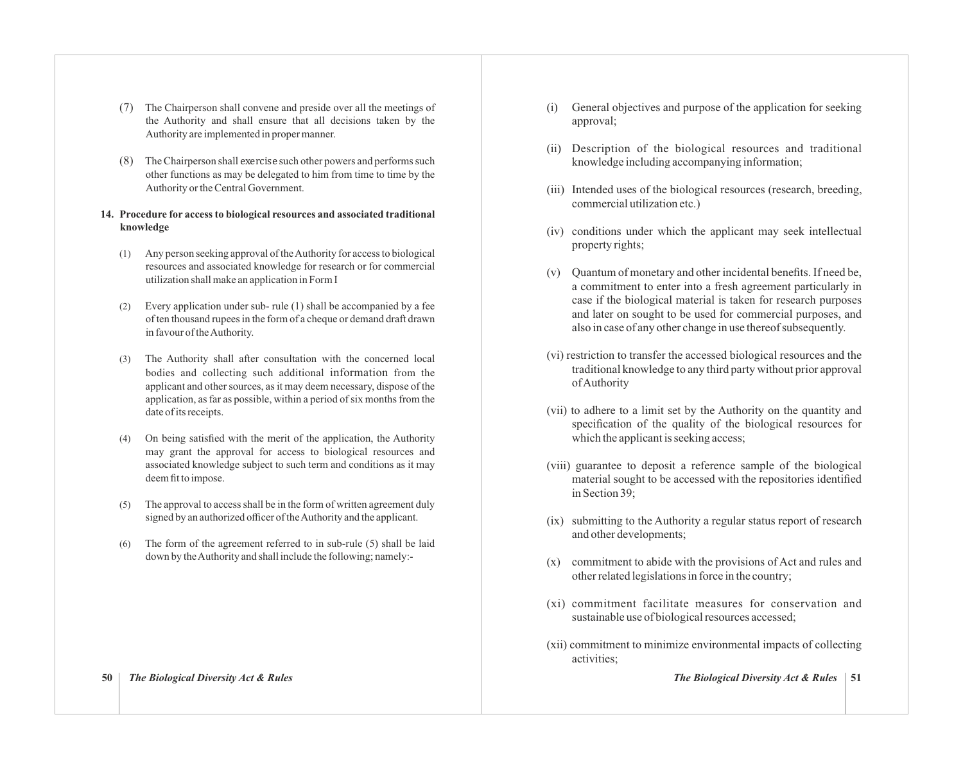- (7) The Chairperson shall convene and preside over all the meetings of the Authority and shall ensure that all decisions taken by the Authority are implemented in proper manner.
- $(8)$  The Chairperson shall exercise such other powers and performs such other functions as may be delegated to him from time to time by the Authority or the Central Government.
- **14. Procedure for access to biological resources and associated traditional knowledge**
	- (1) Any person seeking approval of the Authority for access to biological resources and associated knowledge for research or for commercial utilization shall make an application in Form I
	- (2) Every application under sub- rule (1) shall be accompanied by a fee of ten thousand rupees in the form of a cheque or demand draft drawn in favour of the Authority.
	- The Authority shall after consultation with the concerned local bodies and collecting such additional information from the applicant and other sources, as it may deem necessary, dispose of the application, as far as possible, within a period of six months from the date of its receipts.
	- (4) On being satisfied with the merit of the application, the Authority may grant the approval for access to biological resources and associated knowledge subject to such term and conditions as it may deem fit to impose.
	- (5) The approval to access shall be in the form of written agreement duly signed by an authorized officer of the Authority and the applicant.
	- (6) The form of the agreement referred to in sub-rule (5) shall be laid down by the Authority and shall include the following; namely:-
- (i) General objectives and purpose of the application for seeking approval;
- (ii) Description of the biological resources and traditional knowledge including accompanying information;
- (iii) Intended uses of the biological resources (research, breeding, commercial utilization etc.)
- (iv) conditions under which the applicant may seek intellectual property rights;
- (v) Quantum of monetary and other incidental benefits. If need be, a commitment to enter into a fresh agreement particularly in case if the biological material is taken for research purposes and later on sought to be used for commercial purposes, and also in case of any other change in use thereof subsequently.
- (vi) restriction to transfer the accessed biological resources and the traditional knowledge to any third party without prior approval of Authority
- (vii) to adhere to a limit set by the Authority on the quantity and specification of the quality of the biological resources for which the applicant is seeking access;
- (viii) guarantee to deposit a reference sample of the biological material sought to be accessed with the repositories identified in Section 39;
- (ix) submitting to the Authority a regular status report of research and other developments;
- (x) commitment to abide with the provisions of Act and rules and other related legislations in force in the country;
- (xi) commitment facilitate measures for conservation and sustainable use of biological resources accessed;
- (xii) commitment to minimize environmental impacts of collecting activities;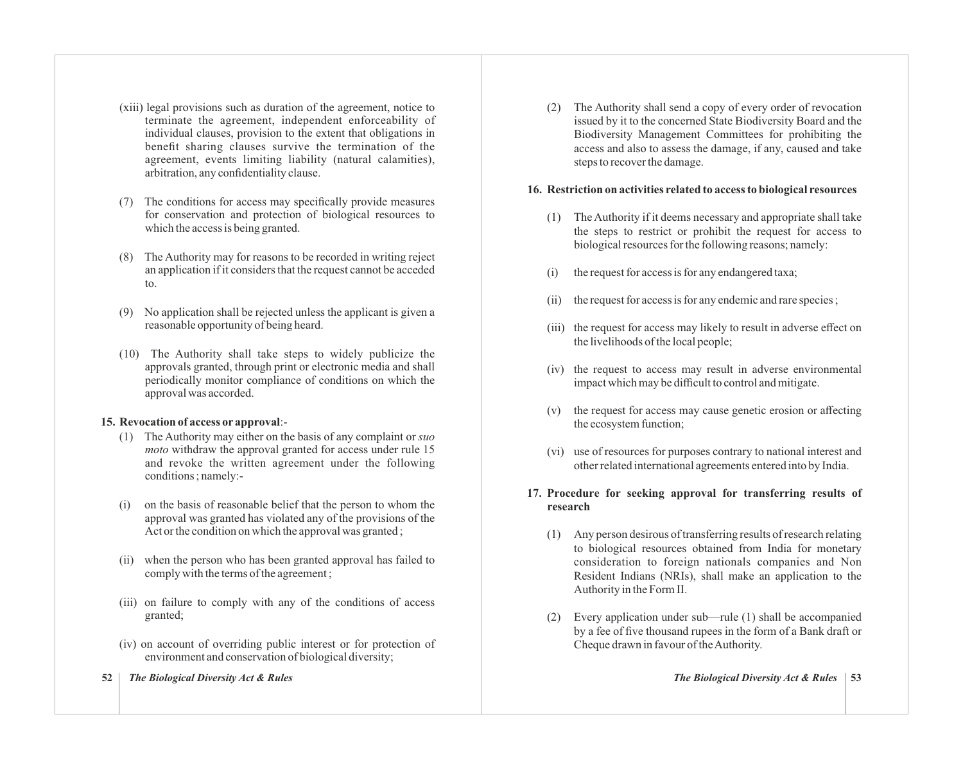- (xiii) legal provisions such as duration of the agreement, notice to terminate the agreement, independent enforceability of individual clauses, provision to the extent that obligations in benefit sharing clauses survive the termination of the agreement, events limiting liability (natural calamities), arbitration, any confidentiality clause.
- (7) The conditions for access may specifically provide measures for conservation and protection of biological resources to which the access is being granted.
- (8) The Authority may for reasons to be recorded in writing reject an application if it considers that the request cannot be acceded to.
- (9) No application shall be rejected unless the applicant is given a reasonable opportunity of being heard.
- (10) The Authority shall take steps to widely publicize the approvals granted, through print or electronic media and shall periodically monitor compliance of conditions on which the approval was accorded.

### **15. Revocation of access or approval**:-

- (1) The Authority may either on the basis of any complaint or *suo moto* withdraw the approval granted for access under rule 15 and revoke the written agreement under the following conditions ; namely:-
- (i) on the basis of reasonable belief that the person to whom the approval was granted has violated any of the provisions of the Act or the condition on which the approval was granted ;
- (ii) when the person who has been granted approval has failed to comply with the terms of the agreement ;
- (iii) on failure to comply with any of the conditions of access granted;
- (iv) on account of overriding public interest or for protection of environment and conservation of biological diversity;
- **52** *The Biological Diversity Act & Rules The Biological Diversity Act & Rules* **53**

(2) The Authority shall send a copy of every order of revocation issued by it to the concerned State Biodiversity Board and the Biodiversity Management Committees for prohibiting the access and also to assess the damage, if any, caused and take steps to recover the damage.

### **16. Restriction on activities related to access to biological resources**

- (1) The Authority if it deems necessary and appropriate shall take the steps to restrict or prohibit the request for access to biological resources for the following reasons; namely:
- (i) the request for access is for any endangered taxa;
- (ii) the request for access is for any endemic and rare species ;
- (iii) the request for access may likely to result in adverse effect on the livelihoods of the local people;
- (iv) the request to access may result in adverse environmental impact which may be difficult to control and mitigate.
- (v) the request for access may cause genetic erosion or affecting the ecosystem function;
- (vi) use of resources for purposes contrary to national interest and other related international agreements entered into by India.

# **17. Procedure for seeking approval for transferring results of research**

- (1) Any person desirous of transferring results of research relating to biological resources obtained from India for monetary consideration to foreign nationals companies and Non Resident Indians (NRIs), shall make an application to the Authority in the Form II.
- (2) Every application under sub—rule (1) shall be accompanied by a fee of five thousand rupees in the form of a Bank draft or Cheque drawn in favour of the Authority.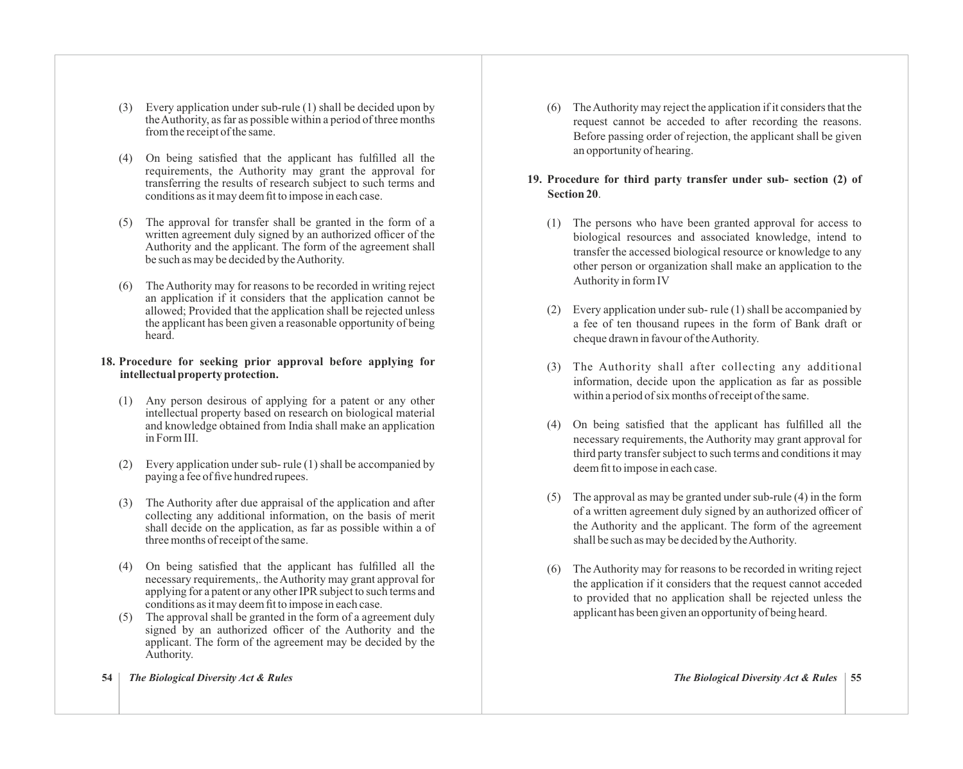- (3) Every application under sub-rule (1) shall be decided upon by the Authority, as far as possible within a period of three months from the receipt of the same.
- (4) On being satisfied that the applicant has fulfilled all the requirements, the Authority may grant the approval for transferring the results of research subject to such terms and conditions as it may deem fit to impose in each case.
- (5) The approval for transfer shall be granted in the form of a written agreement duly signed by an authorized officer of the Authority and the applicant. The form of the agreement shall be such as may be decided by the Authority.
- (6) The Authority may for reasons to be recorded in writing reject an application if it considers that the application cannot be allowed; Provided that the application shall be rejected unless the applicant has been given a reasonable opportunity of being heard.

### **18. Procedure for seeking prior approval before applying for intellectual property protection.**

- (1) Any person desirous of applying for a patent or any other intellectual property based on research on biological material and knowledge obtained from India shall make an application in Form III.
- (2) Every application under sub- rule (1) shall be accompanied by paying a fee of five hundred rupees.
- (3) The Authority after due appraisal of the application and after collecting any additional information, on the basis of merit shall decide on the application, as far as possible within a of three months of receipt of the same.
- (4) On being satisfied that the applicant has fulfilled all the necessary requirements,. the Authority may grant approval for applying for a patent or any other IPR subject to such terms and conditions as it may deem fit to impose in each case.
- (5) The approval shall be granted in the form of a agreement duly signed by an authorized officer of the Authority and the applicant. The form of the agreement may be decided by the Authority.

(6) The Authority may reject the application if it considers that the request cannot be acceded to after recording the reasons. Before passing order of rejection, the applicant shall be given an opportunity of hearing.

# **19. Procedure for third party transfer under sub- section (2) of Section 20**.

- (1) The persons who have been granted approval for access to biological resources and associated knowledge, intend to transfer the accessed biological resource or knowledge to any other person or organization shall make an application to the Authority in form IV
- (2) Every application under sub- rule (1) shall be accompanied by a fee of ten thousand rupees in the form of Bank draft or cheque drawn in favour of the Authority.
- (3) The Authority shall after collecting any additional information, decide upon the application as far as possible within a period of six months of receipt of the same.
- (4) On being satisfied that the applicant has fulfilled all the necessary requirements, the Authority may grant approval for third party transfer subject to such terms and conditions it may deem fit to impose in each case.
- (5) The approval as may be granted under sub-rule (4) in the form of a written agreement duly signed by an authorized officer of the Authority and the applicant. The form of the agreement shall be such as may be decided by the Authority.
- (6) The Authority may for reasons to be recorded in writing reject the application if it considers that the request cannot acceded to provided that no application shall be rejected unless the applicant has been given an opportunity of being heard.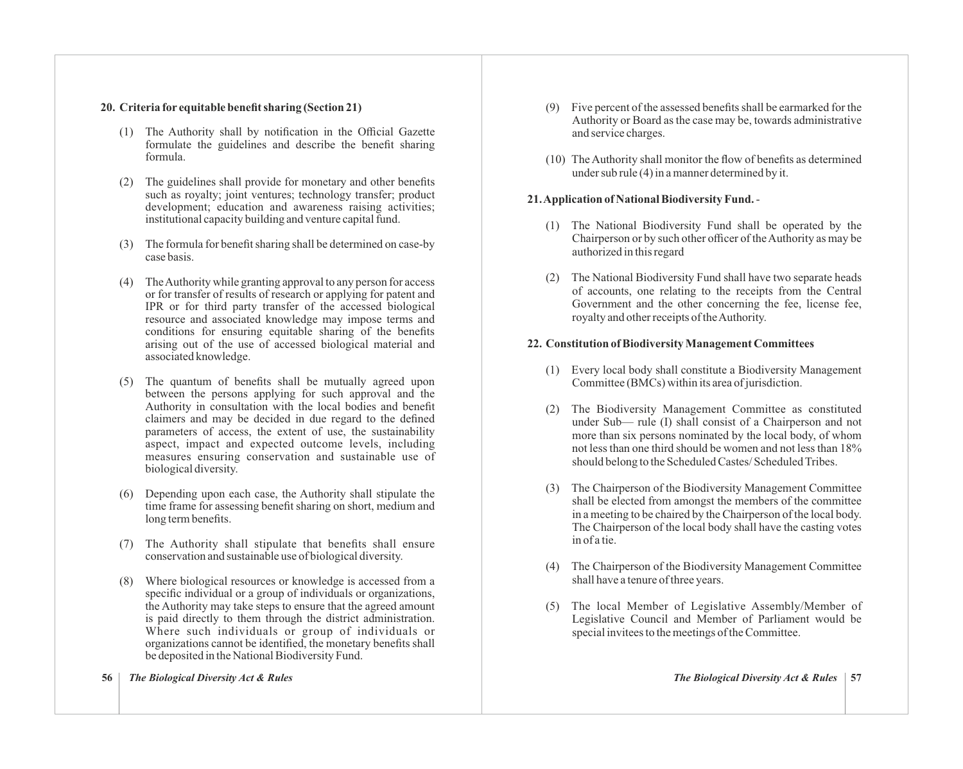#### **20. Criteria for equitable benefit sharing (Section 21)**

- (1) The Authority shall by notification in the Official Gazette formulate the guidelines and describe the benefit sharing formula.
- (2) The guidelines shall provide for monetary and other benefits such as royalty; joint ventures; technology transfer; product development; education and awareness raising activities; institutional capacity building and venture capital fund.
- (3) The formula for benefit sharing shall be determined on case-by case basis.
- (4) The Authority while granting approval to any person for access or for transfer of results of research or applying for patent and IPR or for third party transfer of the accessed biological resource and associated knowledge may impose terms and conditions for ensuring equitable sharing of the benefits arising out of the use of accessed biological material and associated knowledge.
- (5) The quantum of benefits shall be mutually agreed upon between the persons applying for such approval and the Authority in consultation with the local bodies and benefit claimers and may be decided in due regard to the defined parameters of access, the extent of use, the sustainability aspect, impact and expected outcome levels, including measures ensuring conservation and sustainable use of biological diversity.
- (6) Depending upon each case, the Authority shall stipulate the time frame for assessing benefit sharing on short, medium and long term benefits.
- (7) The Authority shall stipulate that benefits shall ensure conservation and sustainable use of biological diversity.
- (8) Where biological resources or knowledge is accessed from a specific individual or a group of individuals or organizations, the Authority may take steps to ensure that the agreed amount is paid directly to them through the district administration. Where such individuals or group of individuals or organizations cannot be identified, the monetary benefits shall be deposited in the National Biodiversity Fund.
- 
- **56** *The Biological Diversity Act & Rules The Biological Diversity Act & Rules* **57**
- (9) Five percent of the assessed benefits shall be earmarked for the Authority or Board as the case may be, towards administrative and service charges.
- (10) The Authority shall monitor the flow of benefits as determined under sub rule (4) in a manner determined by it.

#### **21. Application of National Biodiversity Fund.**-

- (1) The National Biodiversity Fund shall be operated by the Chairperson or by such other officer of the Authority as may be authorized in this regard
- (2) The National Biodiversity Fund shall have two separate heads of accounts, one relating to the receipts from the Central Government and the other concerning the fee, license fee, royalty and other receipts of the Authority.

#### **22. Constitution of Biodiversity Management Committees**

- (1) Every local body shall constitute a Biodiversity Management Committee (BMCs) within its area of jurisdiction.
- (2) The Biodiversity Management Committee as constituted under Sub— rule (I) shall consist of a Chairperson and not more than six persons nominated by the local body, of whom not less than one third should be women and not less than 18% should belong to the Scheduled Castes/ Scheduled Tribes.
- (3) The Chairperson of the Biodiversity Management Committee shall be elected from amongst the members of the committee in a meeting to be chaired by the Chairperson of the local body. The Chairperson of the local body shall have the casting votes in of a tie.
- (4) The Chairperson of the Biodiversity Management Committee shall have a tenure of three years.
- (5) The local Member of Legislative Assembly/Member of Legislative Council and Member of Parliament would be special invitees to the meetings of the Committee.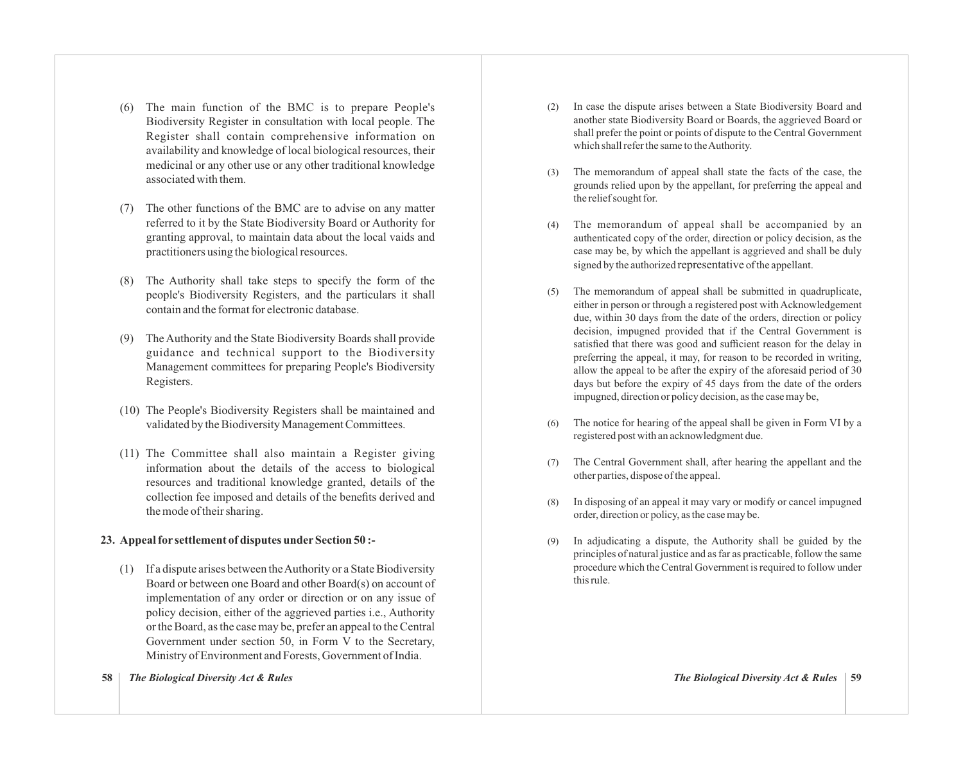- (6) The main function of the BMC is to prepare People's Biodiversity Register in consultation with local people. The Register shall contain comprehensive information on availability and knowledge of local biological resources, their medicinal or any other use or any other traditional knowledge associated with them.
- (7) The other functions of the BMC are to advise on any matter referred to it by the State Biodiversity Board or Authority for granting approval, to maintain data about the local vaids and practitioners using the biological resources.
- (8) The Authority shall take steps to specify the form of the people's Biodiversity Registers, and the particulars it shall contain and the format for electronic database.
- (9) The Authority and the State Biodiversity Boards shall provide guidance and technical support to the Biodiversity Management committees for preparing People's Biodiversity Registers.
- (10) The People's Biodiversity Registers shall be maintained and validated by the Biodiversity Management Committees.
- (11) The Committee shall also maintain a Register giving information about the details of the access to biological resources and traditional knowledge granted, details of the collection fee imposed and details of the benefits derived and the mode of their sharing.

# **23. Appeal for settlement of disputes underSection 50 :-**

- (1) If a dispute arises between the Authority or a State Biodiversity Board or between one Board and other Board(s) on account of implementation of any order or direction or on any issue of policy decision, either of the aggrieved parties i.e., Authority or the Board, as the case may be, prefer an appeal to the Central Government under section 50, in Form V to the Secretary, Ministry of Environment and Forests, Government of India.
- **58** *The Biological Diversity Act & Rules The Biological Diversity Act & Rules* **59**
- (2) In case the dispute arises between a State Biodiversity Board and another state Biodiversity Board or Boards, the aggrieved Board or shall prefer the point or points of dispute to the Central Government which shall refer the same to the Authority.
- (3) The memorandum of appeal shall state the facts of the case, the grounds relied upon by the appellant, for preferring the appeal and the relief sought for.
- (4) The memorandum of appeal shall be accompanied by an authenticated copy of the order, direction or policy decision, as the case may be, by which the appellant is aggrieved and shall be duly signed by the authorized representative of the appellant.
- (5) The memorandum of appeal shall be submitted in quadruplicate, either in person or through a registered post with Acknowledgement due, within 30 days from the date of the orders, direction or policy decision, impugned provided that if the Central Government is satisfied that there was good and sufficient reason for the delay in preferring the appeal, it may, for reason to be recorded in writing, allow the appeal to be after the expiry of the aforesaid period of 30 days but before the expiry of 45 days from the date of the orders impugned, direction or policy decision, as the case may be,
- The notice for hearing of the appeal shall be given in Form VI by a registered post with an acknowledgment due.
- (7) The Central Government shall, after hearing the appellant and the other parties, dispose of the appeal.
- (8) In disposing of an appeal it may vary or modify or cancel impugned order, direction or policy, as the case may be.
- (9) In adjudicating a dispute, the Authority shall be guided by the principles of natural justice and as far as practicable, follow the same procedure which the Central Government is required to follow under this rule.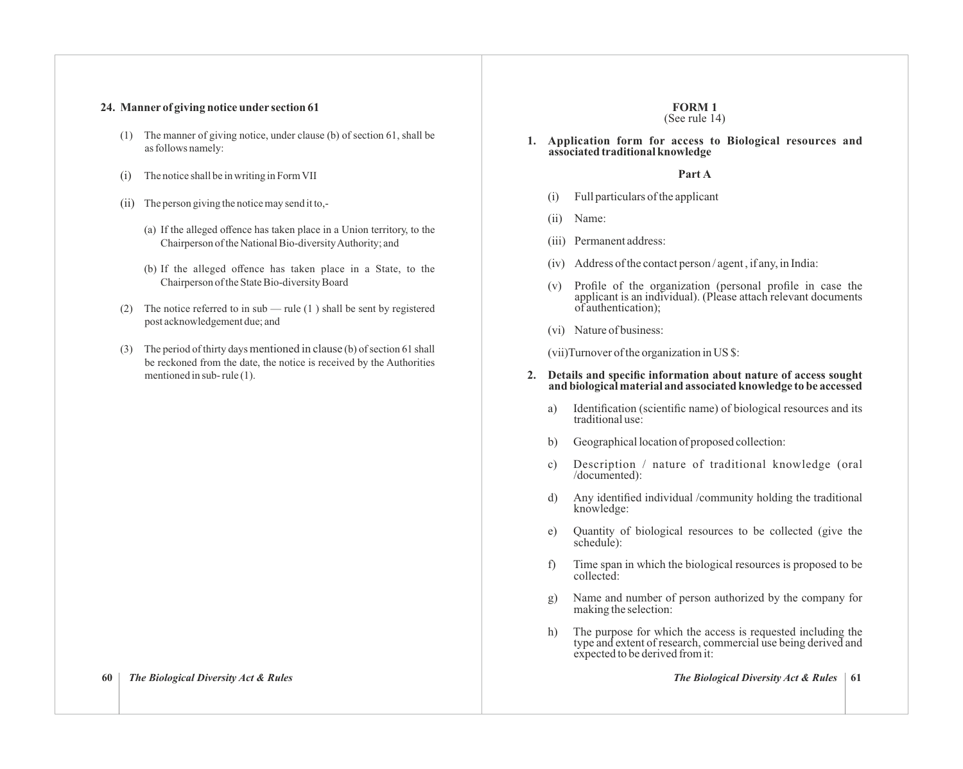#### **24. Manner of giving notice under section 61**

- (1) The manner of giving notice, under clause (b) of section 61, shall be as follows namely:
- (i) The notice shall be in writing in Form VII
- (ii) The person giving the notice may send it to,-
	- (a) If the alleged offence has taken place in a Union territory, to the Chairperson of the National Bio-diversity Authority; and
	- (b) If the alleged offence has taken place in a State, to the Chairperson of the State Bio-diversity Board
- (2) The notice referred to in sub rule  $(1)$  shall be sent by registered post acknowledgement due; and
- (3) The period of thirty days mentioned in clause (b) of section 61 shall be reckoned from the date, the notice is received by the Authorities mentioned in sub- rule (1).

#### **FORM 1** (See rule 14)

**1. Application form for access to Biological resources and associated traditional knowledge**

#### **Part A**

- (i) Full particulars of the applicant
- (ii) Name:
- (iii) Permanent address:
- (iv) Address of the contact person / agent , if any, in India:
- (v) Profile of the organization (personal profile in case the applicant is an individual). (Please attach relevant documents of authentication);
- (vi) Nature of business:

(vii)Turnover of the organization in US \$:

#### **2. Details and specific information about nature of access sought and biological material and associated knowledge to be accessed**

- a) Identification (scientific name) of biological resources and its traditional use:
- b) Geographical location of proposed collection:
- c) Description / nature of traditional knowledge (oral /documented):
- d) Any identified individual /community holding the traditional knowledge:
- e) Quantity of biological resources to be collected (give the schedule):
- f) Time span in which the biological resources is proposed to be collected:
- g) Name and number of person authorized by the company for making the selection:
- h) The purpose for which the access is requested including the type and extent of research, commercial use being derived and expected to be derived from it: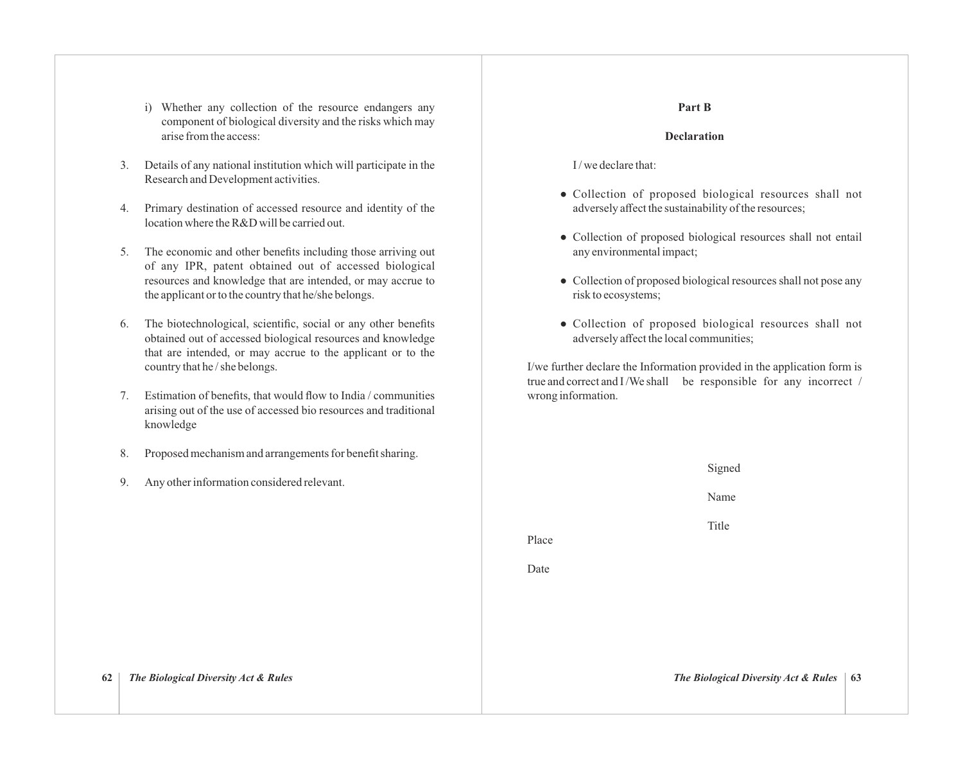- i) Whether any collection of the resource endangers any component of biological diversity and the risks which may arise from the access:
- 3. Details of any national institution which will participate in the Research and Development activities.
- 4. Primary destination of accessed resource and identity of the location where the R&D will be carried out.
- 5. The economic and other benefits including those arriving out of any IPR, patent obtained out of accessed biological resources and knowledge that are intended, or may accrue to the applicant or to the country that he/she belongs.
- 6. The biotechnological, scientific, social or any other benefits obtained out of accessed biological resources and knowledge that are intended, or may accrue to the applicant or to the country that he / she belongs.
- 7. Estimation of benefits, that would flow to India / communities arising out of the use of accessed bio resources and traditional knowledge
- 8. Proposed mechanism and arrangements for benefit sharing.
- 9. Any other information considered relevant.

# **Part B**

#### **Declaration**

I / we declare that:

- Collection of proposed biological resources shall not adversely affect the sustainability of the resources;
- Collection of proposed biological resources shall not entail any environmental impact;
- Collection of proposed biological resources shall not pose any risk to ecosystems;
- Collection of proposed biological resources shall not adversely affect the local communities;

I/we further declare the Information provided in the application form is true and correct and I/We shall be responsible for any incorrect / wrong information.

| $\circ$ .<br>rioposed mechanism and arrangements for benefit sharing. |       | Signed                                    |
|-----------------------------------------------------------------------|-------|-------------------------------------------|
| Any other information considered relevant.<br>9.                      |       | Name                                      |
|                                                                       | Place | Title                                     |
|                                                                       | Date  |                                           |
|                                                                       |       |                                           |
|                                                                       |       |                                           |
| The Biological Diversity Act & Rules<br>62                            |       | The Biological Diversity Act & Rules   63 |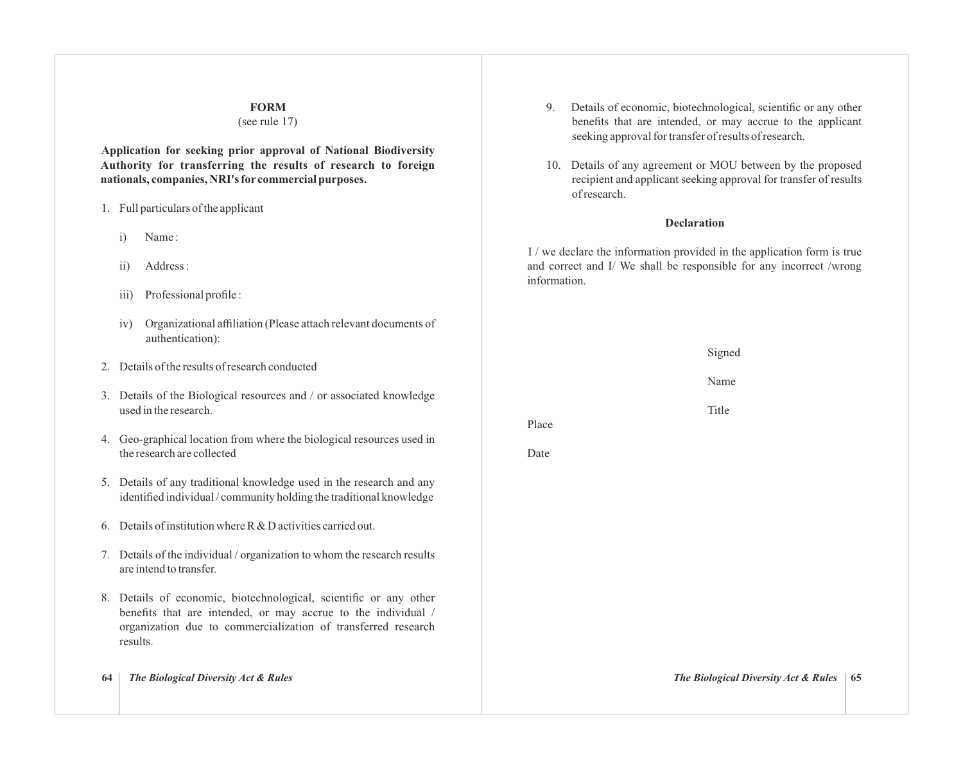#### **FORM**

#### (see rule 17)

**Application for seeking prior approval of National Biodiversity Authority for transferring the results of research to foreign nationals, companies, NRI's for commercial purposes.**

- 1. Full particulars of the applicant
	- i) Name :
	- ii) Address :
	- iii) Professional profile :
	- iv) Organizational affiliation (Please attach relevant documents of authentication):
- 2. Details of the results of research conducted
- 3. Details of the Biological resources and / or associated knowledge used in the research.
- 4. Geo-graphical location from where the biological resources used in the research are collected
- 5. Details of any traditional knowledge used in the research and any identified individual / community holding the traditional knowledge
- 6. Details of institution where R & D activities carried out.
- 7. Details of the individual / organization to whom the research results are intend to transfer.
- 8. Details of economic, biotechnological, scientific or any other benefits that are intended, or may accrue to the individual / organization due to commercialization of transferred research results.
- 
- 9. Details of economic, biotechnological, scientific or any other benefits that are intended, or may accrue to the applicant seeking approval for transfer of results of research.
- 10. Details of any agreement or MOU between by the proposed recipient and applicant seeking approval for transfer of results of research.

### **Declaration**

I / we declare the information provided in the application form is true and correct and I/ We shall be responsible for any incorrect /wrong information.

Signed

Name

Title

Place

Date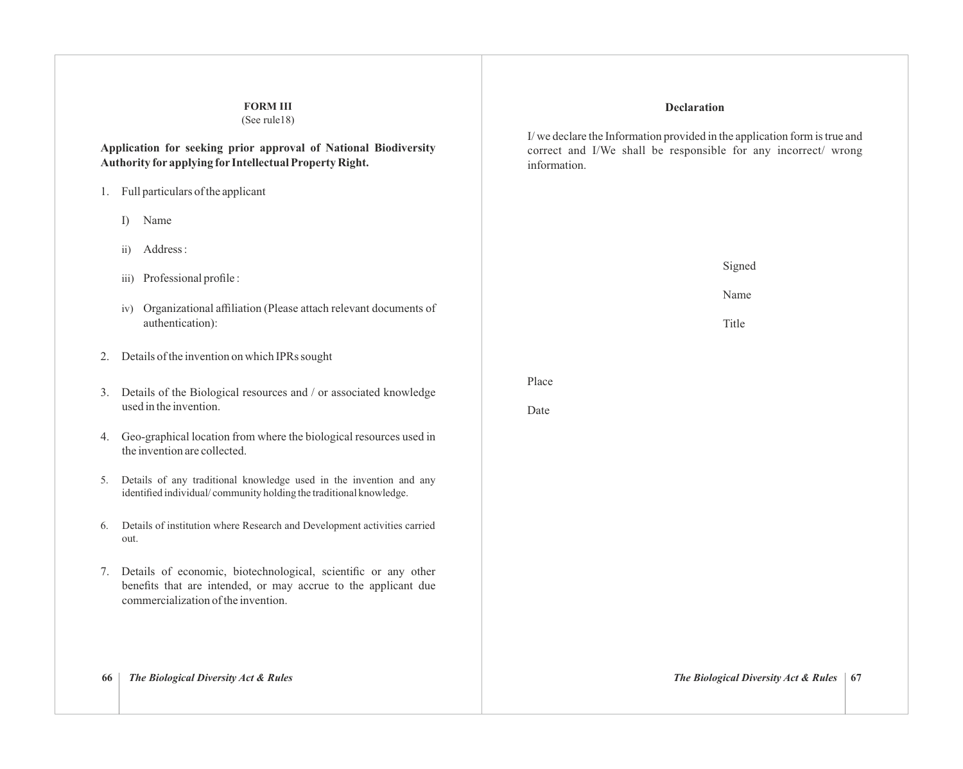# **Declaration** I/ we declare the Information provided in the application form is true and correct and I/We shall be responsible for any incorrect/ wrong information. Signed Name Title Place Date **FORM III** (See rule18) **Application for seeking prior approval of National Biodiversity Authority for applying for Intellectual Property Right.** 1. Full particulars of the applicant I) Name ii) Address : iii) Professional profile : iv) Organizational affiliation (Please attach relevant documents of authentication): 2. Details of the invention on which IPRs sought 3. Details of the Biological resources and / or associated knowledge used in the invention. 4. Geo-graphical location from where the biological resources used in the invention are collected. 5. Details of any traditional knowledge used in the invention and any identified individual/ community holding the traditional knowledge. 6. Details of institution where Research and Development activities carried out. 7. Details of economic, biotechnological, scientific or any other benefits that are intended, or may accrue to the applicant due commercialization of the invention. **66** *The Biological Diversity Act & Rules The Biological Diversity Act & Rules* **67**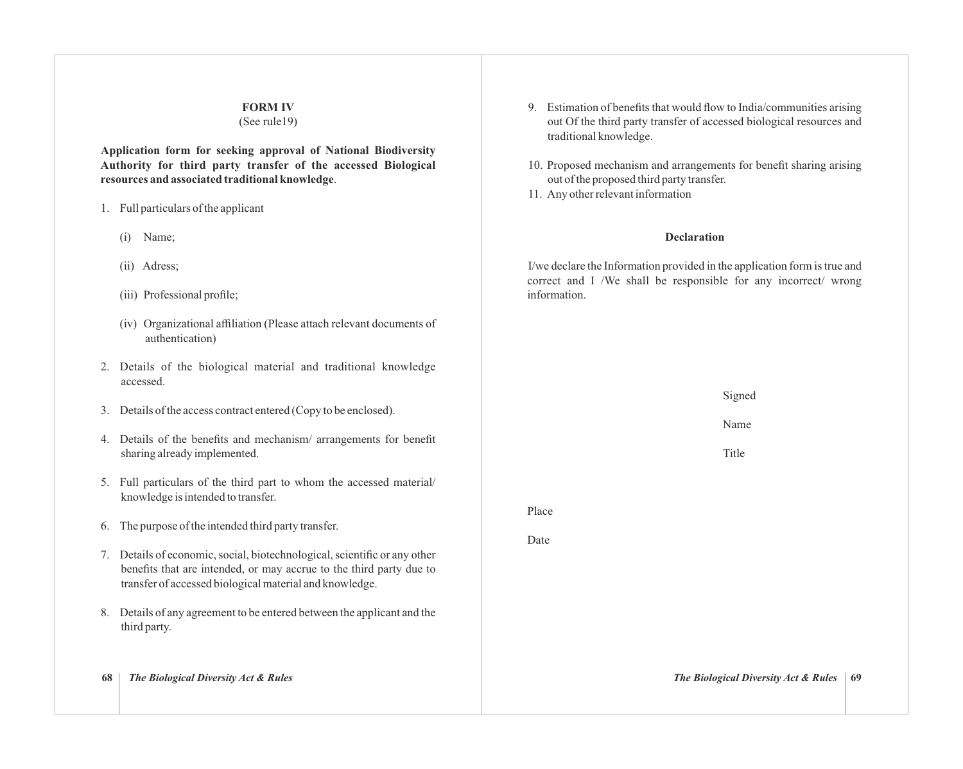# **FORM IV** (See rule19)

**Application form for seeking approval of National Biodiversity Authority for third party transfer of the accessed Biological resources and associated traditional knowledge**.

- 1. Full particulars of the applicant
	- (i) Name;
	- (ii) Adress;
	- (iii) Professional profile;
	- (iv) Organizational affiliation (Please attach relevant documents of authentication)
- 2. Details of the biological material and traditional knowledge accessed.
- 3. Details of the access contract entered (Copy to be enclosed).
- 4. Details of the benefits and mechanism/ arrangements for benefit sharing already implemented.
- 5. Full particulars of the third part to whom the accessed material/ knowledge is intended to transfer.
- 6. The purpose of the intended third party transfer.
- 7. Details of economic, social, biotechnological, scientific or any other benefits that are intended, or may accrue to the third party due to transfer of accessed biological material and knowledge.
- 8. Details of any agreement to be entered between the applicant and the third party.
- 
- 9. Estimation of benefits that would flow to India/communities arising out Of the third party transfer of accessed biological resources and traditional knowledge.
- 10. Proposed mechanism and arrangements for benefit sharing arising out of the proposed third party transfer.
- 11. Any other relevant information

#### **Declaration**

I/we declare the Information provided in the application form is true and correct and I /We shall be responsible for any incorrect/ wrong information.

| 68 | The Biological Diversity Act & Rules                                                                                                                                                                        |       | The Biological Diversity Act & Rules<br>-69 |
|----|-------------------------------------------------------------------------------------------------------------------------------------------------------------------------------------------------------------|-------|---------------------------------------------|
|    | 8. Details of any agreement to be entered between the applicant and the<br>third party.                                                                                                                     |       |                                             |
|    | 7. Details of economic, social, biotechnological, scientific or any other<br>benefits that are intended, or may accrue to the third party due to<br>transfer of accessed biological material and knowledge. |       |                                             |
|    | 6. The purpose of the intended third party transfer.                                                                                                                                                        | Date  |                                             |
|    | 5. Full particulars of the third part to whom the accessed material/<br>knowledge is intended to transfer.                                                                                                  | Place |                                             |
|    | 4. Details of the benefits and mechanism/arrangements for benefit<br>sharing already implemented.                                                                                                           |       | Title                                       |
|    | 3. Details of the access contract entered (Copy to be enclosed).                                                                                                                                            |       | Name                                        |
|    |                                                                                                                                                                                                             |       | Signed                                      |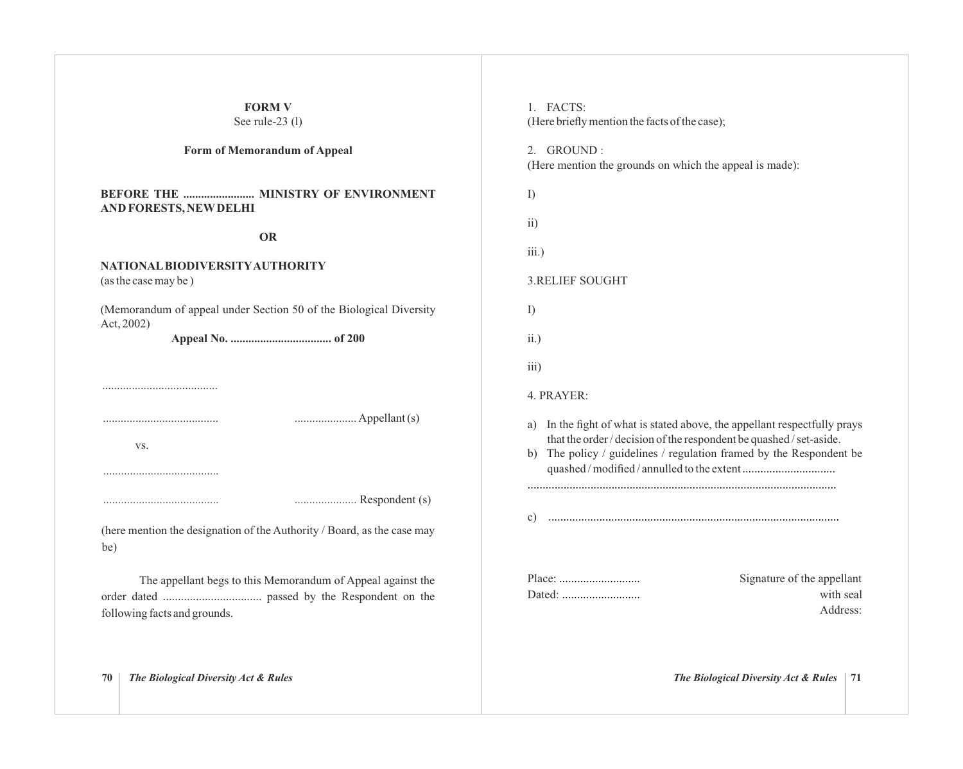| <b>FORM V</b><br>See rule-23 (l)                                                                 | 1. FACTS:<br>(Here briefly mention the facts of the case);                                                                                                                                                                 |
|--------------------------------------------------------------------------------------------------|----------------------------------------------------------------------------------------------------------------------------------------------------------------------------------------------------------------------------|
| Form of Memorandum of Appeal                                                                     | 2. GROUND:<br>(Here mention the grounds on which the appeal is made):                                                                                                                                                      |
| AND FORESTS, NEW DELHI<br><b>OR</b>                                                              | I)<br>$\overline{ii}$                                                                                                                                                                                                      |
| NATIONAL BIODIVERSITY AUTHORITY<br>(as the case may be)                                          | iii.)<br><b>3.RELIEF SOUGHT</b>                                                                                                                                                                                            |
| (Memorandum of appeal under Section 50 of the Biological Diversity<br>Act, 2002)                 | I)<br>ii.)                                                                                                                                                                                                                 |
|                                                                                                  | iii)<br>4. PRAYER:                                                                                                                                                                                                         |
| VS.                                                                                              | In the fight of what is stated above, the appellant respectfully prays<br>a)<br>that the order / decision of the respondent be quashed / set-aside.<br>b) The policy / guidelines / regulation framed by the Respondent be |
| Respondent (s)<br>(here mention the designation of the Authority / Board, as the case may<br>be) | $\mathcal{C}$                                                                                                                                                                                                              |
| The appellant begs to this Memorandum of Appeal against the<br>following facts and grounds.      | Signature of the appellant<br>with seal<br>Address:                                                                                                                                                                        |
| The Biological Diversity Act & Rules<br>70                                                       | The Biological Diversity Act & Rules<br>71                                                                                                                                                                                 |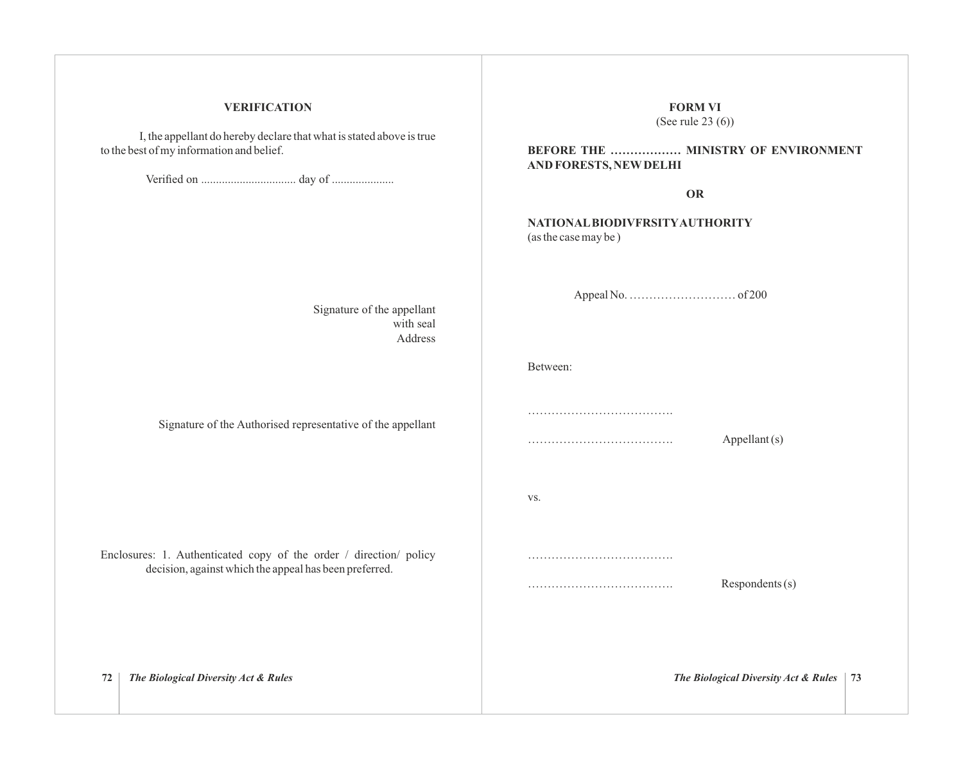### **VERIFICATION**

I, the appellant do hereby declare that what is stated above is true to the best of my information and belief.

Verified on ................................ day of .....................

Signature of the appellant with seal Address

Signature of the Authorised representative of the appellant

Enclosures: 1. Authenticated copy of the order / direction/ policy decision, against which the appeal has been preferred.

**BEFORE THE ……………… MINISTRY OF ENVIRONMENT AND FORESTS, NEWDELHI OR NATIONALBIODIVFRSITYAUTHORITY** (as the case may be ) Appeal No. ……………………… of 200 Between: ………………………………………… ………………………………. Appellant (s) vs. ………………………………………… ………………………………. Respondents (s) **72** *The Biological Diversity Act & Rules The Biological Diversity Act & Rules* **73**

**FORM VI** (See rule 23 (6))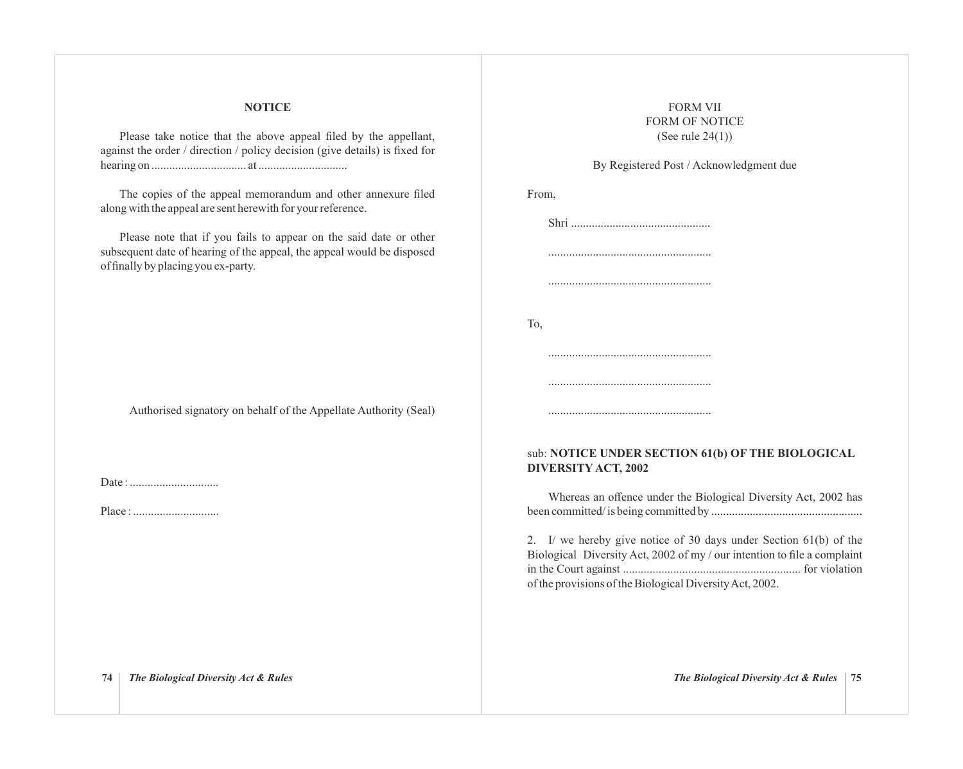### **NOTICE**

Please take notice that the above appeal filed by the appellant, against the order / direction / policy decision (give details) is fixed for hearing on ................................ at ..............................

The copies of the appeal memorandum and other annexure filed along with the appeal are sent herewith for your reference.

Please note that if you fails to appear on the said date or other subsequent date of hearing of the appeal, the appeal would be disposed of finally by placing you ex-party.

Authorised signatory on behalf of the Appellate Authority (Seal)

Date : ..............................

Place : .............................

# FORM VII FORM OF NOTICE (See rule 24(1))

# By Registered Post / Acknowledgment due

| From, |                                                                                   |
|-------|-----------------------------------------------------------------------------------|
|       |                                                                                   |
|       |                                                                                   |
|       |                                                                                   |
| To,   |                                                                                   |
|       |                                                                                   |
|       |                                                                                   |
|       |                                                                                   |
|       | sub: NOTICE UNDER SECTION 61(b) OI<br><b>DIVERSITY ACT, 2002</b>                  |
|       | Whereas an offence under the Biological<br>$h$ composited is $h$ can committed by |
|       |                                                                                   |

# sub: **NOTICE UNDER SECTION 61(b) OF THE BIOLOGICAL DIVERSITY ACT, 2002**

Diversity Act, 2002 has been committed/ is being committed by ...................................................

2. I/ we hereby give notice of 30 days under Section 61(b) of the Biological Diversity Act, 2002 of my / our intention to file a complaint in the Court against ............................................................ for violation of the provisions of the Biological Diversity Act, 2002.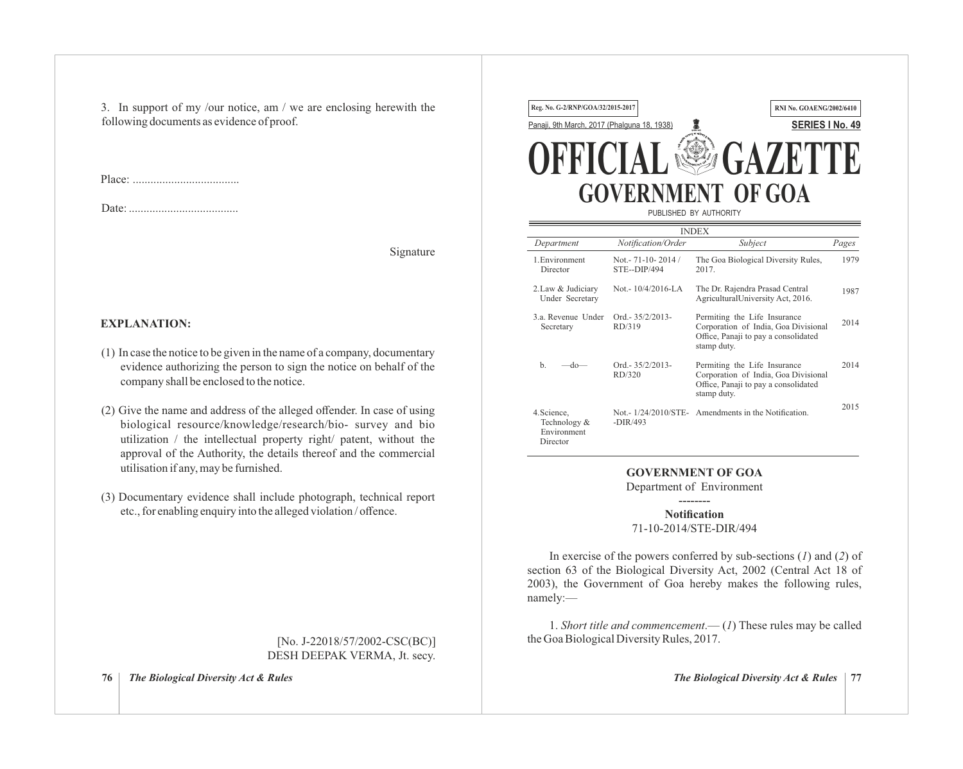3. In support of my /our notice, am / we are enclosing herewith the following documents as evidence of proof.

Place:

Date: .....................................

Signature

# **EXPLANATION:**

- (1) In case the notice to be given in the name of a company, documentary evidence authorizing the person to sign the notice on behalf of the company shall be enclosed to the notice.
- (2) Give the name and address of the alleged offender. In case of using biological resource/knowledge/research/bio- survey and bio utilization / the intellectual property right/ patent, without the approval of the Authority, the details thereof and the commercial utilisation if any, may be furnished.
- (3) Documentary evidence shall include photograph, technical report etc., for enabling enquiry into the alleged violation / offence.

[No. J-22018/57/2002-CSC(BC)] DESH DEEPAK VERMA, Jt. secy.

**76** *The Biological Diversity Act & Rules The Biological Diversity Act & Rules* **77**



|                                                        |                                           | <b>INDEX</b>                                                                                                                |       |
|--------------------------------------------------------|-------------------------------------------|-----------------------------------------------------------------------------------------------------------------------------|-------|
| Department                                             | Notification/Order                        | Subject                                                                                                                     | Pages |
| 1. Environment<br>Director                             | Not. - $71 - 10 - 2014$ /<br>STE--DIP/494 | The Goa Biological Diversity Rules,<br>2017                                                                                 | 1979  |
| 2. Law & Judiciary<br>Under Secretary                  | Not. - $10/4/2016$ -LA                    | The Dr. Rajendra Prasad Central<br>AgriculturalUniversity Act, 2016.                                                        | 1987  |
| 3 a Revenue Under<br>Secretary                         | $Ord. -35/2/2013-$<br>RD/319              | Permiting the Life Insurance<br>Corporation of India, Goa Divisional<br>Office, Panaji to pay a consolidated<br>stamp duty. | 2014  |
| $b$<br>-do—                                            | $Ord. -35/2/2013-$<br>RD/320              | Permiting the Life Insurance<br>Corporation of India, Goa Divisional<br>Office, Panaji to pay a consolidated<br>stamp duty. | 2014  |
| 4. Science,<br>Technology &<br>Environment<br>Director | $-DIR/493$                                | Not. - 1/24/2010/STE - Amendments in the Notification.                                                                      | 2015  |

# **GOVERNMENT OF GOA**

Department of Environment --------

**Notification** 71-10-2014/STE-DIR/494

In exercise of the powers conferred by sub-sections (*1*) and (*2*) of section 63 of the Biological Diversity Act, 2002 (Central Act 18 of 2003), the Government of Goa hereby makes the following rules, namely:—

1. *Short title and commencement*.— (*1*) These rules may be called the Goa Biological Diversity Rules, 2017.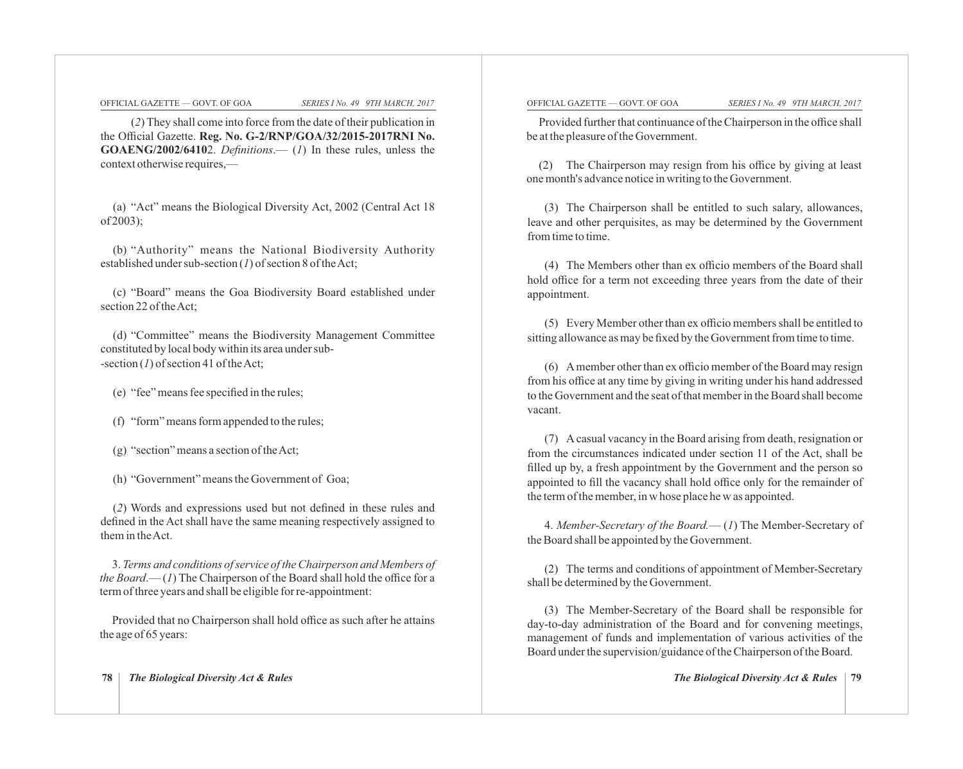(*2*) They shall come into force from the date of their publication in the Official Gazette. **Reg. No. G-2/RNP/GOA/32/2015-2017RNI No. GOAENG/2002/6410**2. *Definitions*.— (*1*) In these rules, unless the context otherwise requires,—

(a) "Act" means the Biological Diversity Act, 2002 (Central Act 18 of 2003);

(b) "Authority" means the National Biodiversity Authority established under sub-section (*1*) of section 8 of the Act;

(c) "Board" means the Goa Biodiversity Board established under section 22 of the Act;

(d) "Committee" means the Biodiversity Management Committee constituted by local body within its area under sub- -section (*1*) of section 41 of the Act;

(e) "fee" means fee specified in the rules;

(f) "form" means form appended to the rules;

(g) "section" means a section of the Act;

(h) "Government" means the Government of Goa;

(*2*) Words and expressions used but not defined in these rules and defined in the Act shall have the same meaning respectively assigned to them in the Act.

3. *Terms and conditions of service of the Chairperson and Members of the Board*.— (*1*) The Chairperson of the Board shall hold the office for a term of three years and shall be eligible for re-appointment:

Provided that no Chairperson shall hold office as such after he attains the age of 65 years:

#### **78** *The Biological Diversity Act & Rules The Biological Diversity Act & Rules* **79**

#### OFFICIAL GAZETTE — GOVT. OF GOA *SERIES I No. 49 9TH MARCH, 2017* OFFICIAL GAZETTE — GOVT. OF GOA *SERIES I No. 49 9TH MARCH, 2017*

Provided further that continuance of the Chairperson in the office shall be at the pleasure of the Government.

(2) The Chairperson may resign from his office by giving at least one month's advance notice in writing to the Government.

(3) The Chairperson shall be entitled to such salary, allowances, leave and other perquisites, as may be determined by the Government from time to time.

(4) The Members other than ex officio members of the Board shall hold office for a term not exceeding three years from the date of their appointment.

(5) Every Member other than ex officio members shall be entitled to sitting allowance as may be fixed by the Government from time to time.

(6) Amember other than ex officio member of the Board may resign from his office at any time by giving in writing under his hand addressed to the Government and the seat of that member in the Board shall become vacant.

(7) Acasual vacancy in the Board arising from death, resignation or from the circumstances indicated under section 11 of the Act, shall be filled up by, a fresh appointment by the Government and the person so appointed to fill the vacancy shall hold office only for the remainder of the term of the member, in w hose place he w as appointed.

4. *Member-Secretary of the Board.*— (*1*) The Member-Secretary of the Board shall be appointed by the Government.

(2) The terms and conditions of appointment of Member-Secretary shall be determined by the Government.

(3) The Member-Secretary of the Board shall be responsible for day-to-day administration of the Board and for convening meetings, management of funds and implementation of various activities of the Board under the supervision/guidance of the Chairperson of the Board.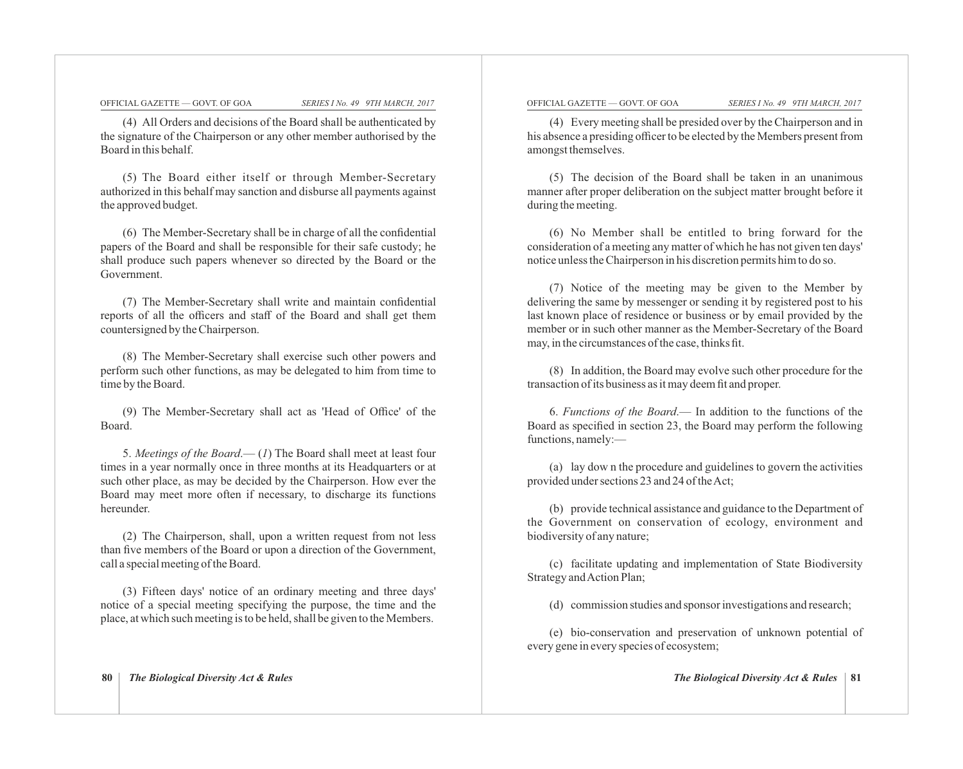(4) All Orders and decisions of the Board shall be authenticated by the signature of the Chairperson or any other member authorised by the Board in this behalf.

(5) The Board either itself or through Member-Secretary authorized in this behalf may sanction and disburse all payments against the approved budget.

(6) The Member-Secretary shall be in charge of all the confidential papers of the Board and shall be responsible for their safe custody; he shall produce such papers whenever so directed by the Board or the Government.

(7) The Member-Secretary shall write and maintain confidential reports of all the officers and staff of the Board and shall get them countersigned by the Chairperson.

(8) The Member-Secretary shall exercise such other powers and perform such other functions, as may be delegated to him from time to time by the Board.

(9) The Member-Secretary shall act as 'Head of Office' of the Board.

5. *Meetings of the Board*.— (*1*) The Board shall meet at least four times in a year normally once in three months at its Headquarters or at such other place, as may be decided by the Chairperson. How ever the Board may meet more often if necessary, to discharge its functions hereunder.

(2) The Chairperson, shall, upon a written request from not less than five members of the Board or upon a direction of the Government, call a special meeting of the Board.

(3) Fifteen days' notice of an ordinary meeting and three days' notice of a special meeting specifying the purpose, the time and the place, at which such meeting is to be held, shall be given to the Members.

#### **80** *The Biological Diversity Act & Rules The Biological Diversity Act & Rules* **81**

#### OFFICIAL GAZETTE — GOVT. OF GOA *SERIES I No. 49 9TH MARCH, 2017* OFFICIAL GAZETTE — GOVT. OF GOA *SERIES I No. 49 9TH MARCH, 2017*

(4) Every meeting shall be presided over by the Chairperson and in his absence a presiding officer to be elected by the Members present from amongst themselves.

(5) The decision of the Board shall be taken in an unanimous manner after proper deliberation on the subject matter brought before it during the meeting.

(6) No Member shall be entitled to bring forward for the consideration of a meeting any matter of which he has not given ten days' notice unless the Chairperson in his discretion permits him to do so.

(7) Notice of the meeting may be given to the Member by delivering the same by messenger or sending it by registered post to his last known place of residence or business or by email provided by the member or in such other manner as the Member-Secretary of the Board may, in the circumstances of the case, thinks fit.

(8) In addition, the Board may evolve such other procedure for the transaction of its business as it may deem fit and proper.

6. *Functions of the Board*.— In addition to the functions of the Board as specified in section 23, the Board may perform the following functions, namely:—

(a) lay dow n the procedure and guidelines to govern the activities provided under sections 23 and 24 of the Act;

(b) provide technical assistance and guidance to the Department of the Government on conservation of ecology, environment and biodiversity of any nature;

(c) facilitate updating and implementation of State Biodiversity Strategy and Action Plan;

(d) commission studies and sponsor investigations and research;

(e) bio-conservation and preservation of unknown potential of every gene in every species of ecosystem;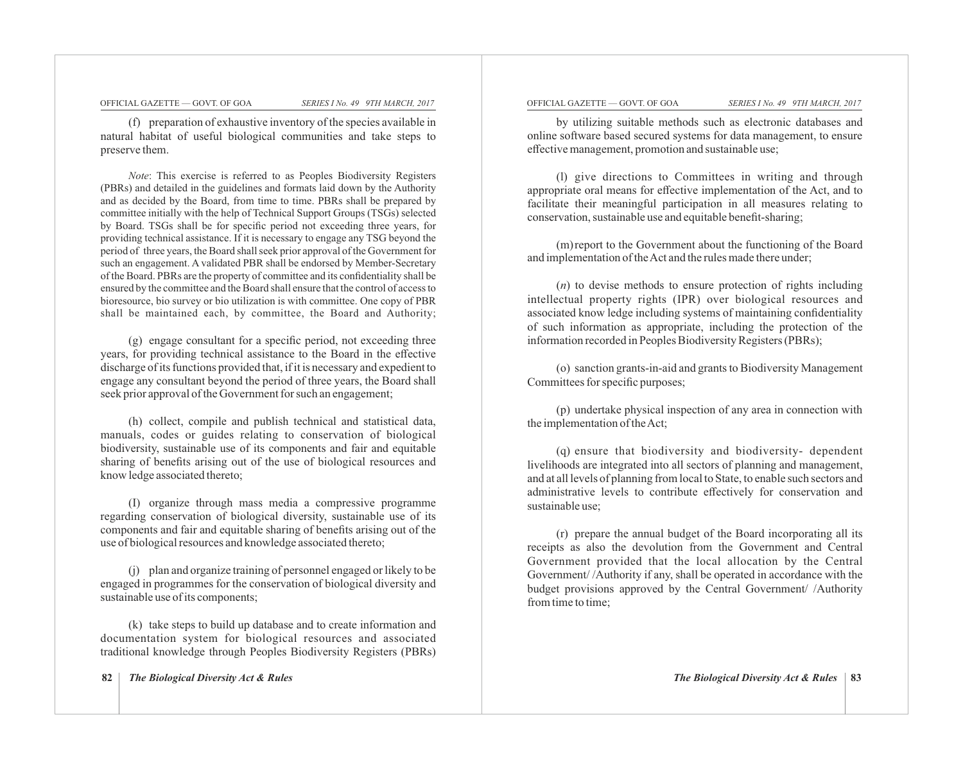(f) preparation of exhaustive inventory of the species available in natural habitat of useful biological communities and take steps to preserve them.

*Note*: This exercise is referred to as Peoples Biodiversity Registers (PBRs) and detailed in the guidelines and formats laid down by the Authority and as decided by the Board, from time to time. PBRs shall be prepared by committee initially with the help of Technical Support Groups (TSGs) selected by Board. TSGs shall be for specific period not exceeding three years, for providing technical assistance. If it is necessary to engage any TSG beyond the period of three years, the Board shall seek prior approval of the Government for such an engagement. A validated PBR shall be endorsed by Member-Secretary of the Board. PBRs are the property of committee and its confidentiality shall be ensured by the committee and the Board shall ensure that the control of access to bioresource, bio survey or bio utilization is with committee. One copy of PBR shall be maintained each, by committee, the Board and Authority;

(g) engage consultant for a specific period, not exceeding three years, for providing technical assistance to the Board in the effective discharge of its functions provided that, if it is necessary and expedient to engage any consultant beyond the period of three years, the Board shall seek prior approval of the Government for such an engagement;

(h) collect, compile and publish technical and statistical data, manuals, codes or guides relating to conservation of biological biodiversity, sustainable use of its components and fair and equitable sharing of benefits arising out of the use of biological resources and know ledge associated thereto;

(I) organize through mass media a compressive programme regarding conservation of biological diversity, sustainable use of its components and fair and equitable sharing of benefits arising out of the use of biological resources and knowledge associated thereto;

(j) plan and organize training of personnel engaged or likely to be engaged in programmes for the conservation of biological diversity and sustainable use of its components;

(k) take steps to build up database and to create information and documentation system for biological resources and associated traditional knowledge through Peoples Biodiversity Registers (PBRs)

#### OFFICIAL GAZETTE — GOVT. OF GOA *SERIES I No. 49 9TH MARCH, 2017* OFFICIAL GAZETTE — GOVT. OF GOA *SERIES I No. 49 9TH MARCH, 2017*

by utilizing suitable methods such as electronic databases and online software based secured systems for data management, to ensure effective management, promotion and sustainable use;

(l) give directions to Committees in writing and through appropriate oral means for effective implementation of the Act, and to facilitate their meaningful participation in all measures relating to conservation, sustainable use and equitable benefit-sharing;

(m) report to the Government about the functioning of the Board and implementation of the Act and the rules made there under;

(*n*) to devise methods to ensure protection of rights including intellectual property rights (IPR) over biological resources and associated know ledge including systems of maintaining confidentiality of such information as appropriate, including the protection of the information recorded in Peoples Biodiversity Registers (PBRs);

(o) sanction grants-in-aid and grants to Biodiversity Management Committees for specific purposes;

(p) undertake physical inspection of any area in connection with the implementation of the Act;

(q) ensure that biodiversity and biodiversity- dependent livelihoods are integrated into all sectors of planning and management, and at all levels of planning from local to State, to enable such sectors and administrative levels to contribute effectively for conservation and sustainable use;

(r) prepare the annual budget of the Board incorporating all its receipts as also the devolution from the Government and Central Government provided that the local allocation by the Central Government/ /Authority if any, shall be operated in accordance with the budget provisions approved by the Central Government/ /Authority from time to time;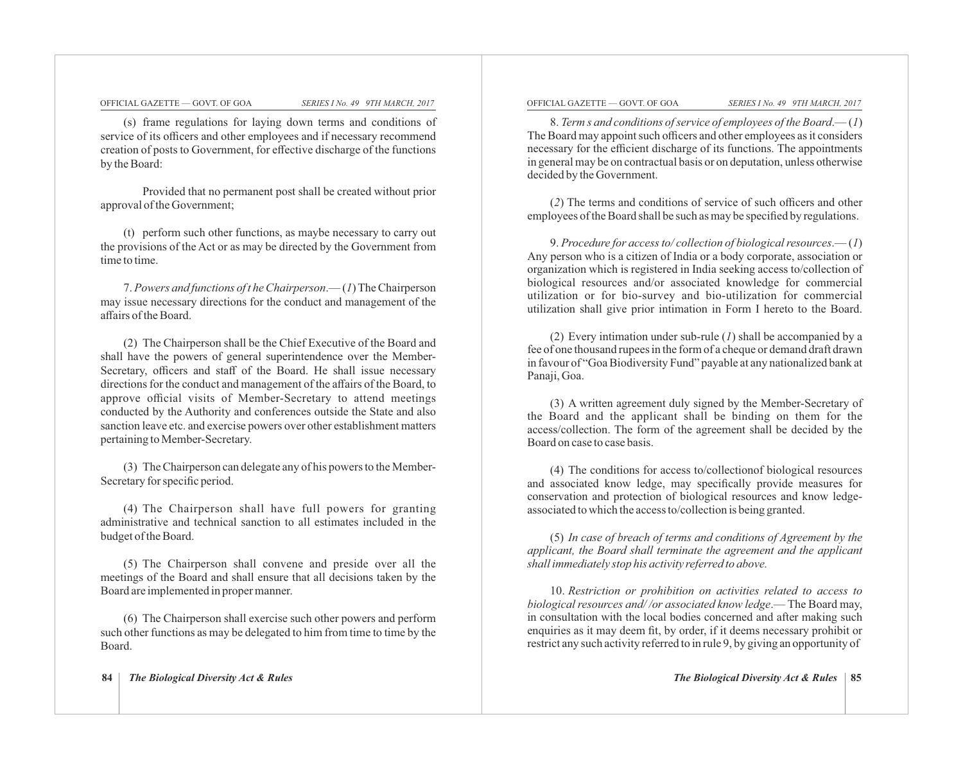(s) frame regulations for laying down terms and conditions of service of its officers and other employees and if necessary recommend creation of posts to Government, for effective discharge of the functions by the Board:

Provided that no permanent post shall be created without prior approval of the Government;

(t) perform such other functions, as maybe necessary to carry out the provisions of the Act or as may be directed by the Government from time to time.

7. *Powers and functions of t he Chairperson*.— (*1*) The Chairperson may issue necessary directions for the conduct and management of the affairs of the Board.

(2) The Chairperson shall be the Chief Executive of the Board and shall have the powers of general superintendence over the Member-Secretary, officers and staff of the Board. He shall issue necessary directions for the conduct and management of the affairs of the Board, to approve official visits of Member-Secretary to attend meetings conducted by the Authority and conferences outside the State and also sanction leave etc. and exercise powers over other establishment matters pertaining to Member-Secretary.

(3) The Chairperson can delegate any of his powers to the Member-Secretary for specific period.

(4) The Chairperson shall have full powers for granting administrative and technical sanction to all estimates included in the budget of the Board.

(5) The Chairperson shall convene and preside over all the meetings of the Board and shall ensure that all decisions taken by the Board are implemented in proper manner.

(6) The Chairperson shall exercise such other powers and perform such other functions as may be delegated to him from time to time by the Board.

#### OFFICIAL GAZETTE — GOVT. OF GOA *SERIES I No. 49 9TH MARCH, 2017* OFFICIAL GAZETTE — GOVT. OF GOA *SERIES I No. 49 9TH MARCH, 2017*

8. *Term s and conditions of service of employees of the Board*.— (*1*) The Board may appoint such officers and other employees as it considers necessary for the efficient discharge of its functions. The appointments in general may be on contractual basis or on deputation, unless otherwise decided by the Government.

(*2*) The terms and conditions of service of such officers and other employees of the Board shall be such as may be specified by regulations.

9. *Procedure for access to/ collection of biological resources*.— (*1*) Any person who is a citizen of India or a body corporate, association or organization which is registered in India seeking access to/collection of biological resources and/or associated knowledge for commercial utilization or for bio-survey and bio-utilization for commercial utilization shall give prior intimation in Form I hereto to the Board.

(2) Every intimation under sub-rule (*1*) shall be accompanied by a fee of one thousand rupees in the form of a cheque or demand draft drawn in favour of "Goa Biodiversity Fund" payable at any nationalized bank at Panaji, Goa.

(3) A written agreement duly signed by the Member-Secretary of the Board and the applicant shall be binding on them for the access/collection. The form of the agreement shall be decided by the Board on case to case basis.

(4) The conditions for access to/collectionof biological resources and associated know ledge, may specifically provide measures for conservation and protection of biological resources and know ledgeassociated to which the access to/collection is being granted.

(5) *In case of breach of terms and conditions of Agreement by the applicant, the Board shall terminate the agreement and the applicant shall immediately stop his activity referred to above.*

10. *Restriction or prohibition on activities related to access to biological resources and/ /or associated know ledge*.— The Board may, in consultation with the local bodies concerned and after making such enquiries as it may deem fit, by order, if it deems necessary prohibit or restrict any such activity referred to in rule 9, by giving an opportunity of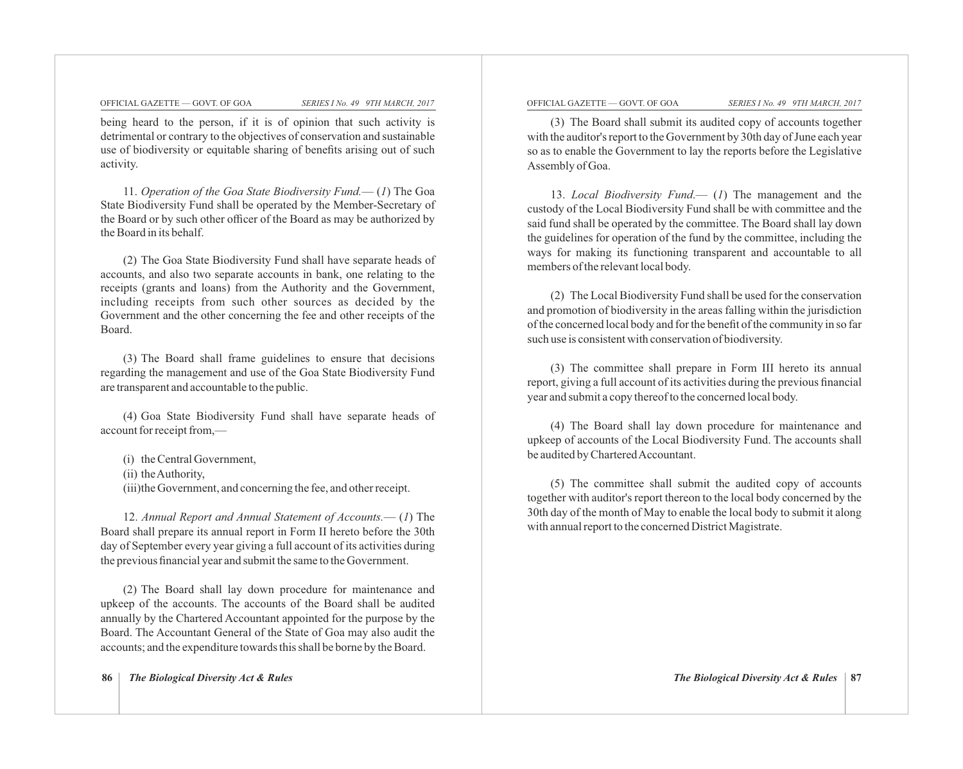being heard to the person, if it is of opinion that such activity is detrimental or contrary to the objectives of conservation and sustainable use of biodiversity or equitable sharing of benefits arising out of such activity.

11. *Operation of the Goa State Biodiversity Fund.*— (*1*) The Goa State Biodiversity Fund shall be operated by the Member-Secretary of the Board or by such other officer of the Board as may be authorized by the Board in its behalf.

(2) The Goa State Biodiversity Fund shall have separate heads of accounts, and also two separate accounts in bank, one relating to the receipts (grants and loans) from the Authority and the Government, including receipts from such other sources as decided by the Government and the other concerning the fee and other receipts of the Board.

(3) The Board shall frame guidelines to ensure that decisions regarding the management and use of the Goa State Biodiversity Fund are transparent and accountable to the public.

(4) Goa State Biodiversity Fund shall have separate heads of account for receipt from,—

(i) the Central Government, (ii) the Authority, (iii) the Government, and concerning the fee, and other receipt.

12. *Annual Report and Annual Statement of Accounts.*— (*1*) The Board shall prepare its annual report in Form II hereto before the 30th day of September every year giving a full account of its activities during the previous financial year and submit the same to the Government.

(2) The Board shall lay down procedure for maintenance and upkeep of the accounts. The accounts of the Board shall be audited annually by the Chartered Accountant appointed for the purpose by the Board. The Accountant General of the State of Goa may also audit the accounts; and the expenditure towards this shall be borne by the Board.

#### OFFICIAL GAZETTE — GOVT. OF GOA *SERIES I No. 49 9TH MARCH, 2017* OFFICIAL GAZETTE — GOVT. OF GOA *SERIES I No. 49 9TH MARCH, 2017*

(3) The Board shall submit its audited copy of accounts together with the auditor's report to the Government by 30th day of June each year so as to enable the Government to lay the reports before the Legislative Assembly of Goa.

13. *Local Biodiversity Fund*.— (*1*) The management and the custody of the Local Biodiversity Fund shall be with committee and the said fund shall be operated by the committee. The Board shall lay down the guidelines for operation of the fund by the committee, including the ways for making its functioning transparent and accountable to all members of the relevant local body.

(2) The Local Biodiversity Fund shall be used for the conservation and promotion of biodiversity in the areas falling within the jurisdiction of the concerned local body and for the benefit of the community in so far such use is consistent with conservation of biodiversity.

(3) The committee shall prepare in Form III hereto its annual report, giving a full account of its activities during the previous financial year and submit a copy thereof to the concerned local body.

(4) The Board shall lay down procedure for maintenance and upkeep of accounts of the Local Biodiversity Fund. The accounts shall be audited by Chartered Accountant.

(5) The committee shall submit the audited copy of accounts together with auditor's report thereon to the local body concerned by the 30th day of the month of May to enable the local body to submit it along with annual report to the concerned District Magistrate.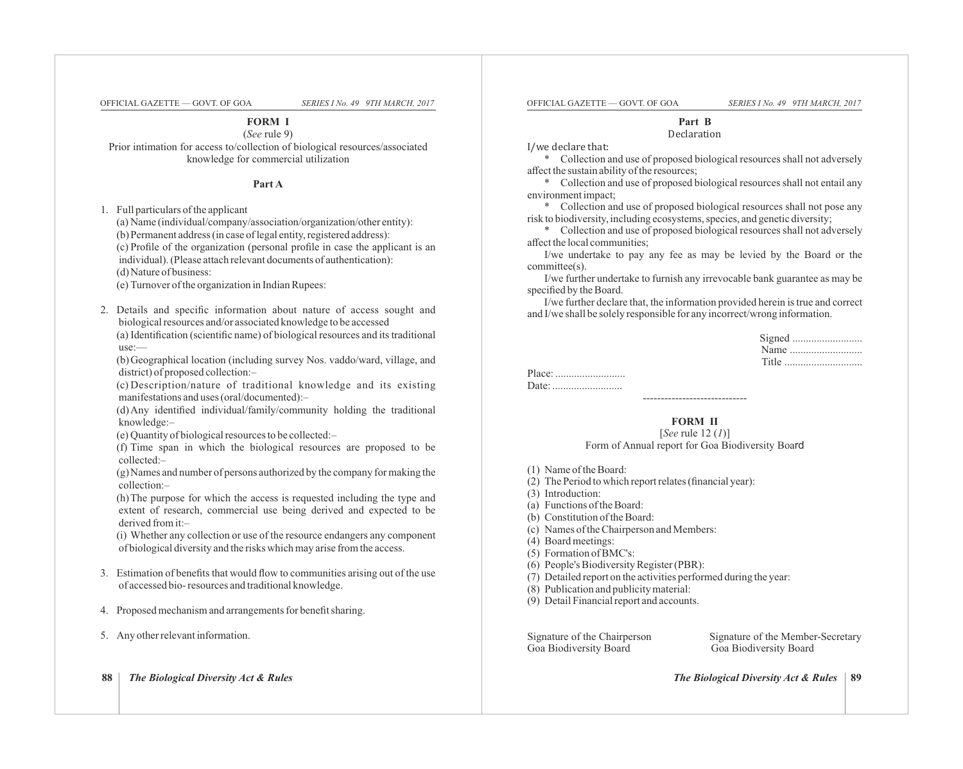**FORM I**

(*See* rule 9) Prior intimation for access to/collection of biological resources/associated knowledge for commercial utilization

**Part A**

1. Full particulars of the applicant

(a) Name (individual/company/association/organization/other entity):

(b) Permanent address (in case of legal entity, registered address):

(c) Profile of the organization (personal profile in case the applicant is an individual). (Please attach relevant documents of authentication):

(d) Nature of business:

(e) Turnover of the organization in Indian Rupees:

2. Details and specific information about nature of access sought and biological resources and/or associated knowledge to be accessed (a) Identification (scientific name) of biological resources and its traditional use:—

(b) Geographical location (including survey Nos. vaddo/ward, village, and district) of proposed collection:–

(c) Description/nature of traditional knowledge and its existing manifestations and uses (oral/documented):–

(d) Any identified individual/family/community holding the traditional knowledge:–

(e) Quantity of biological resources to be collected:–

(f) Time span in which the biological resources are proposed to be collected:–

(g) Names and number of persons authorized by the company for making the collection:–

(h) The purpose for which the access is requested including the type and extent of research, commercial use being derived and expected to be derived from it:–

(i) Whether any collection or use of the resource endangers any component of biological diversity and the risks which may arise from the access.

- 3. Estimation of benefits that would flow to communities arising out of the use of accessed bio- resources and traditional knowledge.
- 4. Proposed mechanism and arrangements for benefit sharing.
- 5. Any other relevant information.

**88** *The Biological Diversity Act & Rules The Biological Diversity Act & Rules* **89**

OFFICIAL GAZETTE — GOVT. OF GOA *SERIES I No. 49 9TH MARCH, 2017* OFFICIAL GAZETTE — GOVT. OF GOA *SERIES I No. 49 9TH MARCH, 2017*

**Part B** 

Declaration 

I/we declare that:

\* Collection and use of proposed biological resources shall not adversely affect the sustain ability of the resources;

\* Collection and use of proposed biological resources shall not entail any environment impact;

\* Collection and use of proposed biological resources shall not pose any risk to biodiversity, including ecosystems, species, and genetic diversity;

\* Collection and use of proposed biological resources shall not adversely affect the local communities;

I/we undertake to pay any fee as may be levied by the Board or the committee(s).

I/we further undertake to furnish any irrevocable bank guarantee as may be specified by the Board.

I/we further declare that, the information provided herein is true and correct and I/we shall be solely responsible for any incorrect/wrong information.

### **FORM II**

-----------------------------

[*See* rule 12 (*1*)] Form of Annual report for Goa Biodiversity Board

- (1) Name of the Board:
- (2) The Period to which report relates (financial year):

(3) Introduction:

- (a) Functions of the Board:
- (b) Constitution of the Board:
- (c) Names of the Chairperson and Members:
- (4) Board meetings:
- (5) Formation of BMC's:
- (6) People's Biodiversity Register (PBR):
- (7) Detailed report on the activities performed during the year:
- (8) Publication and publicity material:
- (9) Detail Financial report and accounts.

Goa Biodiversity Board Goa Biodiversity Board

Signature of the Chairperson Signature of the Member-Secretary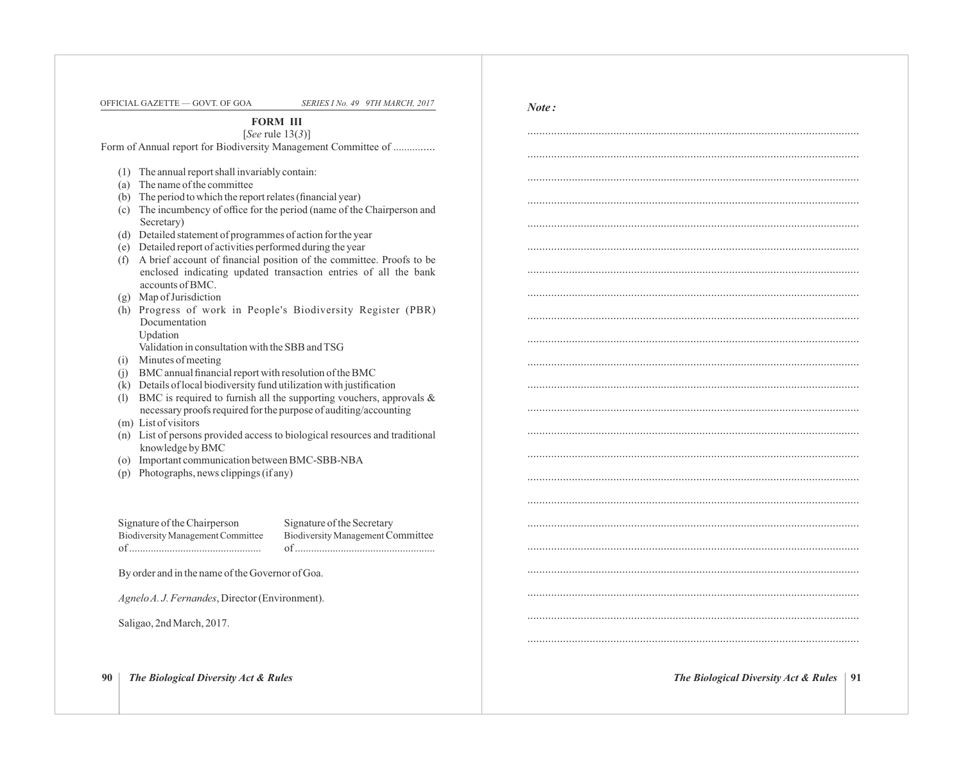OFFICIAL GAZETTE — GOVT. OF GOA *SERIES I No. 49 9TH MARCH, 2017*

*Note :* 

................................................................................................................

................................................................................................................

................................................................................................................

................................................................................................................

................................................................................................................

................................................................................................................

................................................................................................................

................................................................................................................

................................................................................................................

................................................................................................................

................................................................................................................

................................................................................................................

................................................................................................................

................................................................................................................

................................................................................................................

................................................................................................................

................................................................................................................

................................................................................................................

**FORM III**

[*See* rule 13(*3*)] Form of Annual report for Biodiversity Management Committee of ...............

- (1) The annual report shall invariably contain:
- (a) The name of the committee
- (b) The period to which the report relates (financial year)
- (c) The incumbency of office for the period (name of the Chairperson and Secretary)
- (d) Detailed statement of programmes of action for the year
- (e) Detailed report of activities performed during the year
- (f) A brief account of financial position of the committee. Proofs to be enclosed indicating updated transaction entries of all the bank accounts of BMC.
- (g) Map of Jurisdiction
- (h) Progress of work in People's Biodiversity Register (PBR) Documentation Updation
	- Validation in consultation with the SBB and TSG
- (i) Minutes of meeting
- (j) BMC annual financial report with resolution of the BMC
- (k) Details of local biodiversity fund utilization with justification
- (l) BMC is required to furnish all the supporting vouchers, approvals  $\&$ necessary proofs required for the purpose of auditing/accounting
- (m) List of visitors
- (n) List of persons provided access to biological resources and traditional knowledge by BMC
- (o) Important communication between BMC-SBB-NBA
- (p) Photographs, news clippings (if any)

Signature of the Chairperson Signature of the Secretary of ................................................. of ....................................................

Biodiversity Management Committee Biodiversity ManagementCommittee

By order and in the name of the Governor of Goa.

*Agnelo A. J. Fernandes*, Director (Environment).

Saligao, 2nd March, 2017.